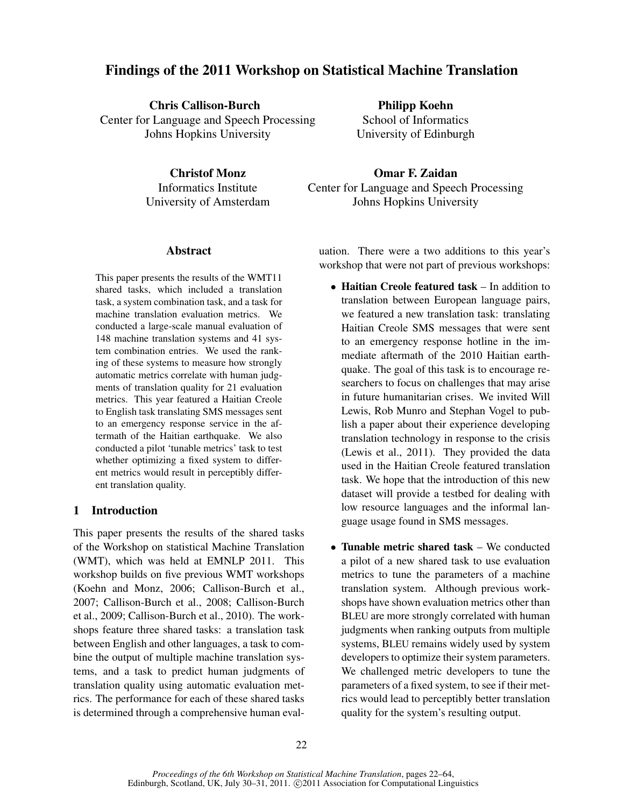# Findings of the 2011 Workshop on Statistical Machine Translation

Chris Callison-Burch Center for Language and Speech Processing Johns Hopkins University

Philipp Koehn School of Informatics University of Edinburgh

Christof Monz Informatics Institute University of Amsterdam

## Abstract

This paper presents the results of the WMT11 shared tasks, which included a translation task, a system combination task, and a task for machine translation evaluation metrics. We conducted a large-scale manual evaluation of 148 machine translation systems and 41 system combination entries. We used the ranking of these systems to measure how strongly automatic metrics correlate with human judgments of translation quality for 21 evaluation metrics. This year featured a Haitian Creole to English task translating SMS messages sent to an emergency response service in the aftermath of the Haitian earthquake. We also conducted a pilot 'tunable metrics' task to test whether optimizing a fixed system to different metrics would result in perceptibly different translation quality.

# 1 Introduction

This paper presents the results of the shared tasks of the Workshop on statistical Machine Translation (WMT), which was held at EMNLP 2011. This workshop builds on five previous WMT workshops (Koehn and Monz, 2006; Callison-Burch et al., 2007; Callison-Burch et al., 2008; Callison-Burch et al., 2009; Callison-Burch et al., 2010). The workshops feature three shared tasks: a translation task between English and other languages, a task to combine the output of multiple machine translation systems, and a task to predict human judgments of translation quality using automatic evaluation metrics. The performance for each of these shared tasks is determined through a comprehensive human eval-

Center for Language and Speech Processing Johns Hopkins University

Omar F. Zaidan

uation. There were a two additions to this year's workshop that were not part of previous workshops:

- Haitian Creole featured task In addition to translation between European language pairs, we featured a new translation task: translating Haitian Creole SMS messages that were sent to an emergency response hotline in the immediate aftermath of the 2010 Haitian earthquake. The goal of this task is to encourage researchers to focus on challenges that may arise in future humanitarian crises. We invited Will Lewis, Rob Munro and Stephan Vogel to publish a paper about their experience developing translation technology in response to the crisis (Lewis et al., 2011). They provided the data used in the Haitian Creole featured translation task. We hope that the introduction of this new dataset will provide a testbed for dealing with low resource languages and the informal language usage found in SMS messages.
- Tunable metric shared task We conducted a pilot of a new shared task to use evaluation metrics to tune the parameters of a machine translation system. Although previous workshops have shown evaluation metrics other than BLEU are more strongly correlated with human judgments when ranking outputs from multiple systems, BLEU remains widely used by system developers to optimize their system parameters. We challenged metric developers to tune the parameters of a fixed system, to see if their metrics would lead to perceptibly better translation quality for the system's resulting output.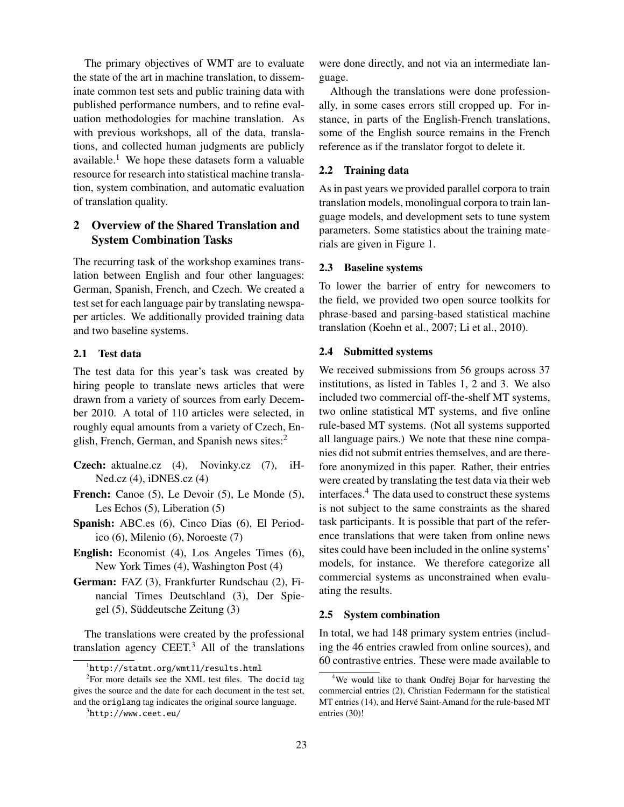The primary objectives of WMT are to evaluate the state of the art in machine translation, to disseminate common test sets and public training data with published performance numbers, and to refine evaluation methodologies for machine translation. As with previous workshops, all of the data, translations, and collected human judgments are publicly available.<sup>1</sup> We hope these datasets form a valuable resource for research into statistical machine translation, system combination, and automatic evaluation of translation quality.

# 2 Overview of the Shared Translation and System Combination Tasks

The recurring task of the workshop examines translation between English and four other languages: German, Spanish, French, and Czech. We created a test set for each language pair by translating newspaper articles. We additionally provided training data and two baseline systems.

## 2.1 Test data

The test data for this year's task was created by hiring people to translate news articles that were drawn from a variety of sources from early December 2010. A total of 110 articles were selected, in roughly equal amounts from a variety of Czech, English, French, German, and Spanish news sites:<sup>2</sup>

- Czech: aktualne.cz (4), Novinky.cz (7), iH-Ned.cz (4), iDNES.cz (4)
- French: Canoe (5), Le Devoir (5), Le Monde (5), Les Echos (5), Liberation (5)
- Spanish: ABC.es (6), Cinco Dias (6), El Periodico (6), Milenio (6), Noroeste (7)
- English: Economist (4), Los Angeles Times (6), New York Times (4), Washington Post (4)
- German: FAZ (3), Frankfurter Rundschau (2), Financial Times Deutschland (3), Der Spiegel (5), Süddeutsche Zeitung (3)

The translations were created by the professional translation agency  $CEET<sup>3</sup>$ . All of the translations were done directly, and not via an intermediate language.

Although the translations were done professionally, in some cases errors still cropped up. For instance, in parts of the English-French translations, some of the English source remains in the French reference as if the translator forgot to delete it.

#### 2.2 Training data

As in past years we provided parallel corpora to train translation models, monolingual corpora to train language models, and development sets to tune system parameters. Some statistics about the training materials are given in Figure 1.

#### 2.3 Baseline systems

To lower the barrier of entry for newcomers to the field, we provided two open source toolkits for phrase-based and parsing-based statistical machine translation (Koehn et al., 2007; Li et al., 2010).

#### 2.4 Submitted systems

We received submissions from 56 groups across 37 institutions, as listed in Tables 1, 2 and 3. We also included two commercial off-the-shelf MT systems, two online statistical MT systems, and five online rule-based MT systems. (Not all systems supported all language pairs.) We note that these nine companies did not submit entries themselves, and are therefore anonymized in this paper. Rather, their entries were created by translating the test data via their web interfaces.<sup>4</sup> The data used to construct these systems is not subject to the same constraints as the shared task participants. It is possible that part of the reference translations that were taken from online news sites could have been included in the online systems' models, for instance. We therefore categorize all commercial systems as unconstrained when evaluating the results.

#### 2.5 System combination

In total, we had 148 primary system entries (including the 46 entries crawled from online sources), and 60 contrastive entries. These were made available to

<sup>1</sup> http://statmt.org/wmt11/results.html

 $2$ For more details see the XML test files. The docid tag gives the source and the date for each document in the test set, and the origlang tag indicates the original source language.

 $^3$ http://www.ceet.eu/

<sup>&</sup>lt;sup>4</sup>We would like to thank Ondřej Bojar for harvesting the commercial entries (2), Christian Federmann for the statistical MT entries (14), and Hervé Saint-Amand for the rule-based MT entries (30)!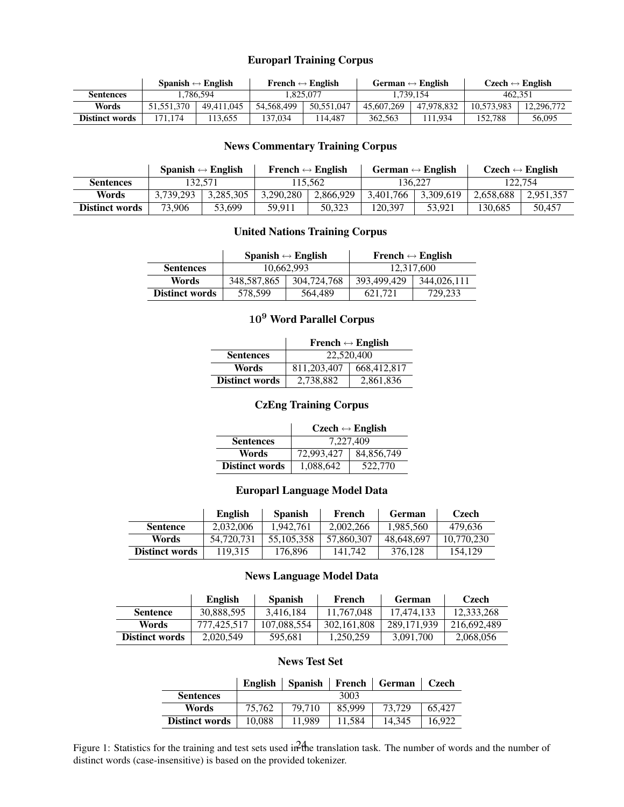# Europarl Training Corpus

|                       |            | Spanish $\leftrightarrow$ English |            | French $\leftrightarrow$ English |            | German $\leftrightarrow$ English |            | $Czech \leftrightarrow English$ |
|-----------------------|------------|-----------------------------------|------------|----------------------------------|------------|----------------------------------|------------|---------------------------------|
| <b>Sentences</b>      |            | 1.786.594                         |            | .825.077                         |            | 1.739.154                        | 462.351    |                                 |
| Words                 | 51,551,370 | 49.411.045                        | 54,568,499 | 50.551.047                       | 45,607,269 | 47.978.832                       | 10.573.983 | 12.296.772                      |
| <b>Distinct words</b> | 171.174    | 113.655                           | 137.034    | 14.487                           | 362.563    | 11.934                           | 152.788    | 56,095                          |

# News Commentary Training Corpus

|                       | Spanish $\leftrightarrow$ English |           |           | French $\leftrightarrow$ English |           | German $\leftrightarrow$ English | $Czech \leftrightarrow English$ |           |
|-----------------------|-----------------------------------|-----------|-----------|----------------------------------|-----------|----------------------------------|---------------------------------|-----------|
| <b>Sentences</b>      |                                   | 32.571    |           | 115.562                          |           | 136.227                          |                                 | 122.754   |
| Words                 | 3.739.293                         | 3.285.305 | 3.290.280 | 2,866,929                        | 3.401.766 | 3.309.619                        | 2.658.688                       | 2.951.357 |
| <b>Distinct words</b> | 73.906                            | 53,699    | 59.911    | 50.323                           | 120.397   | 53.921                           | 130.685                         | 50.457    |

# United Nations Training Corpus

|                       | Spanish $\leftrightarrow$ English |             |             | French $\leftrightarrow$ English |
|-----------------------|-----------------------------------|-------------|-------------|----------------------------------|
| <b>Sentences</b>      |                                   | 10.662.993  |             | 12.317.600                       |
| Words                 | 348,587,865                       | 304,724,768 | 393,499,429 | 344,026,111                      |
| <b>Distinct words</b> | 578,599                           | 564.489     | 621.721     | 729.233                          |

# 10<sup>9</sup> Word Parallel Corpus

|                       | <b>French</b> $\leftrightarrow$ <b>English</b> |             |  |
|-----------------------|------------------------------------------------|-------------|--|
| <b>Sentences</b>      | 22,520,400                                     |             |  |
| Words                 | 811, 203, 407                                  | 668,412,817 |  |
| <b>Distinct words</b> | 2,738,882                                      | 2,861,836   |  |

# CzEng Training Corpus

|                       | $Czech \leftrightarrow English$ |            |  |
|-----------------------|---------------------------------|------------|--|
| <b>Sentences</b>      |                                 | 7,227,409  |  |
| Words                 | 72,993,427                      | 84,856,749 |  |
| <b>Distinct words</b> | 1,088,642                       | 522,770    |  |

# Europarl Language Model Data

|                       | <b>English</b> | <b>Spanish</b> | French     | <b>German</b> | Czech      |
|-----------------------|----------------|----------------|------------|---------------|------------|
| <b>Sentence</b>       | 2,032,006      | 1,942,761      | 2.002.266  | 1.985.560     | 479.636    |
| Words                 | 54,720,731     | 55,105,358     | 57,860,307 | 48.648.697    | 10.770.230 |
| <b>Distinct words</b> | 119.315        | 176,896        | 141.742    | 376.128       | 154,129    |

## News Language Model Data

|                       | English     | <b>Spanish</b> | French        | <b>German</b> | <b>Czech</b> |
|-----------------------|-------------|----------------|---------------|---------------|--------------|
| <b>Sentence</b>       | 30,888,595  | 3.416.184      | 11.767.048    | 17.474.133    | 12.333.268   |
| Words                 | 777.425.517 | 107,088,554    | 302, 161, 808 | 289,171,939   | 216,692,489  |
| <b>Distinct words</b> | 2,020,549   | 595.681        | 1.250.259     | 3.091.700     | 2,068,056    |

# News Test Set

|                       | English | <b>Spanish</b> |        | French   German | Czech  |
|-----------------------|---------|----------------|--------|-----------------|--------|
| <b>Sentences</b>      |         |                | 3003   |                 |        |
| Words                 | 75.762  | 79.710         | 85.999 | 73.729          | 65.427 |
| <b>Distinct words</b> | 10,088  | 11.989         | 11.584 | 14.345          | 16.922 |

Figure 1: Statistics for the training and test sets used in the translation task. The number of words and the number of distinct words (case-insensitive) is based on the provided tokenizer.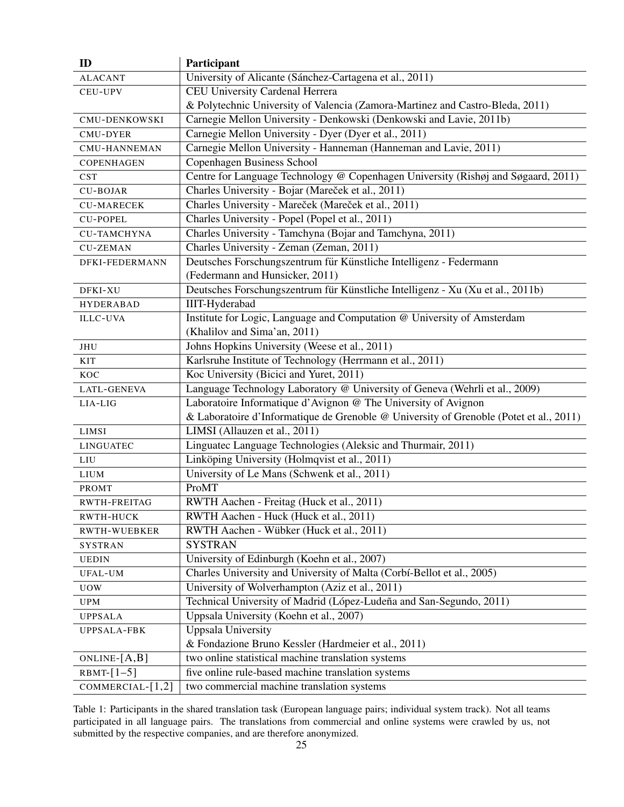| ID                             | Participant                                                                            |
|--------------------------------|----------------------------------------------------------------------------------------|
| <b>ALACANT</b>                 | University of Alicante (Sánchez-Cartagena et al., 2011)                                |
| CEU-UPV                        | <b>CEU University Cardenal Herrera</b>                                                 |
|                                | & Polytechnic University of Valencia (Zamora-Martinez and Castro-Bleda, 2011)          |
| CMU-DENKOWSKI                  | Carnegie Mellon University - Denkowski (Denkowski and Lavie, 2011b)                    |
| CMU-DYER                       | Carnegie Mellon University - Dyer (Dyer et al., 2011)                                  |
| <b>CMU-HANNEMAN</b>            | Carnegie Mellon University - Hanneman (Hanneman and Lavie, 2011)                       |
| <b>COPENHAGEN</b>              | Copenhagen Business School                                                             |
| <b>CST</b>                     | Centre for Language Technology @ Copenhagen University (Rishøj and Søgaard, 2011)      |
| <b>CU-BOJAR</b>                | Charles University - Bojar (Mareček et al., 2011)                                      |
| <b>CU-MARECEK</b>              | Charles University - Mareček (Mareček et al., 2011)                                    |
| <b>CU-POPEL</b>                | Charles University - Popel (Popel et al., 2011)                                        |
| <b>CU-TAMCHYNA</b>             | Charles University - Tamchyna (Bojar and Tamchyna, 2011)                               |
| <b>CU-ZEMAN</b>                | Charles University - Zeman (Zeman, 2011)                                               |
| DFKI-FEDERMANN                 | Deutsches Forschungszentrum für Künstliche Intelligenz - Federmann                     |
|                                | (Federmann and Hunsicker, 2011)                                                        |
| DFKI-XU                        | Deutsches Forschungszentrum für Künstliche Intelligenz - Xu (Xu et al., 2011b)         |
| <b>HYDERABAD</b>               | IIIT-Hyderabad                                                                         |
| <b>ILLC-UVA</b>                | Institute for Logic, Language and Computation @ University of Amsterdam                |
|                                | (Khalilov and Sima'an, 2011)                                                           |
| JHU                            | Johns Hopkins University (Weese et al., 2011)                                          |
| KIT                            | Karlsruhe Institute of Technology (Herrmann et al., 2011)                              |
| <b>KOC</b>                     | Koc University (Bicici and Yuret, 2011)                                                |
| LATL-GENEVA                    | Language Technology Laboratory @ University of Geneva (Wehrli et al., 2009)            |
| LIA-LIG                        | Laboratoire Informatique d'Avignon @ The University of Avignon                         |
|                                | & Laboratoire d'Informatique de Grenoble @ University of Grenoble (Potet et al., 2011) |
| <b>LIMSI</b>                   | LIMSI (Allauzen et al., 2011)                                                          |
| <b>LINGUATEC</b>               | Linguatec Language Technologies (Aleksic and Thurmair, 2011)                           |
| LIU                            | Linköping University (Holmqvist et al., 2011)                                          |
| <b>LIUM</b>                    | University of Le Mans (Schwenk et al., 2011)                                           |
| <b>PROMT</b>                   | ProMT                                                                                  |
| RWTH-FREITAG                   | RWTH Aachen - Freitag (Huck et al., 2011)                                              |
| RWTH-HUCK                      | RWTH Aachen - Huck (Huck et al., 2011)                                                 |
| RWTH-WUEBKER                   | RWTH Aachen - Wübker (Huck et al., 2011)                                               |
| <b>SYSTRAN</b>                 | <b>SYSTRAN</b>                                                                         |
| <b>UEDIN</b>                   | University of Edinburgh (Koehn et al., 2007)                                           |
| UFAL-UM                        | Charles University and University of Malta (Corbí-Bellot et al., 2005)                 |
| $\rm UOW$                      | University of Wolverhampton (Aziz et al., 2011)                                        |
| <b>UPM</b>                     | Technical University of Madrid (López-Ludeña and San-Segundo, 2011)                    |
| <b>UPPSALA</b>                 | Uppsala University (Koehn et al., 2007)                                                |
| UPPSALA-FBK                    | <b>Uppsala University</b>                                                              |
|                                | & Fondazione Bruno Kessler (Hardmeier et al., 2011)                                    |
| ONLINE- $[A,B]$                | two online statistical machine translation systems                                     |
| $\overline{\text{RBMT-}[1-5]}$ | five online rule-based machine translation systems                                     |
| COMMERCIAL-[1,2]               | two commercial machine translation systems                                             |

Table 1: Participants in the shared translation task (European language pairs; individual system track). Not all teams participated in all language pairs. The translations from commercial and online systems were crawled by us, not submitted by the respective companies, and are therefore anonymized.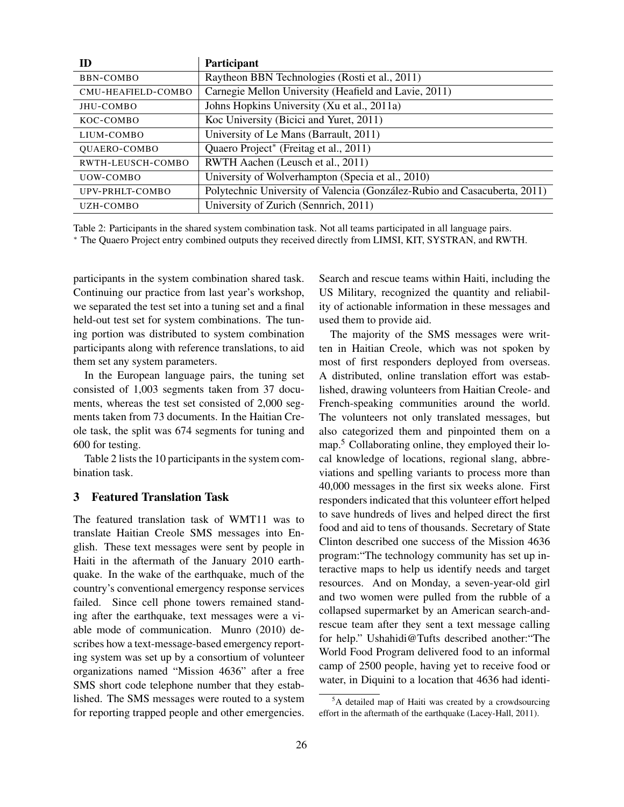| ID                  | Participant                                                               |
|---------------------|---------------------------------------------------------------------------|
| BBN-COMBO           | Raytheon BBN Technologies (Rosti et al., 2011)                            |
| CMU-HEAFIELD-COMBO  | Carnegie Mellon University (Heafield and Lavie, 2011)                     |
| JHU-COMBO           | Johns Hopkins University (Xu et al., 2011a)                               |
| KOC-COMBO           | Koc University (Bicici and Yuret, 2011)                                   |
| LIUM-COMBO          | University of Le Mans (Barrault, 2011)                                    |
| <b>OUAERO-COMBO</b> | Quaero Project* (Freitag et al., 2011)                                    |
| RWTH-LEUSCH-COMBO   | RWTH Aachen (Leusch et al., 2011)                                         |
| UOW-COMBO           | University of Wolverhampton (Specia et al., 2010)                         |
| UPV-PRHLT-COMBO     | Polytechnic University of Valencia (González-Rubio and Casacuberta, 2011) |
| UZH-COMBO           | University of Zurich (Sennrich, 2011)                                     |

Table 2: Participants in the shared system combination task. Not all teams participated in all language pairs.

<sup>∗</sup> The Quaero Project entry combined outputs they received directly from LIMSI, KIT, SYSTRAN, and RWTH.

participants in the system combination shared task. Continuing our practice from last year's workshop, we separated the test set into a tuning set and a final held-out test set for system combinations. The tuning portion was distributed to system combination participants along with reference translations, to aid them set any system parameters.

In the European language pairs, the tuning set consisted of 1,003 segments taken from 37 documents, whereas the test set consisted of 2,000 segments taken from 73 documents. In the Haitian Creole task, the split was 674 segments for tuning and 600 for testing.

Table 2 lists the 10 participants in the system combination task.

## 3 Featured Translation Task

The featured translation task of WMT11 was to translate Haitian Creole SMS messages into English. These text messages were sent by people in Haiti in the aftermath of the January 2010 earthquake. In the wake of the earthquake, much of the country's conventional emergency response services failed. Since cell phone towers remained standing after the earthquake, text messages were a viable mode of communication. Munro (2010) describes how a text-message-based emergency reporting system was set up by a consortium of volunteer organizations named "Mission 4636" after a free SMS short code telephone number that they established. The SMS messages were routed to a system for reporting trapped people and other emergencies.

Search and rescue teams within Haiti, including the US Military, recognized the quantity and reliability of actionable information in these messages and used them to provide aid.

The majority of the SMS messages were written in Haitian Creole, which was not spoken by most of first responders deployed from overseas. A distributed, online translation effort was established, drawing volunteers from Haitian Creole- and French-speaking communities around the world. The volunteers not only translated messages, but also categorized them and pinpointed them on a map.<sup>5</sup> Collaborating online, they employed their local knowledge of locations, regional slang, abbreviations and spelling variants to process more than 40,000 messages in the first six weeks alone. First responders indicated that this volunteer effort helped to save hundreds of lives and helped direct the first food and aid to tens of thousands. Secretary of State Clinton described one success of the Mission 4636 program:"The technology community has set up interactive maps to help us identify needs and target resources. And on Monday, a seven-year-old girl and two women were pulled from the rubble of a collapsed supermarket by an American search-andrescue team after they sent a text message calling for help." Ushahidi@Tufts described another:"The World Food Program delivered food to an informal camp of 2500 people, having yet to receive food or water, in Diquini to a location that 4636 had identi-

<sup>5</sup>A detailed map of Haiti was created by a crowdsourcing effort in the aftermath of the earthquake (Lacey-Hall, 2011).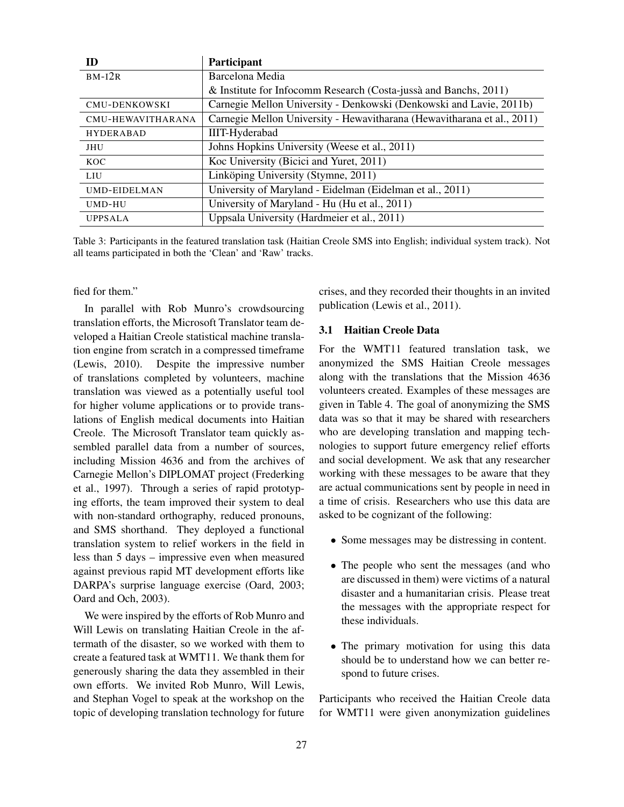| ID                   | Participant                                                             |
|----------------------|-------------------------------------------------------------------------|
| $BM-I2R$             | Barcelona Media                                                         |
|                      | & Institute for Infocomm Research (Costa-jussà and Banchs, 2011)        |
| <b>CMU-DENKOWSKI</b> | Carnegie Mellon University - Denkowski (Denkowski and Lavie, 2011b)     |
| CMU-HEWAVITHARANA    | Carnegie Mellon University - Hewavitharana (Hewavitharana et al., 2011) |
| <b>HYDERABAD</b>     | <b>IIIT-Hyderabad</b>                                                   |
| <b>JHU</b>           | Johns Hopkins University (Weese et al., 2011)                           |
| <b>KOC</b>           | Koc University (Bicici and Yuret, 2011)                                 |
| LIU                  | Linköping University (Stymne, 2011)                                     |
| <b>UMD-EIDELMAN</b>  | University of Maryland - Eidelman (Eidelman et al., 2011)               |
| UMD-HU               | University of Maryland - Hu (Hu et al., 2011)                           |
| <b>UPPSALA</b>       | Uppsala University (Hardmeier et al., 2011)                             |

Table 3: Participants in the featured translation task (Haitian Creole SMS into English; individual system track). Not all teams participated in both the 'Clean' and 'Raw' tracks.

fied for them."

In parallel with Rob Munro's crowdsourcing translation efforts, the Microsoft Translator team developed a Haitian Creole statistical machine translation engine from scratch in a compressed timeframe (Lewis, 2010). Despite the impressive number of translations completed by volunteers, machine translation was viewed as a potentially useful tool for higher volume applications or to provide translations of English medical documents into Haitian Creole. The Microsoft Translator team quickly assembled parallel data from a number of sources, including Mission 4636 and from the archives of Carnegie Mellon's DIPLOMAT project (Frederking et al., 1997). Through a series of rapid prototyping efforts, the team improved their system to deal with non-standard orthography, reduced pronouns, and SMS shorthand. They deployed a functional translation system to relief workers in the field in less than 5 days – impressive even when measured against previous rapid MT development efforts like DARPA's surprise language exercise (Oard, 2003; Oard and Och, 2003).

We were inspired by the efforts of Rob Munro and Will Lewis on translating Haitian Creole in the aftermath of the disaster, so we worked with them to create a featured task at WMT11. We thank them for generously sharing the data they assembled in their own efforts. We invited Rob Munro, Will Lewis, and Stephan Vogel to speak at the workshop on the topic of developing translation technology for future

crises, and they recorded their thoughts in an invited publication (Lewis et al., 2011).

## 3.1 Haitian Creole Data

For the WMT11 featured translation task, we anonymized the SMS Haitian Creole messages along with the translations that the Mission 4636 volunteers created. Examples of these messages are given in Table 4. The goal of anonymizing the SMS data was so that it may be shared with researchers who are developing translation and mapping technologies to support future emergency relief efforts and social development. We ask that any researcher working with these messages to be aware that they are actual communications sent by people in need in a time of crisis. Researchers who use this data are asked to be cognizant of the following:

- Some messages may be distressing in content.
- The people who sent the messages (and who are discussed in them) were victims of a natural disaster and a humanitarian crisis. Please treat the messages with the appropriate respect for these individuals.
- The primary motivation for using this data should be to understand how we can better respond to future crises.

Participants who received the Haitian Creole data for WMT11 were given anonymization guidelines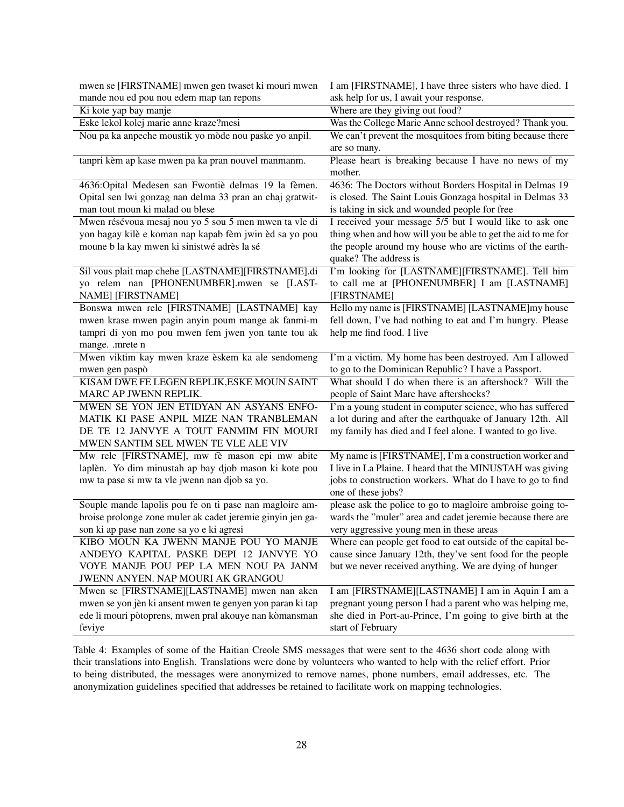| mwen se [FIRSTNAME] mwen gen twaset ki mouri mwen          | I am [FIRSTNAME], I have three sisters who have died. I      |
|------------------------------------------------------------|--------------------------------------------------------------|
| mande nou ed pou nou edem map tan repons                   | ask help for us, I await your response.                      |
| Ki kote yap bay manje                                      | Where are they giving out food?                              |
| Eske lekol kolej marie anne kraze?mesi                     | Was the College Marie Anne school destroyed? Thank you.      |
| Nou pa ka anpeche moustik yo mòde nou paske yo anpil.      | We can't prevent the mosquitoes from biting because there    |
|                                                            | are so many.                                                 |
| tanpri kèm ap kase mwen pa ka pran nouvel manmanm.         | Please heart is breaking because I have no news of my        |
|                                                            | mother.                                                      |
| 4636: Opital Medesen san Fwontiè delmas 19 la fèmen.       | 4636: The Doctors without Borders Hospital in Delmas 19      |
| Opital sen lwi gonzag nan delma 33 pran an chaj gratwit-   | is closed. The Saint Louis Gonzaga hospital in Delmas 33     |
| man tout moun ki malad ou blese                            | is taking in sick and wounded people for free                |
| Mwen résévoua mesaj nou yo 5 sou 5 men mwen ta vle di      | I received your message 5/5 but I would like to ask one      |
| yon bagay kilè e koman nap kapab fèm jwin èd sa yo pou     | thing when and how will you be able to get the aid to me for |
| moune b la kay mwen ki sinistwé adrès la sé                | the people around my house who are victims of the earth-     |
|                                                            | quake? The address is                                        |
| Sil vous plait map chehe [LASTNAME][FIRSTNAME].di          | I'm looking for [LASTNAME][FIRSTNAME]. Tell him              |
| yo relem nan [PHONENUMBER].mwen se [LAST-                  | to call me at [PHONENUMBER] I am [LASTNAME]                  |
| <b>NAME</b> [FIRSTNAME]                                    | [FIRSTNAME]                                                  |
| Bonswa mwen rele [FIRSTNAME] [LASTNAME] kay                | Hello my name is [FIRSTNAME] [LASTNAME] my house             |
| mwen krase mwen pagin anyin poum mange ak fanmi-m          | fell down, I've had nothing to eat and I'm hungry. Please    |
| tampri di yon mo pou mwen fem jwen yon tante tou ak        | help me find food. I live                                    |
| mange. .mrete n                                            |                                                              |
| Mwen viktim kay mwen kraze èskem ka ale sendomeng          | I'm a victim. My home has been destroyed. Am I allowed       |
| mwen gen paspò                                             | to go to the Dominican Republic? I have a Passport.          |
| KISAM DWE FE LEGEN REPLIK, ESKE MOUN SAINT                 | What should I do when there is an aftershock? Will the       |
| MARC AP JWENN REPLIK.                                      | people of Saint Marc have aftershocks?                       |
| MWEN SE YON JEN ETIDYAN AN ASYANS ENFO-                    | I'm a young student in computer science, who has suffered    |
| MATIK KI PASE ANPIL MIZE NAN TRANBLEMAN                    | a lot during and after the earthquake of January 12th. All   |
| DE TE 12 JANVYE A TOUT FANMIM FIN MOURI                    | my family has died and I feel alone. I wanted to go live.    |
| MWEN SANTIM SEL MWEN TE VLE ALE VIV                        |                                                              |
| Mw rele [FIRSTNAME], mw fè mason epi mw abite              | My name is [FIRSTNAME], I'm a construction worker and        |
| laplèn. Yo dim minustah ap bay djob mason ki kote pou      | I live in La Plaine. I heard that the MINUSTAH was giving    |
| mw ta pase si mw ta vle jwenn nan djob sa yo.              | jobs to construction workers. What do I have to go to find   |
|                                                            | one of these jobs?                                           |
| Souple mande lapolis pou fe on ti pase nan magloire am-    | please ask the police to go to magloire ambroise going to-   |
| broise prolonge zone muler ak cadet jeremie ginyin jen ga- | wards the "muler" area and cadet jeremie because there are   |
| son ki ap pase nan zone sa yo e ki agresi                  | very aggressive young men in these areas                     |
| KIBO MOUN KA JWENN MANJE POU YO MANJE                      | Where can people get food to eat outside of the capital be-  |
| ANDEYO KAPITAL PASKE DEPI 12 JANVYE YO                     | cause since January 12th, they've sent food for the people   |
| VOYE MANJE POU PEP LA MEN NOU PA JANM                      | but we never received anything. We are dying of hunger       |
| JWENN ANYEN. NAP MOURI AK GRANGOU                          |                                                              |
| Mwen se [FIRSTNAME][LASTNAME] mwen nan aken                | I am [FIRSTNAME][LASTNAME] I am in Aquin I am a              |
| mwen se yon jèn ki ansent mwen te genyen yon paran ki tap  | pregnant young person I had a parent who was helping me,     |
| ede li mouri pòtoprens, mwen pral akouye nan kòmansman     | she died in Port-au-Prince, I'm going to give birth at the   |
| feviye                                                     | start of February                                            |

Table 4: Examples of some of the Haitian Creole SMS messages that were sent to the 4636 short code along with their translations into English. Translations were done by volunteers who wanted to help with the relief effort. Prior to being distributed, the messages were anonymized to remove names, phone numbers, email addresses, etc. The anonymization guidelines specified that addresses be retained to facilitate work on mapping technologies.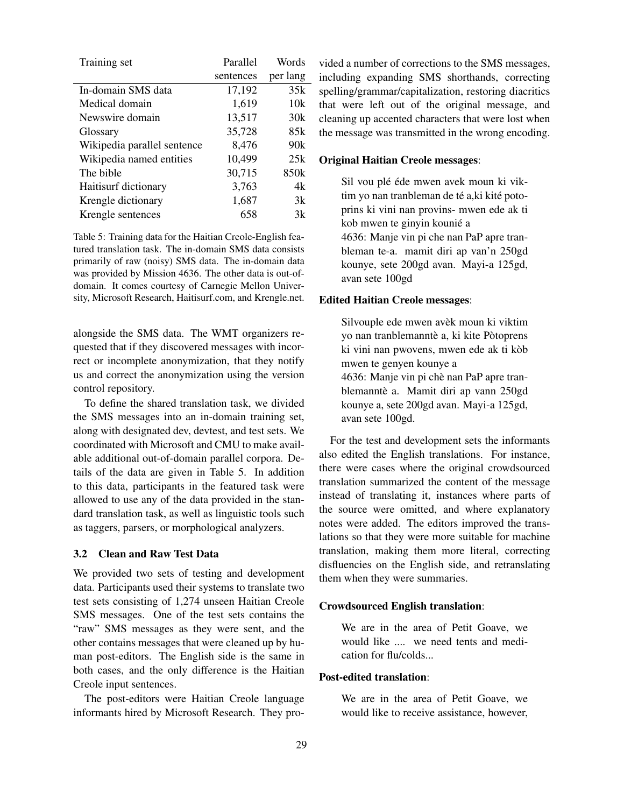| Training set                | Parallel  | Words    |
|-----------------------------|-----------|----------|
|                             | sentences | per lang |
| In-domain SMS data          | 17,192    | 35k      |
| Medical domain              | 1,619     | 10k      |
| Newswire domain             | 13,517    | 30k      |
| Glossary                    | 35,728    | 85k      |
| Wikipedia parallel sentence | 8,476     | 90k      |
| Wikipedia named entities    | 10,499    | 25k      |
| The bible                   | 30,715    | 850k     |
| Haitisurf dictionary        | 3,763     | 4k       |
| Krengle dictionary          | 1,687     | 3k       |
| Krengle sentences           | 658       | 3k       |

Table 5: Training data for the Haitian Creole-English featured translation task. The in-domain SMS data consists primarily of raw (noisy) SMS data. The in-domain data was provided by Mission 4636. The other data is out-ofdomain. It comes courtesy of Carnegie Mellon University, Microsoft Research, Haitisurf.com, and Krengle.net.

alongside the SMS data. The WMT organizers requested that if they discovered messages with incorrect or incomplete anonymization, that they notify us and correct the anonymization using the version control repository.

To define the shared translation task, we divided the SMS messages into an in-domain training set, along with designated dev, devtest, and test sets. We coordinated with Microsoft and CMU to make available additional out-of-domain parallel corpora. Details of the data are given in Table 5. In addition to this data, participants in the featured task were allowed to use any of the data provided in the standard translation task, as well as linguistic tools such as taggers, parsers, or morphological analyzers.

## 3.2 Clean and Raw Test Data

We provided two sets of testing and development data. Participants used their systems to translate two test sets consisting of 1,274 unseen Haitian Creole SMS messages. One of the test sets contains the "raw" SMS messages as they were sent, and the other contains messages that were cleaned up by human post-editors. The English side is the same in both cases, and the only difference is the Haitian Creole input sentences.

The post-editors were Haitian Creole language informants hired by Microsoft Research. They pro-

vided a number of corrections to the SMS messages, including expanding SMS shorthands, correcting spelling/grammar/capitalization, restoring diacritics that were left out of the original message, and cleaning up accented characters that were lost when the message was transmitted in the wrong encoding.

#### Original Haitian Creole messages:

Sil vou plé éde mwen avek moun ki viktim yo nan tranbleman de té a,ki kité potoprins ki vini nan provins- mwen ede ak ti kob mwen te ginyin kounié a 4636: Manje vin pi che nan PaP apre tranbleman te-a. mamit diri ap van'n 250gd kounye, sete 200gd avan. Mayi-a 125gd, avan sete 100gd

#### Edited Haitian Creole messages:

Silvouple ede mwen avek moun ki viktim ` yo nan tranblemanntè a, ki kite Pòtoprens ki vini nan pwovens, mwen ede ak ti kòb mwen te genyen kounye a 4636: Manje vin pi chè nan PaP apre tranblemanntè a. Mamit diri ap vann 250gd kounye a, sete 200gd avan. Mayi-a 125gd, avan sete 100gd.

For the test and development sets the informants also edited the English translations. For instance, there were cases where the original crowdsourced translation summarized the content of the message instead of translating it, instances where parts of the source were omitted, and where explanatory notes were added. The editors improved the translations so that they were more suitable for machine translation, making them more literal, correcting disfluencies on the English side, and retranslating them when they were summaries.

#### Crowdsourced English translation:

We are in the area of Petit Goave, we would like .... we need tents and medication for flu/colds...

## Post-edited translation:

We are in the area of Petit Goave, we would like to receive assistance, however,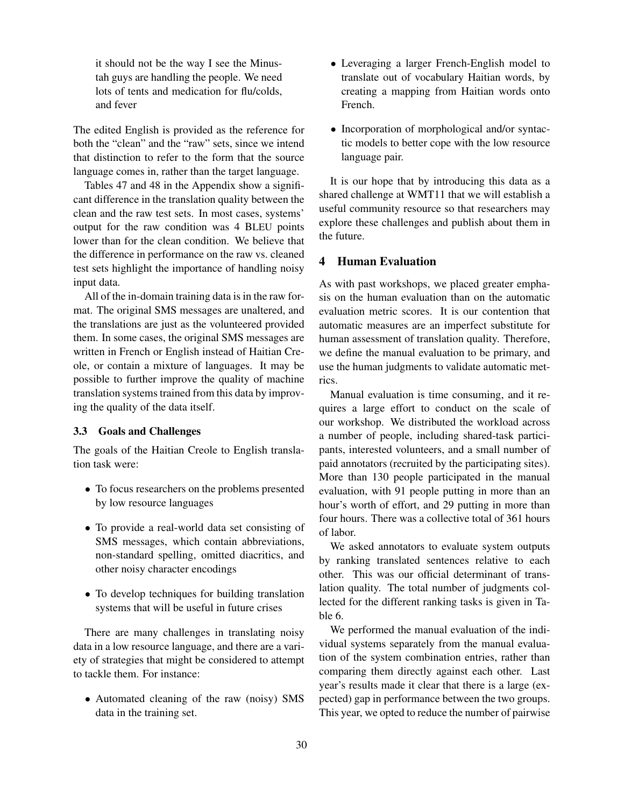it should not be the way I see the Minustah guys are handling the people. We need lots of tents and medication for flu/colds, and fever

The edited English is provided as the reference for both the "clean" and the "raw" sets, since we intend that distinction to refer to the form that the source language comes in, rather than the target language.

Tables 47 and 48 in the Appendix show a significant difference in the translation quality between the clean and the raw test sets. In most cases, systems' output for the raw condition was 4 BLEU points lower than for the clean condition. We believe that the difference in performance on the raw vs. cleaned test sets highlight the importance of handling noisy input data.

All of the in-domain training data is in the raw format. The original SMS messages are unaltered, and the translations are just as the volunteered provided them. In some cases, the original SMS messages are written in French or English instead of Haitian Creole, or contain a mixture of languages. It may be possible to further improve the quality of machine translation systems trained from this data by improving the quality of the data itself.

## 3.3 Goals and Challenges

The goals of the Haitian Creole to English translation task were:

- To focus researchers on the problems presented by low resource languages
- To provide a real-world data set consisting of SMS messages, which contain abbreviations, non-standard spelling, omitted diacritics, and other noisy character encodings
- To develop techniques for building translation systems that will be useful in future crises

There are many challenges in translating noisy data in a low resource language, and there are a variety of strategies that might be considered to attempt to tackle them. For instance:

• Automated cleaning of the raw (noisy) SMS data in the training set.

- Leveraging a larger French-English model to translate out of vocabulary Haitian words, by creating a mapping from Haitian words onto French.
- Incorporation of morphological and/or syntactic models to better cope with the low resource language pair.

It is our hope that by introducing this data as a shared challenge at WMT11 that we will establish a useful community resource so that researchers may explore these challenges and publish about them in the future.

## 4 Human Evaluation

As with past workshops, we placed greater emphasis on the human evaluation than on the automatic evaluation metric scores. It is our contention that automatic measures are an imperfect substitute for human assessment of translation quality. Therefore, we define the manual evaluation to be primary, and use the human judgments to validate automatic metrics.

Manual evaluation is time consuming, and it requires a large effort to conduct on the scale of our workshop. We distributed the workload across a number of people, including shared-task participants, interested volunteers, and a small number of paid annotators (recruited by the participating sites). More than 130 people participated in the manual evaluation, with 91 people putting in more than an hour's worth of effort, and 29 putting in more than four hours. There was a collective total of 361 hours of labor.

We asked annotators to evaluate system outputs by ranking translated sentences relative to each other. This was our official determinant of translation quality. The total number of judgments collected for the different ranking tasks is given in Table 6.

We performed the manual evaluation of the individual systems separately from the manual evaluation of the system combination entries, rather than comparing them directly against each other. Last year's results made it clear that there is a large (expected) gap in performance between the two groups. This year, we opted to reduce the number of pairwise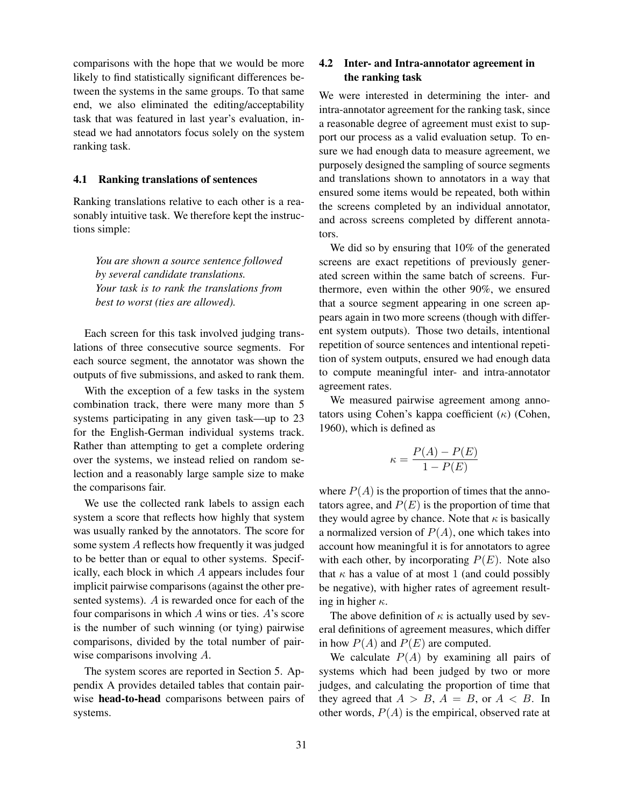comparisons with the hope that we would be more likely to find statistically significant differences between the systems in the same groups. To that same end, we also eliminated the editing/acceptability task that was featured in last year's evaluation, instead we had annotators focus solely on the system ranking task.

#### 4.1 Ranking translations of sentences

Ranking translations relative to each other is a reasonably intuitive task. We therefore kept the instructions simple:

*You are shown a source sentence followed by several candidate translations. Your task is to rank the translations from best to worst (ties are allowed).*

Each screen for this task involved judging translations of three consecutive source segments. For each source segment, the annotator was shown the outputs of five submissions, and asked to rank them.

With the exception of a few tasks in the system combination track, there were many more than 5 systems participating in any given task—up to 23 for the English-German individual systems track. Rather than attempting to get a complete ordering over the systems, we instead relied on random selection and a reasonably large sample size to make the comparisons fair.

We use the collected rank labels to assign each system a score that reflects how highly that system was usually ranked by the annotators. The score for some system A reflects how frequently it was judged to be better than or equal to other systems. Specifically, each block in which A appears includes four implicit pairwise comparisons (against the other presented systems). A is rewarded once for each of the four comparisons in which  $A$  wins or ties.  $A$ 's score is the number of such winning (or tying) pairwise comparisons, divided by the total number of pairwise comparisons involving A.

The system scores are reported in Section 5. Appendix A provides detailed tables that contain pairwise head-to-head comparisons between pairs of systems.

# 4.2 Inter- and Intra-annotator agreement in the ranking task

We were interested in determining the inter- and intra-annotator agreement for the ranking task, since a reasonable degree of agreement must exist to support our process as a valid evaluation setup. To ensure we had enough data to measure agreement, we purposely designed the sampling of source segments and translations shown to annotators in a way that ensured some items would be repeated, both within the screens completed by an individual annotator, and across screens completed by different annotators.

We did so by ensuring that 10% of the generated screens are exact repetitions of previously generated screen within the same batch of screens. Furthermore, even within the other 90%, we ensured that a source segment appearing in one screen appears again in two more screens (though with different system outputs). Those two details, intentional repetition of source sentences and intentional repetition of system outputs, ensured we had enough data to compute meaningful inter- and intra-annotator agreement rates.

We measured pairwise agreement among annotators using Cohen's kappa coefficient  $(\kappa)$  (Cohen, 1960), which is defined as

$$
\kappa = \frac{P(A) - P(E)}{1 - P(E)}
$$

where  $P(A)$  is the proportion of times that the annotators agree, and  $P(E)$  is the proportion of time that they would agree by chance. Note that  $\kappa$  is basically a normalized version of  $P(A)$ , one which takes into account how meaningful it is for annotators to agree with each other, by incorporating  $P(E)$ . Note also that  $\kappa$  has a value of at most 1 (and could possibly be negative), with higher rates of agreement resulting in higher  $\kappa$ .

The above definition of  $\kappa$  is actually used by several definitions of agreement measures, which differ in how  $P(A)$  and  $P(E)$  are computed.

We calculate  $P(A)$  by examining all pairs of systems which had been judged by two or more judges, and calculating the proportion of time that they agreed that  $A > B$ ,  $A = B$ , or  $A < B$ . In other words,  $P(A)$  is the empirical, observed rate at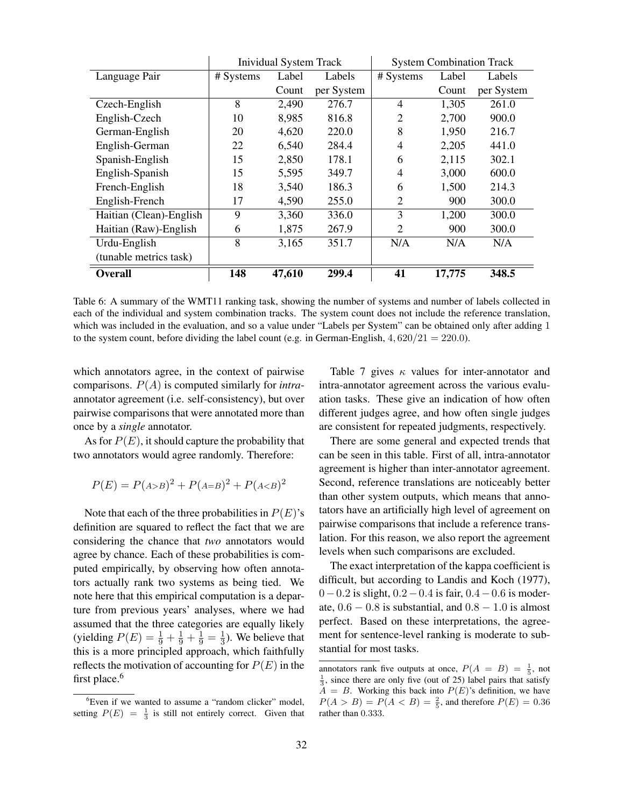|                         |           | <b>Inividual System Track</b> |            |                |        | <b>System Combination Track</b> |
|-------------------------|-----------|-------------------------------|------------|----------------|--------|---------------------------------|
| Language Pair           | # Systems | Label                         | Labels     | # Systems      | Label  | Labels                          |
|                         |           | Count                         | per System |                | Count  | per System                      |
| Czech-English           | 8         | 2,490                         | 276.7      | 4              | 1,305  | 261.0                           |
| English-Czech           | 10        | 8,985                         | 816.8      | $\overline{2}$ | 2,700  | 900.0                           |
| German-English          | 20        | 4,620                         | 220.0      | 8              | 1,950  | 216.7                           |
| English-German          | 22        | 6,540                         | 284.4      | $\overline{4}$ | 2,205  | 441.0                           |
| Spanish-English         | 15        | 2,850                         | 178.1      | 6              | 2,115  | 302.1                           |
| English-Spanish         | 15        | 5,595                         | 349.7      | 4              | 3,000  | 600.0                           |
| French-English          | 18        | 3,540                         | 186.3      | 6              | 1,500  | 214.3                           |
| English-French          | 17        | 4,590                         | 255.0      | $\overline{2}$ | 900    | 300.0                           |
| Haitian (Clean)-English | 9         | 3,360                         | 336.0      | 3              | 1,200  | 300.0                           |
| Haitian (Raw)-English   | 6         | 1,875                         | 267.9      | $\overline{2}$ | 900    | 300.0                           |
| Urdu-English            | 8         | 3,165                         | 351.7      | N/A            | N/A    | N/A                             |
| (tunable metrics task)  |           |                               |            |                |        |                                 |
| <b>Overall</b>          | 148       | 47,610                        | 299.4      | 41             | 17,775 | 348.5                           |

Table 6: A summary of the WMT11 ranking task, showing the number of systems and number of labels collected in each of the individual and system combination tracks. The system count does not include the reference translation, which was included in the evaluation, and so a value under "Labels per System" can be obtained only after adding 1 to the system count, before dividing the label count (e.g. in German-English,  $4,620/21 = 220.0$ ).

which annotators agree, in the context of pairwise comparisons. P(A) is computed similarly for *intra*annotator agreement (i.e. self-consistency), but over pairwise comparisons that were annotated more than once by a *single* annotator.

As for  $P(E)$ , it should capture the probability that two annotators would agree randomly. Therefore:

$$
P(E) = P(A > B)^{2} + P(A = B)^{2} + P(A < B)^{2}
$$

Note that each of the three probabilities in  $P(E)$ 's definition are squared to reflect the fact that we are considering the chance that *two* annotators would agree by chance. Each of these probabilities is computed empirically, by observing how often annotators actually rank two systems as being tied. We note here that this empirical computation is a departure from previous years' analyses, where we had assumed that the three categories are equally likely (yielding  $P(E) = \frac{1}{9} + \frac{1}{9} + \frac{1}{9} = \frac{1}{3}$  $\frac{1}{3}$ ). We believe that this is a more principled approach, which faithfully reflects the motivation of accounting for  $P(E)$  in the first place.<sup>6</sup>

Table 7 gives  $\kappa$  values for inter-annotator and intra-annotator agreement across the various evaluation tasks. These give an indication of how often different judges agree, and how often single judges are consistent for repeated judgments, respectively.

There are some general and expected trends that can be seen in this table. First of all, intra-annotator agreement is higher than inter-annotator agreement. Second, reference translations are noticeably better than other system outputs, which means that annotators have an artificially high level of agreement on pairwise comparisons that include a reference translation. For this reason, we also report the agreement levels when such comparisons are excluded.

The exact interpretation of the kappa coefficient is difficult, but according to Landis and Koch (1977),  $0-0.2$  is slight,  $0.2-0.4$  is fair,  $0.4-0.6$  is moderate,  $0.6 - 0.8$  is substantial, and  $0.8 - 1.0$  is almost perfect. Based on these interpretations, the agreement for sentence-level ranking is moderate to substantial for most tasks.

<sup>&</sup>lt;sup>6</sup>Even if we wanted to assume a "random clicker" model, setting  $P(E) = \frac{1}{3}$  is still not entirely correct. Given that

annotators rank five outputs at once,  $P(A = B) = \frac{1}{5}$ , not  $\frac{1}{3}$ , since there are only five (out of 25) label pairs that satisfy  $A = B$ . Working this back into  $P(E)$ 's definition, we have  $P(A > B) = P(A < B) = \frac{2}{5}$ , and therefore  $P(E) = 0.36$ rather than 0.333.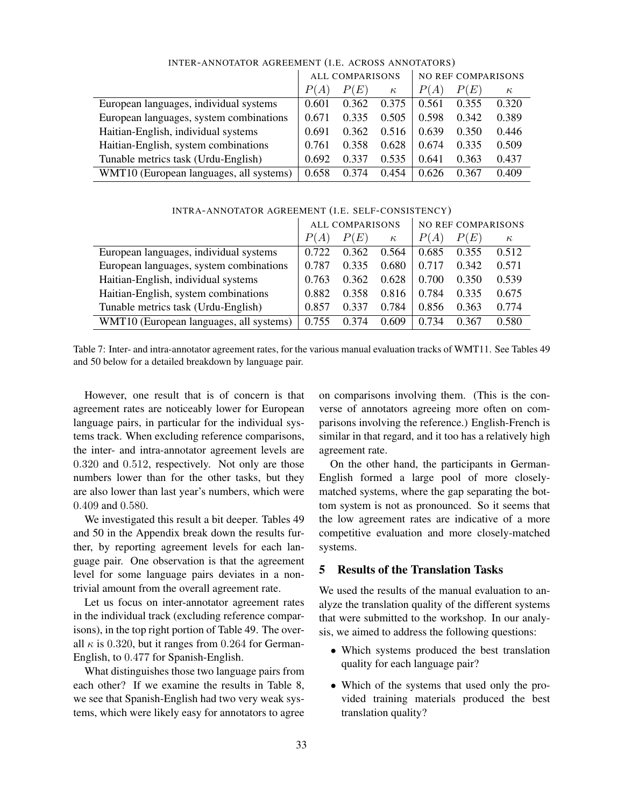|                                         | <b>ALL COMPARISONS</b> |       |          | <b>NO REF COMPARISONS</b> |       |          |
|-----------------------------------------|------------------------|-------|----------|---------------------------|-------|----------|
|                                         | P(A)                   | P(E)  | $\kappa$ | P(A)                      | P(E)  | $\kappa$ |
| European languages, individual systems  | 0.601                  | 0.362 | 0.375    | 0.561                     | 0.355 | 0.320    |
| European languages, system combinations | 0.671                  | 0.335 | 0.505    | 0.598                     | 0.342 | 0.389    |
| Haitian-English, individual systems     | 0.691                  | 0.362 | 0.516    | 0.639                     | 0.350 | 0.446    |
| Haitian-English, system combinations    | 0.761                  | 0.358 | 0.628    | 0.674                     | 0.335 | 0.509    |
| Tunable metrics task (Urdu-English)     | 0.692                  | 0.337 | 0.535    | 0.641                     | 0.363 | 0.437    |
| WMT10 (European languages, all systems) | 0.658                  | 0.374 | 0.454    | 0.626                     | 0.367 | 0.409    |

INTER-ANNOTATOR AGREEMENT (I.E. ACROSS ANNOTATORS)

|                                         | ALL COMPARISONS |       |          | <b>NO REF COMPARISONS</b> |       |          |
|-----------------------------------------|-----------------|-------|----------|---------------------------|-------|----------|
|                                         | P(A)            | P(E)  | $\kappa$ | P(A)                      | P(E)  | $\kappa$ |
| European languages, individual systems  | 0.722           | 0.362 | 0.564    | 0.685                     | 0.355 | 0.512    |
| European languages, system combinations | 0.787           | 0.335 | 0.680    | 0.717                     | 0.342 | 0.571    |
| Haitian-English, individual systems     | 0.763           | 0.362 | 0.628    | 0.700                     | 0.350 | 0.539    |
| Haitian-English, system combinations    | 0.882           | 0.358 | 0.816    | 0.784                     | 0.335 | 0.675    |
| Tunable metrics task (Urdu-English)     | 0.857           | 0.337 | 0.784    | 0.856                     | 0.363 | 0.774    |
| WMT10 (European languages, all systems) | 0.755           | 0.374 | 0.609    | 0.734                     | 0.367 | 0.580    |

INTRA-ANNOTATOR AGREEMENT (I.E. SELF-CONSISTENCY)

Table 7: Inter- and intra-annotator agreement rates, for the various manual evaluation tracks of WMT11. See Tables 49 and 50 below for a detailed breakdown by language pair.

However, one result that is of concern is that agreement rates are noticeably lower for European language pairs, in particular for the individual systems track. When excluding reference comparisons, the inter- and intra-annotator agreement levels are 0.320 and 0.512, respectively. Not only are those numbers lower than for the other tasks, but they are also lower than last year's numbers, which were 0.409 and 0.580.

We investigated this result a bit deeper. Tables 49 and 50 in the Appendix break down the results further, by reporting agreement levels for each language pair. One observation is that the agreement level for some language pairs deviates in a nontrivial amount from the overall agreement rate.

Let us focus on inter-annotator agreement rates in the individual track (excluding reference comparisons), in the top right portion of Table 49. The overall  $\kappa$  is 0.320, but it ranges from 0.264 for German-English, to 0.477 for Spanish-English.

What distinguishes those two language pairs from each other? If we examine the results in Table 8, we see that Spanish-English had two very weak systems, which were likely easy for annotators to agree on comparisons involving them. (This is the converse of annotators agreeing more often on comparisons involving the reference.) English-French is similar in that regard, and it too has a relatively high agreement rate.

On the other hand, the participants in German-English formed a large pool of more closelymatched systems, where the gap separating the bottom system is not as pronounced. So it seems that the low agreement rates are indicative of a more competitive evaluation and more closely-matched systems.

#### 5 Results of the Translation Tasks

We used the results of the manual evaluation to analyze the translation quality of the different systems that were submitted to the workshop. In our analysis, we aimed to address the following questions:

- Which systems produced the best translation quality for each language pair?
- Which of the systems that used only the provided training materials produced the best translation quality?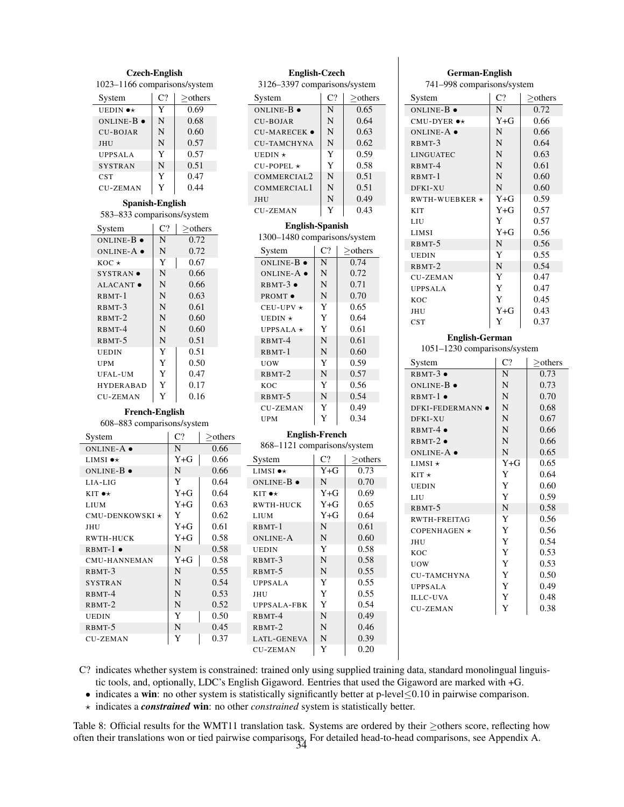| <b>Czech-English</b>         |             |               |               | <b>English-Czech</b>         |             |               | <b>German-English</b>                                 |             |            |
|------------------------------|-------------|---------------|---------------|------------------------------|-------------|---------------|-------------------------------------------------------|-------------|------------|
| 1023-1166 comparisons/system |             |               |               | 3126-3397 comparisons/system |             |               | 741-998 comparisons/system                            |             |            |
| System                       | C?          | $>$ others    |               | System                       | C?          | $>$ others    | System                                                | C?          | $>$ others |
| UEDIN $\bullet\star$         | Y           | 0.69          |               | ONLINE-B ·                   | ${\bf N}$   | 0.65          | ONLINE-B ·                                            | ${\bf N}$   | 0.72       |
| ONLINE- $B \bullet$          | $\mathbf N$ | 0.68          |               | <b>CU-BOJAR</b>              | N           | 0.64          | CMU-DYER $\bullet\star$                               | $Y + G$     | 0.66       |
| <b>CU-BOJAR</b>              | $\mathbf N$ | 0.60          |               | <b>CU-MARECEK ·</b>          | N           | 0.63          | ONLINE-A ·                                            | N           | 0.66       |
| <b>JHU</b>                   | $\mathbf N$ | 0.57          |               | <b>CU-TAMCHYNA</b>           | $\mathbf N$ | 0.62          | RBMT-3                                                | N           | 0.64       |
| <b>UPPSALA</b>               | Y           | 0.57          |               | UEDIN $\star$                | Y           | 0.59          | <b>LINGUATEC</b>                                      | N           | 0.63       |
| <b>SYSTRAN</b>               | $\mathbf N$ | 0.51          |               | CU-POPEL *                   | Y           | 0.58          | RBMT-4                                                | N           | 0.61       |
| <b>CST</b>                   | Y           | 0.47          |               | COMMERCIAL2                  | $\mathbf N$ | 0.51          | $RBMT-1$                                              | N           | 0.60       |
| <b>CU-ZEMAN</b>              | Y           | 0.44          |               | COMMERCIAL1                  | N           | 0.51          | DFKI-XU                                               | N           | 0.60       |
| Spanish-English              |             |               |               | <b>JHU</b>                   | N           | 0.49          | RWTH-WUEBKER $\star$                                  | Y+G         | 0.59       |
| 583-833 comparisons/system   |             |               |               | <b>CU-ZEMAN</b>              | Y           | 0.43          | <b>KIT</b>                                            | $Y + G$     | 0.57       |
|                              |             |               |               | <b>English-Spanish</b>       |             |               | LIU                                                   | Y           | 0.57       |
| System                       | C?          | $\geq$ others |               | 1300-1480 comparisons/system |             |               | <b>LIMSI</b>                                          | $Y + G$     | 0.56       |
| ONLINE-B ·                   | $\mathbf N$ | 0.72          |               |                              |             |               | RBMT-5                                                | $\mathbf N$ | 0.56       |
| ONLINE-A ●                   | $\mathbf N$ | 0.72          |               | System                       | C?          | $>$ others    | <b>UEDIN</b>                                          | Y           | 0.55       |
| $KOC*$                       | Y           | 0.67          |               | ONLINE-B ·                   | ${\bf N}$   | 0.74          | RBMT-2                                                | N           | 0.54       |
| SYSTRAN <sup>o</sup>         | N           | 0.66          |               | ONLINE-A ·                   | N           | 0.72          | <b>CU-ZEMAN</b>                                       | Y           | 0.47       |
| <b>ALACANT</b> $\bullet$     | N           | 0.66          |               | $RBMT-3$                     | N           | 0.71          | <b>UPPSALA</b>                                        | Y           | 0.47       |
| RBMT-1                       | N           | 0.63          |               | PROMT .                      | N           | 0.70          | <b>KOC</b>                                            | Y           | 0.45       |
| RBMT-3                       | N           | 0.61          |               | CEU-UPV $\star$              | Y           | 0.65          | JHU                                                   | $Y + G$     | 0.43       |
| $RBMT-2$                     | N           | 0.60          |               | UEDIN $\star$                | Y           | 0.64          | CST                                                   | Y           | 0.37       |
| RBMT-4                       | N           | 0.60          |               | UPPSALA $\star$              | Y           | 0.61          |                                                       |             |            |
| RBMT-5                       | N           | 0.51          |               | RBMT-4                       | $\mathbf N$ | 0.61          | <b>English-German</b><br>1051-1230 comparisons/system |             |            |
| <b>UEDIN</b>                 | Y           | 0.51          |               | RBMT-1                       | N           | 0.60          |                                                       |             |            |
| <b>UPM</b>                   | Y           | 0.50          |               | <b>UOW</b>                   | Y           | 0.59          | System                                                | C?          | $>$ others |
| UFAL-UM                      | Y           | 0.47          |               | RBMT-2                       | N           | 0.57          | $RBMT-3$                                              | ${\bf N}$   | 0.73       |
| <b>HYDERABAD</b>             | Y           | 0.17          |               | KOC                          | Y           | 0.56          | ONLINE- $B$ $\bullet$                                 | $\mathbf N$ | 0.73       |
| <b>CU-ZEMAN</b>              | Y           | 0.16          |               | $RBMT-5$                     | N           | 0.54          | $RBMT-1$                                              | N           | 0.70       |
| <b>French-English</b>        |             |               |               | <b>CU-ZEMAN</b>              | Y           | 0.49          | <b>DFKI-FEDERMANN ·</b>                               | N           | 0.68       |
| 608-883 comparisons/system   |             |               |               | <b>UPM</b>                   | Y           | 0.34          | DFKI-XU                                               | N           | 0.67       |
| System                       |             | C?            | $\geq$ others | <b>English-French</b>        |             |               | $RBMT-4$                                              | N           | 0.66       |
| ONLINE-A ·                   |             | ${\bf N}$     | 0.66          | 868-1121 comparisons/system  |             |               | $RBMT-2$                                              | $\mathbf N$ | 0.66       |
| LIMSI $\bullet\star$         |             | $Y + G$       | 0.66          | System                       | C?          | $\geq$ others | ONLINE- $A$ $\bullet$                                 | N           | 0.65       |
| ONLINE-B $\bullet$           |             | N             | 0.66          | LIMSI <sup>●*</sup>          | $Y + G$     | 0.73          | LIMSI $\star$                                         | $Y + G$     | 0.65       |
| LIA-LIG                      |             | Y             | 0.64          | ONLINE-B $\bullet$           | N           | 0.70          | $KIT$ *                                               | Y           | 0.64       |
| KIT •*                       |             | $Y + G$       | 0.64          | KIT $\bullet\star$           | Y+G         | 0.69          | <b>UEDIN</b>                                          | Y           | 0.60       |
| <b>LIUM</b>                  |             | Y+G           | 0.63          | RWTH-HUCK                    | Y+G         | 0.65          | LIU                                                   | Y           | 0.59       |
| CMU-DENKOWSKI $\star$        |             | Y             | 0.62          | LIUM                         | $Y + G$     | 0.64          | RBMT-5                                                | N           | 0.58       |
| JHU                          |             | $Y + G$       | 0.61          | $RBMT-1$                     | ${\bf N}$   | 0.61          | RWTH-FREITAG                                          | Y           | 0.56       |
| RWTH-HUCK                    |             | $Y + G$       | 0.58          | ONLINE-A                     | ${\bf N}$   | 0.60          | COPENHAGEN $\star$                                    | Y           | 0.56       |
| $RBMT-1$ $\bullet$           |             | $\mathbf N$   | 0.58          | <b>UEDIN</b>                 | Y           | 0.58          | JHU                                                   | Y           | 0.54       |
| CMU-HANNEMAN                 |             | $Y + G$       | 0.58          | RBMT-3                       | ${\bf N}$   | 0.58          | KOC                                                   | Y           | 0.53       |
| RBMT-3                       |             | $\mathbf N$   | 0.55          | RBMT-5                       | ${\bf N}$   | 0.55          | <b>UOW</b>                                            | Y           | 0.53       |
| <b>SYSTRAN</b>               |             | ${\bf N}$     | 0.54          | UPPSALA                      | Y           | 0.55          | <b>CU-TAMCHYNA</b>                                    | Y           | 0.50       |
| RBMT-4                       |             | ${\bf N}$     | 0.53          | JHU                          | Y           | 0.55          | <b>UPPSALA</b>                                        | Y           | 0.49       |
| RBMT-2                       |             | ${\bf N}$     | 0.52          | UPPSALA-FBK                  | $\mathbf Y$ | 0.54          | ILLC-UVA                                              | Y           | 0.48       |
| <b>UEDIN</b>                 |             | Y             | 0.50          | RBMT-4                       | ${\bf N}$   | 0.49          | <b>CU-ZEMAN</b>                                       | Y           | 0.38       |
| RBMT-5                       |             | ${\bf N}$     | 0.45          | RBMT-2                       | ${\bf N}$   | 0.46          |                                                       |             |            |
| <b>CU-ZEMAN</b>              |             | Y             | 0.37          | LATL-GENEVA                  | $\mathbf N$ | 0.39          |                                                       |             |            |
|                              |             |               |               | <b>CU-ZEMAN</b>              | Y           | 0.20          |                                                       |             |            |

C? indicates whether system is constrained: trained only using supplied training data, standard monolingual linguistic tools, and, optionally, LDC's English Gigaword. Eentries that used the Gigaword are marked with +G.

• indicates a win: no other system is statistically significantly better at p-level≤0.10 in pairwise comparison.

? indicates a *constrained* win: no other *constrained* system is statistically better.

Table 8: Official results for the WMT11 translation task. Systems are ordered by their ≥others score, reflecting how often their translations won or tied pairwise comparisons. For detailed head-to-head comparisons, see Appendix A. 34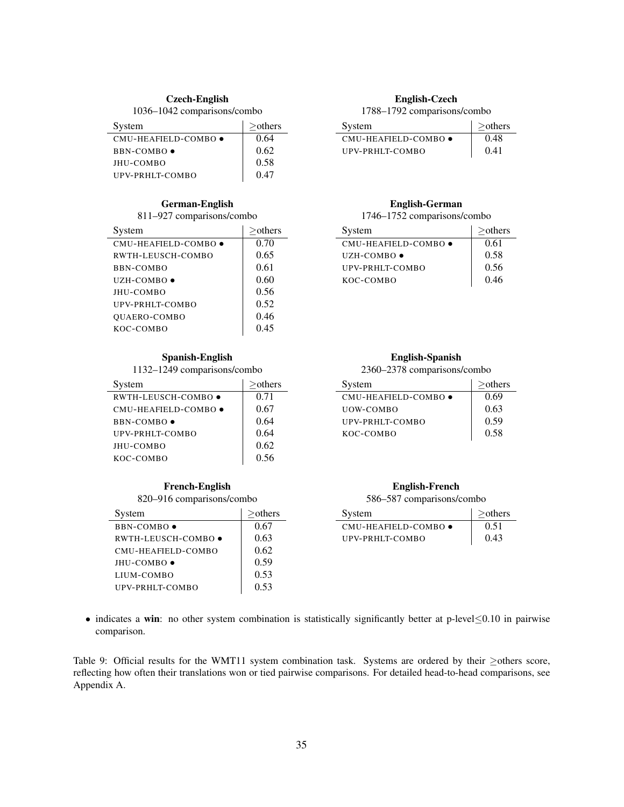#### Czech-English

1036–1042 comparisons/combo

| System               | $>$ others |
|----------------------|------------|
| CMU-HEAFIELD-COMBO . | 0.64       |
| BBN-COMBO $\bullet$  | 0.62       |
| JHU-COMBO            | 0.58       |
| UPV-PRHLT-COMBO      | በ 47       |

#### German-English

811–927 comparisons/combo

| System               | $>$ others |
|----------------------|------------|
| CMU-HEAFIELD-COMBO . | 0.70       |
| RWTH-LEUSCH-COMBO    | 0.65       |
| BBN-COMBO            | 0.61       |
| UZH-COMBO ●          | 0.60       |
| <b>JHU-COMBO</b>     | 0.56       |
| UPV-PRHLT-COMBO      | 0.52       |
| <b>OUAERO-COMBO</b>  | 0.46       |
| KOC-COMBO            | 0.45       |

#### Spanish-English

1132–1249 comparisons/combo

| System               | $>$ others |
|----------------------|------------|
| RWTH-LEUSCH-COMBO .  | 0.71       |
| CMU-HEAFIELD-COMBO . | 0.67       |
| BBN-COMBO ●          | 0.64       |
| UPV-PRHLT-COMBO      | 0.64       |
| JHU-COMBO            | 0.62       |
| KOC-COMBO            | 0.56       |

## French-English

820–916 comparisons/combo

| System                 | $>$ others |
|------------------------|------------|
| $BBN-COMBO$            | 0.67       |
| RWTH-LEUSCH-COMBO .    | 0.63       |
| CMU-HEAFIELD-COMBO     | 0.62       |
| JHU-COMBO $\bullet$    | 0.59       |
| LIUM-COMBO             | 0.53       |
| <b>UPV-PRHLT-COMBO</b> | 0.53       |

#### English-Czech

1788–1792 comparisons/combo

| System                         | $>$ others |
|--------------------------------|------------|
| $CMU-HEAFIELD-COMBO$ $\bullet$ | 0.48       |
| <b>UPV-PRHLT-COMBO</b>         | 0.41       |

#### English-German

1746–1752 comparisons/combo

| System                 | $\geq$ others |
|------------------------|---------------|
| CMU-HEAFIELD-COMBO ●   | 0.61          |
| UZH-COMBO ●            | 0.58          |
| <b>UPV-PRHLT-COMBO</b> | 0.56          |
| KOC-COMBO              | 0.46          |

#### English-Spanish

2360–2378 comparisons/combo

| System               | $\geq$ others |
|----------------------|---------------|
| CMU-HEAFIELD-COMBO . | 0.69          |
| UOW-COMBO            | 0.63          |
| UPV-PRHLT-COMBO      | 0.59          |
| KOC-COMBO            | 0.58          |

## English-French

586–587 comparisons/combo

| System                 | $>$ others |
|------------------------|------------|
| CMU-HEAFIELD-COMBO .   | 0.51       |
| <b>UPV-PRHLT-COMBO</b> | 0.43       |

• indicates a win: no other system combination is statistically significantly better at p-level≤0.10 in pairwise comparison.

Table 9: Official results for the WMT11 system combination task. Systems are ordered by their ≥others score, reflecting how often their translations won or tied pairwise comparisons. For detailed head-to-head comparisons, see Appendix A.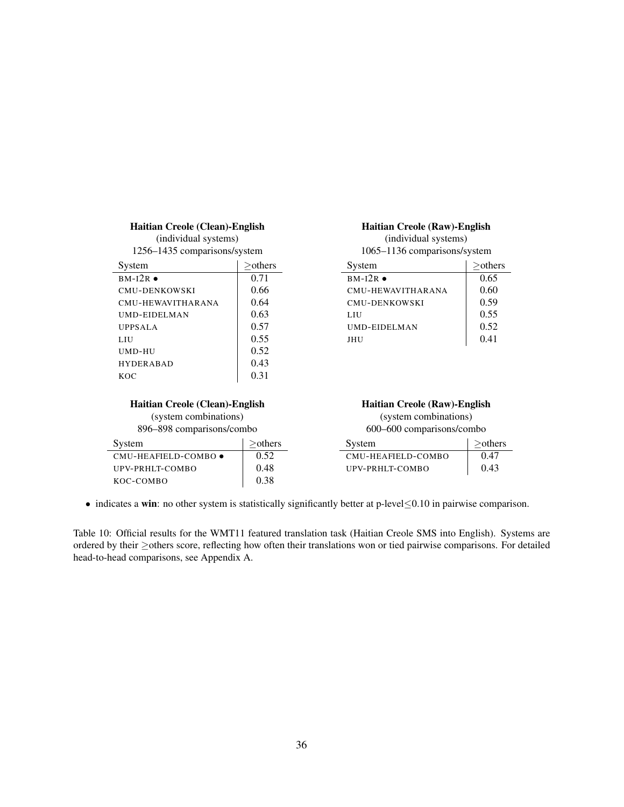| (individual systems)         |            |  |  |  |  |
|------------------------------|------------|--|--|--|--|
| 1256-1435 comparisons/system |            |  |  |  |  |
| System                       | $>$ others |  |  |  |  |
| $BM-I2R$                     | 0.71       |  |  |  |  |
| CMU-DENKOWSKI                | 0.66       |  |  |  |  |
| CMU-HEWAVITHARANA            | 0.64       |  |  |  |  |
| UMD-EIDELMAN                 | 0.63       |  |  |  |  |
| <b>UPPSALA</b>               | 0.57       |  |  |  |  |
| LHI                          | 0.55       |  |  |  |  |
| UMD-HU                       | 0.52       |  |  |  |  |
| <b>HYDERABAD</b>             | 0.43       |  |  |  |  |
| KOC.                         | 0.31       |  |  |  |  |
|                              |            |  |  |  |  |

Haitian Creole (Clean)-English

#### Haitian Creole (Raw)-English

| (individual systems)<br>1065-1136 comparisons/system |            |  |  |  |  |
|------------------------------------------------------|------------|--|--|--|--|
| System                                               | $>$ others |  |  |  |  |
| $BM-I2R$ $\bullet$                                   | 0.65       |  |  |  |  |
| CMU-HEWAVITHARANA                                    | 0.60       |  |  |  |  |
| CMU-DENKOWSKI                                        | 0.59       |  |  |  |  |
| LHU                                                  | 0.55       |  |  |  |  |
| UMD-EIDELMAN                                         | 0.52       |  |  |  |  |
| IHU                                                  | 0.41       |  |  |  |  |

## Haitian Creole (Clean)-English (system combinations)

896–898 comparisons/combo

| System                 | $>$ others |
|------------------------|------------|
| CMU-HEAFIELD-COMBO .   | 0.52       |
| <b>UPV-PRHLT-COMBO</b> | 0.48       |
| KOC-COMBO              | 0.38       |

#### Haitian Creole (Raw)-English

(system combinations) 600–600 comparisons/combo

| $000-000$ comparisons/compo |            |  |  |  |  |  |
|-----------------------------|------------|--|--|--|--|--|
| System                      | $>$ others |  |  |  |  |  |
| CMU-HEAFIELD-COMBO          | 0.47       |  |  |  |  |  |
| UPV-PRHLT-COMBO             | 0.43       |  |  |  |  |  |

• indicates a win: no other system is statistically significantly better at p-level≤0.10 in pairwise comparison.

Table 10: Official results for the WMT11 featured translation task (Haitian Creole SMS into English). Systems are ordered by their ≥others score, reflecting how often their translations won or tied pairwise comparisons. For detailed head-to-head comparisons, see Appendix A.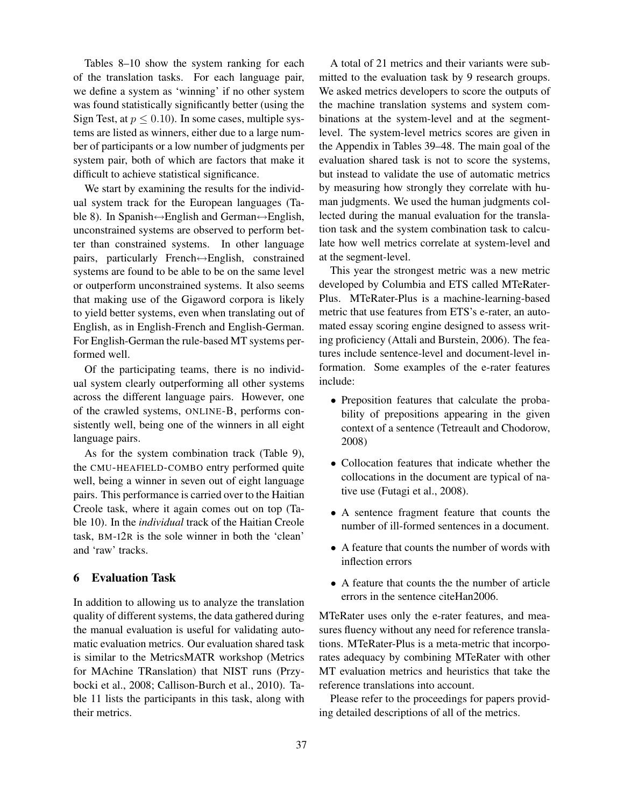Tables 8–10 show the system ranking for each of the translation tasks. For each language pair, we define a system as 'winning' if no other system was found statistically significantly better (using the Sign Test, at  $p \leq 0.10$ ). In some cases, multiple systems are listed as winners, either due to a large number of participants or a low number of judgments per system pair, both of which are factors that make it difficult to achieve statistical significance.

We start by examining the results for the individual system track for the European languages (Table 8). In Spanish↔English and German↔English, unconstrained systems are observed to perform better than constrained systems. In other language pairs, particularly French↔English, constrained systems are found to be able to be on the same level or outperform unconstrained systems. It also seems that making use of the Gigaword corpora is likely to yield better systems, even when translating out of English, as in English-French and English-German. For English-German the rule-based MT systems performed well.

Of the participating teams, there is no individual system clearly outperforming all other systems across the different language pairs. However, one of the crawled systems, ONLINE-B, performs consistently well, being one of the winners in all eight language pairs.

As for the system combination track (Table 9), the CMU-HEAFIELD-COMBO entry performed quite well, being a winner in seven out of eight language pairs. This performance is carried over to the Haitian Creole task, where it again comes out on top (Table 10). In the *individual* track of the Haitian Creole task, BM-I2R is the sole winner in both the 'clean' and 'raw' tracks.

# 6 Evaluation Task

In addition to allowing us to analyze the translation quality of different systems, the data gathered during the manual evaluation is useful for validating automatic evaluation metrics. Our evaluation shared task is similar to the MetricsMATR workshop (Metrics for MAchine TRanslation) that NIST runs (Przybocki et al., 2008; Callison-Burch et al., 2010). Table 11 lists the participants in this task, along with their metrics.

A total of 21 metrics and their variants were submitted to the evaluation task by 9 research groups. We asked metrics developers to score the outputs of the machine translation systems and system combinations at the system-level and at the segmentlevel. The system-level metrics scores are given in the Appendix in Tables 39–48. The main goal of the evaluation shared task is not to score the systems, but instead to validate the use of automatic metrics by measuring how strongly they correlate with human judgments. We used the human judgments collected during the manual evaluation for the translation task and the system combination task to calculate how well metrics correlate at system-level and at the segment-level.

This year the strongest metric was a new metric developed by Columbia and ETS called MTeRater-Plus. MTeRater-Plus is a machine-learning-based metric that use features from ETS's e-rater, an automated essay scoring engine designed to assess writing proficiency (Attali and Burstein, 2006). The features include sentence-level and document-level information. Some examples of the e-rater features include:

- Preposition features that calculate the probability of prepositions appearing in the given context of a sentence (Tetreault and Chodorow, 2008)
- Collocation features that indicate whether the collocations in the document are typical of native use (Futagi et al., 2008).
- A sentence fragment feature that counts the number of ill-formed sentences in a document.
- A feature that counts the number of words with inflection errors
- A feature that counts the the number of article errors in the sentence citeHan2006.

MTeRater uses only the e-rater features, and measures fluency without any need for reference translations. MTeRater-Plus is a meta-metric that incorporates adequacy by combining MTeRater with other MT evaluation metrics and heuristics that take the reference translations into account.

Please refer to the proceedings for papers providing detailed descriptions of all of the metrics.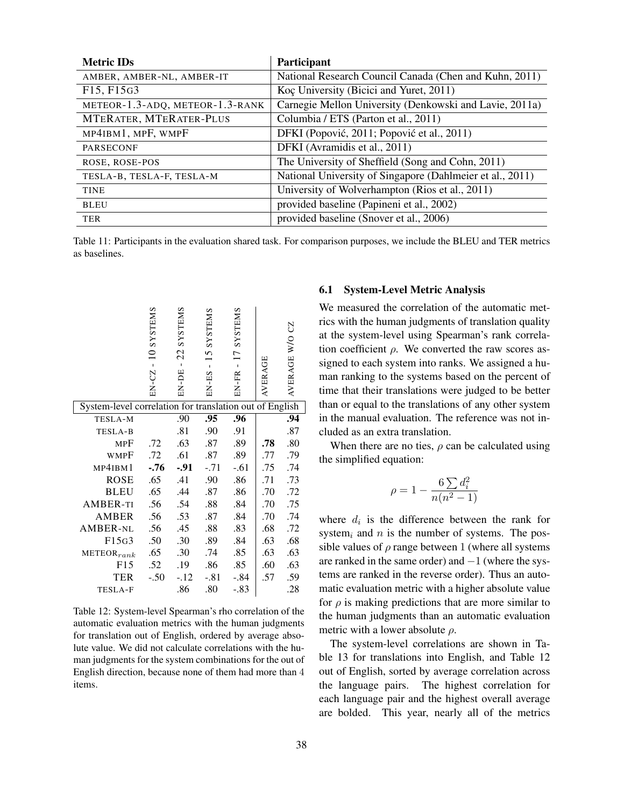| <b>Metric IDs</b>               | Participant                                               |
|---------------------------------|-----------------------------------------------------------|
| AMBER, AMBER-NL, AMBER-IT       | National Research Council Canada (Chen and Kuhn, 2011)    |
| F15, F15G3                      | Koç University (Bicici and Yuret, 2011)                   |
| METEOR-1.3-ADQ, METEOR-1.3-RANK | Carnegie Mellon University (Denkowski and Lavie, 2011a)   |
| MTERATER, MTERATER-PLUS         | Columbia / ETS (Parton et al., 2011)                      |
| MP4IBM1, MPF, WMPF              | DFKI (Popović, 2011; Popović et al., 2011)                |
| <b>PARSECONF</b>                | DFKI (Avramidis et al., 2011)                             |
| ROSE, ROSE-POS                  | The University of Sheffield (Song and Cohn, 2011)         |
| TESLA-B, TESLA-F, TESLA-M       | National University of Singapore (Dahlmeier et al., 2011) |
| <b>TINE</b>                     | University of Wolverhampton (Rios et al., 2011)           |
| <b>BLEU</b>                     | provided baseline (Papineni et al., 2002)                 |
| <b>TER</b>                      | provided baseline (Snover et al., 2006)                   |

Table 11: Participants in the evaluation shared task. For comparison purposes, we include the BLEU and TER metrics as baselines.

|                                                         | 10 SYSTEMS<br>$EN-CL$ - | 22 SYSTEMS<br>$BN-DE$ | SYSTEMS<br>15<br>$\mathbf{I}$<br>EN-ES | SYSTEMS<br>$\overline{17}$<br>$BN$ - $FR$ - | AVERAGE | AVERAGE W/O CZ |
|---------------------------------------------------------|-------------------------|-----------------------|----------------------------------------|---------------------------------------------|---------|----------------|
| System-level correlation for translation out of English |                         |                       |                                        |                                             |         |                |
| TESLA-M                                                 |                         | .90                   | .95                                    | .96                                         |         | .94            |
| TESLA-B                                                 |                         | .81                   | .90                                    | .91                                         |         | .87            |
| MPF                                                     | .72                     | .63                   | .87                                    | .89                                         | .78     | .80            |
| WMPF                                                    | .72                     | .61                   | .87                                    | .89                                         | .77     | .79            |
| MP4IBM1                                                 | $-.76$                  | $-0.91$               | $-.71$                                 | $-.61$                                      | .75     | .74            |
| <b>ROSE</b>                                             | .65                     | .41                   | .90                                    | .86                                         | .71     | .73            |
| <b>BLEU</b>                                             | .65                     | .44                   | .87                                    | .86                                         | .70     | .72            |
| <b>AMBER-TI</b>                                         | .56                     | .54                   | .88                                    | .84                                         | .70     | .75            |
| <b>AMBER</b>                                            | .56                     | .53                   | .87                                    | .84                                         | .70     | .74            |
| <b>AMBER-NL</b>                                         | .56                     | .45                   | .88                                    | .83                                         | .68     | .72            |
| F15G3                                                   | .50                     | .30                   | .89                                    | .84                                         | .63     | .68            |
| $METEOR_{rank}$                                         | .65                     | .30                   | .74                                    | .85                                         | .63     | .63            |
| F15                                                     | .52                     | .19                   | .86                                    | .85                                         | .60     | .63            |
| TER                                                     | $-.50$                  | $-.12$                | $-.81$                                 | $-.84$                                      | .57     | .59            |
| TESLA-F                                                 |                         | .86                   | .80                                    | $-.83$                                      |         | .28            |

Table 12: System-level Spearman's rho correlation of the automatic evaluation metrics with the human judgments for translation out of English, ordered by average absolute value. We did not calculate correlations with the human judgments for the system combinations for the out of English direction, because none of them had more than 4 items.

## 6.1 System-Level Metric Analysis

We measured the correlation of the automatic metrics with the human judgments of translation quality at the system-level using Spearman's rank correlation coefficient  $\rho$ . We converted the raw scores assigned to each system into ranks. We assigned a human ranking to the systems based on the percent of time that their translations were judged to be better than or equal to the translations of any other system in the manual evaluation. The reference was not included as an extra translation.

When there are no ties,  $\rho$  can be calculated using the simplified equation:

$$
\rho = 1 - \frac{6 \sum d_i^2}{n(n^2 - 1)}
$$

where  $d_i$  is the difference between the rank for system<sub>i</sub> and n is the number of systems. The possible values of  $\rho$  range between 1 (where all systems are ranked in the same order) and  $-1$  (where the systems are ranked in the reverse order). Thus an automatic evaluation metric with a higher absolute value for  $\rho$  is making predictions that are more similar to the human judgments than an automatic evaluation metric with a lower absolute  $\rho$ .

The system-level correlations are shown in Table 13 for translations into English, and Table 12 out of English, sorted by average correlation across the language pairs. The highest correlation for each language pair and the highest overall average are bolded. This year, nearly all of the metrics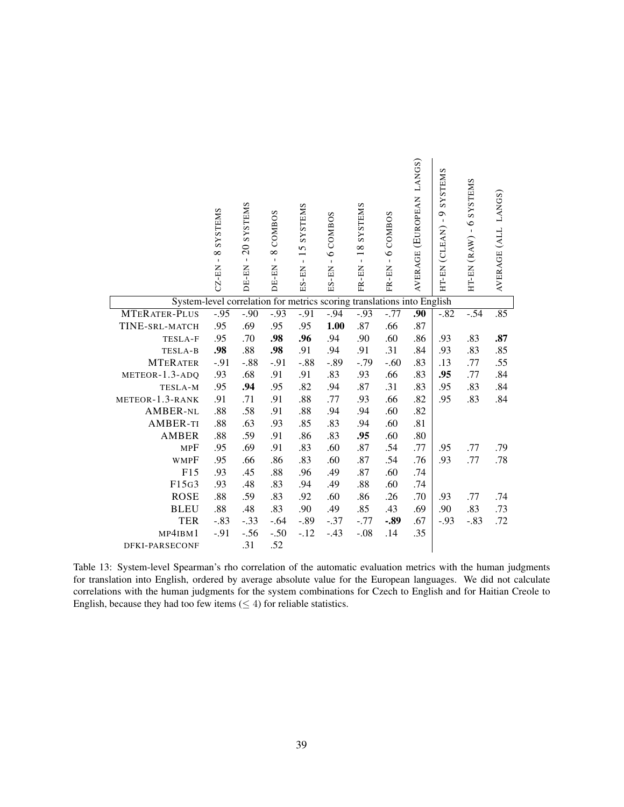|                                                                        | 8 SYSTEMS<br>$\mathbf{I}$<br>$CZ-EN$ | SYSTEMS<br>$\overline{20}$<br>$\mathbf{I}$<br>DE-EN | 8 COMBOS<br>$\mathbf{I}$<br>DE-EN | SYSTEMS<br>15<br>$\mathbf{I}$<br>ES-EN | 6 COMBOS<br>$\mathbf{I}$<br>ES-EN | SYSTEMS<br>$-18$<br>FR-EN | COMBOS<br>$\bullet$<br>$\mathbf{I}$<br>FR-EN | LANGS)<br>(EUROPEAN<br><b>AVERAGE</b> | SYSTEMS<br>$\sigma$<br>$\mathbf{I}$<br>HT-EN (CLEAN) | HT-EN (RAW) - 6 SYSTEMS | AVERAGE (ALL LANGS) |
|------------------------------------------------------------------------|--------------------------------------|-----------------------------------------------------|-----------------------------------|----------------------------------------|-----------------------------------|---------------------------|----------------------------------------------|---------------------------------------|------------------------------------------------------|-------------------------|---------------------|
| System-level correlation for metrics scoring translations into English |                                      |                                                     |                                   |                                        |                                   |                           |                                              |                                       |                                                      |                         |                     |
| <b>MTERATER-PLUS</b>                                                   | $-0.95$                              | $-0.90$                                             | $-0.93$                           | $-91$                                  | $-0.94$                           | $-0.93$                   | $-0.77$                                      | .90                                   | $-.82$                                               | $-0.54$                 | .85                 |
| TINE-SRL-MATCH                                                         | .95                                  | .69                                                 | .95                               | .95                                    | 1.00                              | .87                       | .66                                          | .87                                   |                                                      |                         |                     |
| TESLA-F                                                                | .95                                  | .70                                                 | .98                               | .96                                    | .94                               | .90                       | .60                                          | .86                                   | .93                                                  | .83                     | .87                 |
| TESLA-B                                                                | .98                                  | .88                                                 | .98                               | .91                                    | .94                               | .91                       | .31                                          | .84                                   | .93                                                  | .83                     | .85                 |
| <b>MTERATER</b>                                                        | $-.91$                               | $-.88$                                              | $-.91$                            | $-.88$                                 | $-.89$                            | $-.79$                    | $-.60$                                       | .83                                   | .13                                                  | .77                     | .55                 |
| METEOR-1.3-ADQ                                                         | .93                                  | .68                                                 | .91                               | .91                                    | .83                               | .93                       | .66                                          | .83                                   | .95                                                  | .77                     | .84                 |
| TESLA-M                                                                | .95                                  | .94                                                 | .95                               | .82                                    | .94                               | .87                       | .31                                          | .83                                   | .95                                                  | .83                     | .84                 |
| METEOR-1.3-RANK                                                        | .91                                  | .71                                                 | .91                               | .88                                    | .77                               | .93                       | .66                                          | .82                                   | .95                                                  | .83                     | .84                 |
| <b>AMBER-NL</b>                                                        | .88                                  | .58                                                 | .91                               | .88                                    | .94                               | .94                       | .60                                          | .82                                   |                                                      |                         |                     |
| <b>AMBER-TI</b>                                                        | .88                                  | .63                                                 | .93                               | .85                                    | .83                               | .94                       | .60                                          | .81                                   |                                                      |                         |                     |
| <b>AMBER</b>                                                           | .88                                  | .59                                                 | .91                               | .86                                    | .83                               | .95                       | .60                                          | .80                                   |                                                      |                         |                     |
| MPF                                                                    | .95                                  | .69                                                 | .91                               | .83                                    | .60                               | .87                       | .54                                          | .77                                   | .95                                                  | .77                     | .79                 |
| <b>WMPF</b>                                                            | .95                                  | .66                                                 | .86                               | .83                                    | .60                               | .87                       | .54                                          | .76                                   | .93                                                  | .77                     | .78                 |
| F15                                                                    | .93                                  | .45                                                 | .88                               | .96                                    | .49                               | .87                       | .60                                          | .74                                   |                                                      |                         |                     |
| F15G3                                                                  | .93                                  | .48                                                 | .83                               | .94                                    | .49                               | .88                       | .60                                          | .74                                   |                                                      |                         |                     |
| <b>ROSE</b>                                                            | .88                                  | .59                                                 | .83                               | .92                                    | .60                               | .86                       | .26                                          | .70                                   | .93                                                  | .77                     | .74                 |
| <b>BLEU</b>                                                            | .88                                  | .48                                                 | .83                               | .90                                    | .49                               | .85                       | .43                                          | .69                                   | .90                                                  | .83                     | .73                 |
| <b>TER</b>                                                             | $-.83$                               | $-.33$                                              | $-.64$                            | $-.89$                                 | $-.37$                            | $-.77$                    | $-.89$                                       | .67                                   | $-.93$                                               | $-.83$                  | .72                 |
| MP4IBM1                                                                | $-.91$                               | $-.56$                                              | $-.50$                            | $-.12$                                 | $-.43$                            | $-.08$                    | .14                                          | .35                                   |                                                      |                         |                     |
| DFKI-PARSECONF                                                         |                                      | .31                                                 | .52                               |                                        |                                   |                           |                                              |                                       |                                                      |                         |                     |

Table 13: System-level Spearman's rho correlation of the automatic evaluation metrics with the human judgments for translation into English, ordered by average absolute value for the European languages. We did not calculate correlations with the human judgments for the system combinations for Czech to English and for Haitian Creole to English, because they had too few items  $(\leq 4)$  for reliable statistics.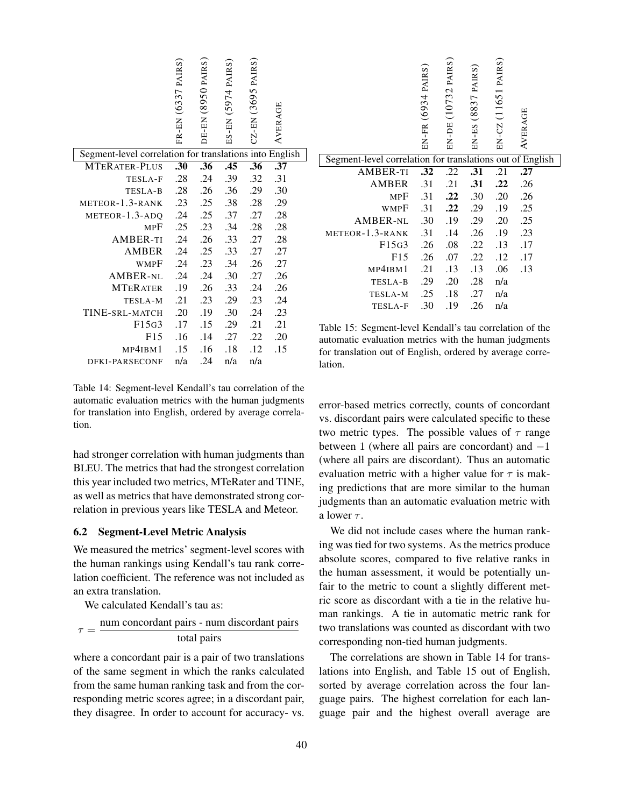| Segment-level correlation for translations into English | FR-EN (6337 PAIRS) | DE-EN (8950 PAIRS) | ES-EN (5974 PAIRS) | CZ-EN (3695 PAIRS) | <b>AVERAGE</b> |              |
|---------------------------------------------------------|--------------------|--------------------|--------------------|--------------------|----------------|--------------|
| <b>MTERATER-PLUS</b>                                    | .30                | .36                | .45                | .36                | .37            |              |
| TESLA-F                                                 | .28                | .24                | .39                | .32                | .31            |              |
| TESLA-B                                                 | .28                | .26                | .36                | .29                | .30            |              |
| METEOR-1.3-RANK                                         | $.23\,$            | .25                | .38                | .28                | .29            |              |
| METEOR-1.3-ADQ                                          | .24                | .25                | .37                | .27                | .28            |              |
| <b>MPF</b>                                              | .25                | .23                | .34                | .28                | .28            |              |
| <b>AMBER-TI</b>                                         | .24                | .26                | .33                | .27                | .28            |              |
| AMBER                                                   | .24                | .25                | .33                | .27                | .27            |              |
| <b>WMPF</b>                                             | .24                | .23                | .34                | .26                | .27            |              |
| <b>AMBER-NL</b>                                         | .24                | .24                | .30                | .27                | .26            |              |
| <b>MTERATER</b>                                         | .19                | .26                | .33                | .24                | .26            |              |
| TESLA-M                                                 | .21                | .23                | .29                | .23                | .24            |              |
| TINE-SRL-MATCH                                          | .20                | .19                | .30                | .24                | .23            |              |
| F15G3                                                   | .17                | .15                | .29                | .21                | .21            | T            |
| F15                                                     | .16                | .14                | .27                | .22                | .20            | a            |
| MP4IBM1                                                 | .15                | .16                | .18                | .12                | .15            | $\mathbf{f}$ |
| DFKI-PARSECONF                                          | n/a                | .24                | n/a                | n/a                |                | Ŀ            |

Table 14: Segment-level Kendall's tau correlation of the automatic evaluation metrics with the human judgments for translation into English, ordered by average correlation.

had stronger correlation with human judgments than BLEU. The metrics that had the strongest correlation this year included two metrics, MTeRater and TINE, as well as metrics that have demonstrated strong correlation in previous years like TESLA and Meteor.

#### 6.2 Segment-Level Metric Analysis

We measured the metrics' segment-level scores with the human rankings using Kendall's tau rank correlation coefficient. The reference was not included as an extra translation.

We calculated Kendall's tau as:

$$
\tau = \frac{\text{num concordant pairs - num discordant pairs}}{\text{total pairs}}
$$

where a concordant pair is a pair of two translations of the same segment in which the ranks calculated from the same human ranking task and from the corresponding metric scores agree; in a discordant pair, they disagree. In order to account for accuracy- vs.

|                                                           | EN-FR (6934 PAIRS) | EN-DE (10732 PAIRS) | EN-ES (8837 PAIRS) | EN-CZ (11651 PAIRS) | AVERAGE |
|-----------------------------------------------------------|--------------------|---------------------|--------------------|---------------------|---------|
| Segment-level correlation for translations out of English |                    |                     |                    |                     |         |
| <b>AMBER-TI</b>                                           | .32                | .22                 | .31                | .21                 | .27     |
| AMBER                                                     | .31                | .21                 | .31                | .22                 | .26     |
| MPF                                                       | .31                | .22                 | .30                | .20                 | .26     |
| wmpF                                                      | .31                | .22                 | .29                | .19                 | .25     |
| <b>AMBER-NL</b>                                           | .30                | .19                 | .29                | .20                 | .25     |
| METEOR-1.3-RANK                                           | .31                | .14                 | .26                | .19                 | .23     |
| F15G3                                                     | .26                | .08                 | .22                | .13                 | .17     |
| F15                                                       | .26                | .07                 | .22                | .12                 | .17     |
| MP4IBM1                                                   | .21                | .13                 | .13                | .06                 | .13     |
| TESLA-B                                                   | .29                | .20                 | .28                | n/a                 |         |
| TESLA-M                                                   | .25                | .18                 | .27                | n/a                 |         |
| TESLA-F                                                   | .30                | .19                 | .26                | n/a                 |         |

Table 15: Segment-level Kendall's tau correlation of the automatic evaluation metrics with the human judgments for translation out of English, ordered by average correlation.

error-based metrics correctly, counts of concordant vs. discordant pairs were calculated specific to these two metric types. The possible values of  $\tau$  range between 1 (where all pairs are concordant) and  $-1$ (where all pairs are discordant). Thus an automatic evaluation metric with a higher value for  $\tau$  is making predictions that are more similar to the human judgments than an automatic evaluation metric with a lower  $\tau$ .

We did not include cases where the human ranking was tied for two systems. As the metrics produce absolute scores, compared to five relative ranks in the human assessment, it would be potentially unfair to the metric to count a slightly different metric score as discordant with a tie in the relative human rankings. A tie in automatic metric rank for two translations was counted as discordant with two corresponding non-tied human judgments.

The correlations are shown in Table 14 for translations into English, and Table 15 out of English, sorted by average correlation across the four language pairs. The highest correlation for each language pair and the highest overall average are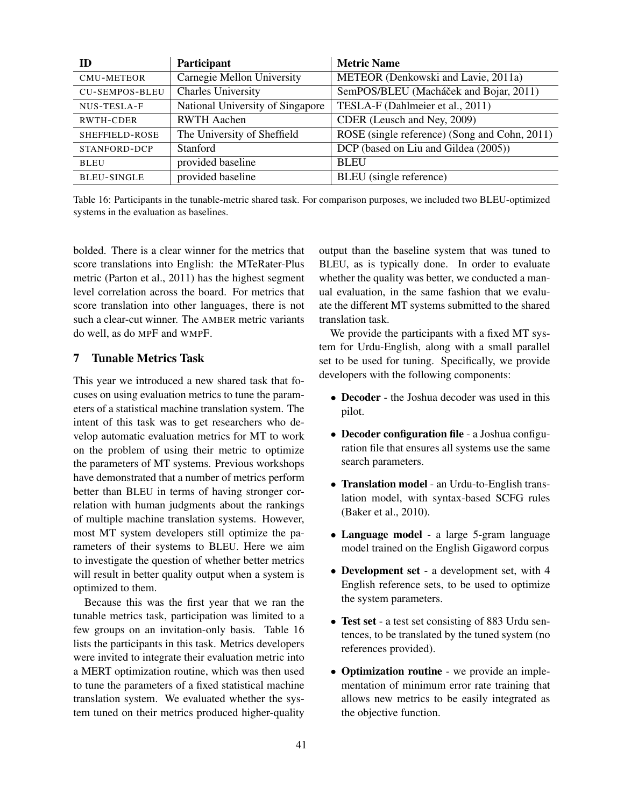| ID                    | Participant                      | <b>Metric Name</b>                            |
|-----------------------|----------------------------------|-----------------------------------------------|
| <b>CMU-METEOR</b>     | Carnegie Mellon University       | METEOR (Denkowski and Lavie, 2011a)           |
| <b>CU-SEMPOS-BLEU</b> | <b>Charles University</b>        | SemPOS/BLEU (Macháček and Bojar, 2011)        |
| NUS-TESLA-F           | National University of Singapore | TESLA-F (Dahlmeier et al., 2011)              |
| <b>RWTH-CDER</b>      | <b>RWTH Aachen</b>               | CDER (Leusch and Ney, 2009)                   |
| SHEFFIELD-ROSE        | The University of Sheffield      | ROSE (single reference) (Song and Cohn, 2011) |
| STANFORD-DCP          | <b>Stanford</b>                  | DCP (based on Liu and Gildea (2005))          |
| <b>BLEU</b>           | provided baseline                | <b>BLEU</b>                                   |
| <b>BLEU-SINGLE</b>    | provided baseline                | BLEU (single reference)                       |

Table 16: Participants in the tunable-metric shared task. For comparison purposes, we included two BLEU-optimized systems in the evaluation as baselines.

bolded. There is a clear winner for the metrics that score translations into English: the MTeRater-Plus metric (Parton et al., 2011) has the highest segment level correlation across the board. For metrics that score translation into other languages, there is not such a clear-cut winner. The AMBER metric variants do well, as do MPF and WMPF.

# 7 Tunable Metrics Task

This year we introduced a new shared task that focuses on using evaluation metrics to tune the parameters of a statistical machine translation system. The intent of this task was to get researchers who develop automatic evaluation metrics for MT to work on the problem of using their metric to optimize the parameters of MT systems. Previous workshops have demonstrated that a number of metrics perform better than BLEU in terms of having stronger correlation with human judgments about the rankings of multiple machine translation systems. However, most MT system developers still optimize the parameters of their systems to BLEU. Here we aim to investigate the question of whether better metrics will result in better quality output when a system is optimized to them.

Because this was the first year that we ran the tunable metrics task, participation was limited to a few groups on an invitation-only basis. Table 16 lists the participants in this task. Metrics developers were invited to integrate their evaluation metric into a MERT optimization routine, which was then used to tune the parameters of a fixed statistical machine translation system. We evaluated whether the system tuned on their metrics produced higher-quality

output than the baseline system that was tuned to BLEU, as is typically done. In order to evaluate whether the quality was better, we conducted a manual evaluation, in the same fashion that we evaluate the different MT systems submitted to the shared translation task.

We provide the participants with a fixed MT system for Urdu-English, along with a small parallel set to be used for tuning. Specifically, we provide developers with the following components:

- Decoder the Joshua decoder was used in this pilot.
- Decoder configuration file a Joshua configuration file that ensures all systems use the same search parameters.
- Translation model an Urdu-to-English translation model, with syntax-based SCFG rules (Baker et al., 2010).
- Language model a large 5-gram language model trained on the English Gigaword corpus
- Development set a development set, with 4 English reference sets, to be used to optimize the system parameters.
- Test set a test set consisting of 883 Urdu sentences, to be translated by the tuned system (no references provided).
- Optimization routine we provide an implementation of minimum error rate training that allows new metrics to be easily integrated as the objective function.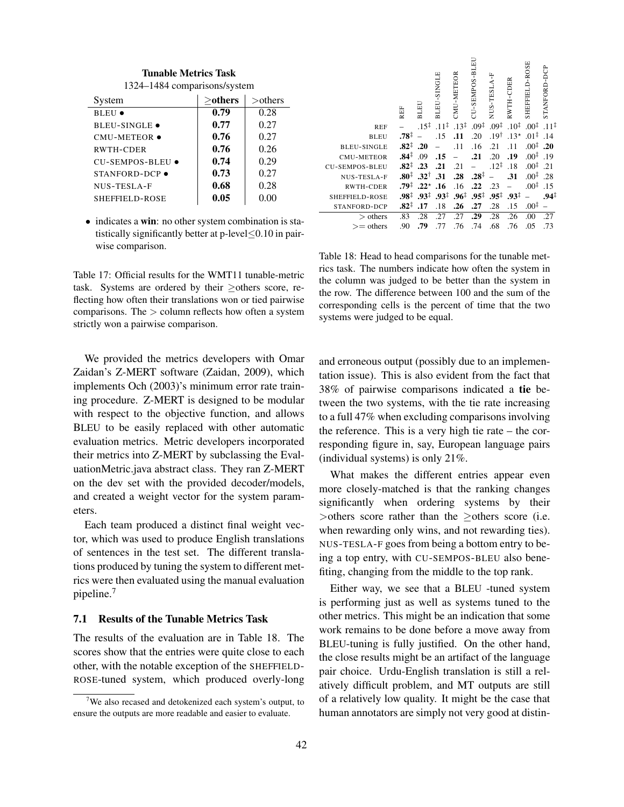| 1324–1484 comparisons/system |            |              |  |  |  |
|------------------------------|------------|--------------|--|--|--|
| System                       | $>$ others | $\gt$ others |  |  |  |
| BLEU $\bullet$               | 0.79       | 0.28         |  |  |  |
| <b>BLEU-SINGLE</b> $\bullet$ | 0.77       | 0.27         |  |  |  |
| CMU-METEOR .                 | 0.76       | 0.27         |  |  |  |
| RWTH-CDER                    | 0.76       | 0.26         |  |  |  |
| CU-SEMPOS-BLEU ●             | 0.74       | 0.29         |  |  |  |
| $STANFORM-DCP$ $\bullet$     | 0.73       | 0.27         |  |  |  |
| NUS-TESLA-F                  | 0.68       | 0.28         |  |  |  |
| SHEFFIELD-ROSE               | 0.05       |              |  |  |  |

Tunable Metrics Task

• indicates a win: no other system combination is statistically significantly better at p-level≤0.10 in pairwise comparison.

Table 17: Official results for the WMT11 tunable-metric task. Systems are ordered by their ≥others score, reflecting how often their translations won or tied pairwise comparisons. The  $>$  column reflects how often a system strictly won a pairwise comparison.

We provided the metrics developers with Omar Zaidan's Z-MERT software (Zaidan, 2009), which implements Och (2003)'s minimum error rate training procedure. Z-MERT is designed to be modular with respect to the objective function, and allows BLEU to be easily replaced with other automatic evaluation metrics. Metric developers incorporated their metrics into Z-MERT by subclassing the EvaluationMetric.java abstract class. They ran Z-MERT on the dev set with the provided decoder/models, and created a weight vector for the system parameters.

Each team produced a distinct final weight vector, which was used to produce English translations of sentences in the test set. The different translations produced by tuning the system to different metrics were then evaluated using the manual evaluation pipeline.<sup>7</sup>

#### 7.1 Results of the Tunable Metrics Task

The results of the evaluation are in Table 18. The scores show that the entries were quite close to each other, with the notable exception of the SHEFFIELD-ROSE-tuned system, which produced overly-long

|                       | <b>REF</b>       | BLEU             | <b>BLEU-SINGLE</b> | CMU-METEOR       | CU-SEMPOS-BLEU   | NUS-TESLA-F      | RWTH-CDER        | SHEFFIELD-ROSE   | STANFORD-DCP     |
|-----------------------|------------------|------------------|--------------------|------------------|------------------|------------------|------------------|------------------|------------------|
| <b>REF</b>            |                  | $.15^{\ddagger}$ | $.11^{\ddagger}$   | $.13^{\ddagger}$ | $.09^{\ddagger}$ | $.09^{\ddagger}$ | $.10^{\ddagger}$ | $.00^{+}$        | $.11^{\ddagger}$ |
| <b>BLEU</b>           | $.78^{\ddagger}$ |                  | .15                | .11              | .20              | $.19^{\dagger}$  | $.13*$           | $.01^{\ddagger}$ | .14              |
| <b>BLEU-SINGLE</b>    | $.82^{\ddagger}$ | .20              |                    | .11              | .16              | .21              | .11              | $.00^{\ddagger}$ | .20              |
| <b>CMU-METEOR</b>     | $.84^{\ddagger}$ | .09              | .15                |                  | .21              | .20              | .19              | $.00^{+}$        | .19              |
| <b>CU-SEMPOS-BLEU</b> | $.82^{\ddagger}$ | .23              | .21                | .21              |                  | $.12^{\ddagger}$ | .18              | $.00^{\ddagger}$ | .21              |
| NUS-TESLA-F           | $.80^{\ddagger}$ | $.32^+$          | .31                | .28              | $.28^{\ddagger}$ |                  | .31              | $.00^{\ddagger}$ | .28              |
| <b>RWTH-CDER</b>      | .79‡             | $.22*$           | .16                | .16              | .22              | .23              |                  | $.00^{\ddagger}$ | .15              |
| SHEFFIELD-ROSE        | .98‡             | $.93^{\ddagger}$ | $.93^{\ddagger}$   | $.96^{\ddagger}$ | $.95^{\ddagger}$ | $.95^{\ddagger}$ | $.93^{\ddagger}$ |                  | .94‡             |
| STANFORD-DCP          | $.82^{\ddagger}$ | .17              | .18                | .26              | .27              | .28              | .15              | $.00^{\ddagger}$ |                  |
| $>$ others            | .83              | .28              | .27                | .27              | .29              | .28              | .26              | .00              | .27              |
| $\gt =$ others        | .90              | .79              | .77                | .76              | .74              | .68              | .76              | .05              | .73              |
|                       |                  |                  |                    |                  |                  |                  |                  |                  |                  |

Table 18: Head to head comparisons for the tunable metrics task. The numbers indicate how often the system in the column was judged to be better than the system in the row. The difference between 100 and the sum of the corresponding cells is the percent of time that the two systems were judged to be equal.

and erroneous output (possibly due to an implementation issue). This is also evident from the fact that 38% of pairwise comparisons indicated a tie between the two systems, with the tie rate increasing to a full 47% when excluding comparisons involving the reference. This is a very high tie rate – the corresponding figure in, say, European language pairs (individual systems) is only 21%.

What makes the different entries appear even more closely-matched is that the ranking changes significantly when ordering systems by their >others score rather than the ≥others score (i.e. when rewarding only wins, and not rewarding ties). NUS-TESLA-F goes from being a bottom entry to being a top entry, with CU-SEMPOS-BLEU also benefiting, changing from the middle to the top rank.

Either way, we see that a BLEU -tuned system is performing just as well as systems tuned to the other metrics. This might be an indication that some work remains to be done before a move away from BLEU-tuning is fully justified. On the other hand, the close results might be an artifact of the language pair choice. Urdu-English translation is still a relatively difficult problem, and MT outputs are still of a relatively low quality. It might be the case that human annotators are simply not very good at distin-

<sup>&</sup>lt;sup>7</sup>We also recased and detokenized each system's output, to ensure the outputs are more readable and easier to evaluate.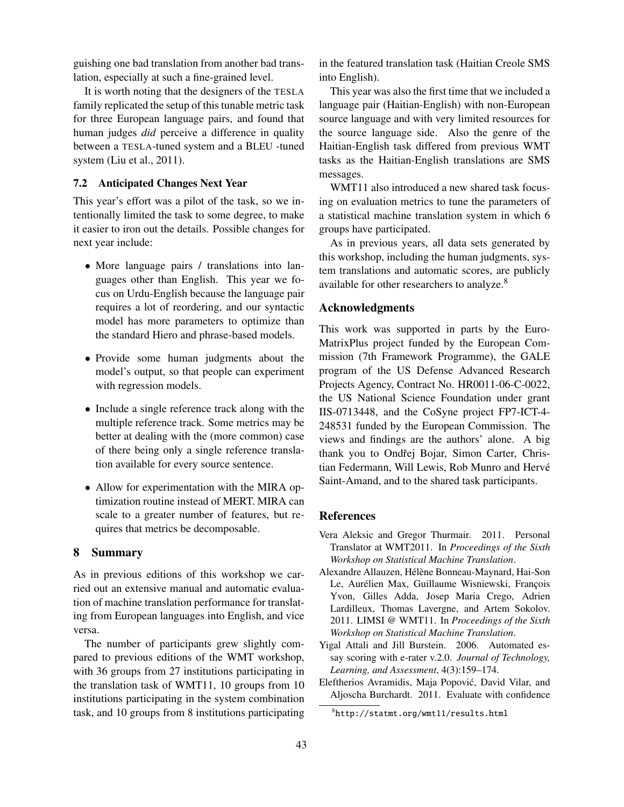guishing one bad translation from another bad translation, especially at such a fine-grained level.

It is worth noting that the designers of the TESLA family replicated the setup of this tunable metric task for three European language pairs, and found that human judges *did* perceive a difference in quality between a TESLA-tuned system and a BLEU -tuned system (Liu et al., 2011).

# 7.2 Anticipated Changes Next Year

This year's effort was a pilot of the task, so we intentionally limited the task to some degree, to make it easier to iron out the details. Possible changes for next year include:

- More language pairs / translations into languages other than English. This year we focus on Urdu-English because the language pair requires a lot of reordering, and our syntactic model has more parameters to optimize than the standard Hiero and phrase-based models.
- Provide some human judgments about the model's output, so that people can experiment with regression models.
- Include a single reference track along with the multiple reference track. Some metrics may be better at dealing with the (more common) case of there being only a single reference translation available for every source sentence.
- Allow for experimentation with the MIRA optimization routine instead of MERT. MIRA can scale to a greater number of features, but requires that metrics be decomposable.

## 8 Summary

As in previous editions of this workshop we carried out an extensive manual and automatic evaluation of machine translation performance for translating from European languages into English, and vice versa.

The number of participants grew slightly compared to previous editions of the WMT workshop, with 36 groups from 27 institutions participating in the translation task of WMT11, 10 groups from 10 institutions participating in the system combination task, and 10 groups from 8 institutions participating in the featured translation task (Haitian Creole SMS into English).

This year was also the first time that we included a language pair (Haitian-English) with non-European source language and with very limited resources for the source language side. Also the genre of the Haitian-English task differed from previous WMT tasks as the Haitian-English translations are SMS messages.

WMT11 also introduced a new shared task focusing on evaluation metrics to tune the parameters of a statistical machine translation system in which 6 groups have participated.

As in previous years, all data sets generated by this workshop, including the human judgments, system translations and automatic scores, are publicly available for other researchers to analyze.<sup>8</sup>

# Acknowledgments

This work was supported in parts by the Euro-MatrixPlus project funded by the European Commission (7th Framework Programme), the GALE program of the US Defense Advanced Research Projects Agency, Contract No. HR0011-06-C-0022, the US National Science Foundation under grant IIS-0713448, and the CoSyne project FP7-ICT-4- 248531 funded by the European Commission. The views and findings are the authors' alone. A big thank you to Ondřej Bojar, Simon Carter, Christian Federmann, Will Lewis, Rob Munro and Hervé Saint-Amand, and to the shared task participants.

#### References

- Vera Aleksic and Gregor Thurmair. 2011. Personal Translator at WMT2011. In *Proceedings of the Sixth Workshop on Statistical Machine Translation*.
- Alexandre Allauzen, Hélène Bonneau-Maynard, Hai-Son Le, Aurélien Max, Guillaume Wisniewski, François Yvon, Gilles Adda, Josep Maria Crego, Adrien Lardilleux, Thomas Lavergne, and Artem Sokolov. 2011. LIMSI @ WMT11. In *Proceedings of the Sixth Workshop on Statistical Machine Translation*.
- Yigal Attali and Jill Burstein. 2006. Automated essay scoring with e-rater v.2.0. *Journal of Technology, Learning, and Assessment*, 4(3):159–174.
- Eleftherios Avramidis, Maja Popovic, David Vilar, and ´ Aljoscha Burchardt. 2011. Evaluate with confidence

<sup>8</sup> http://statmt.org/wmt11/results.html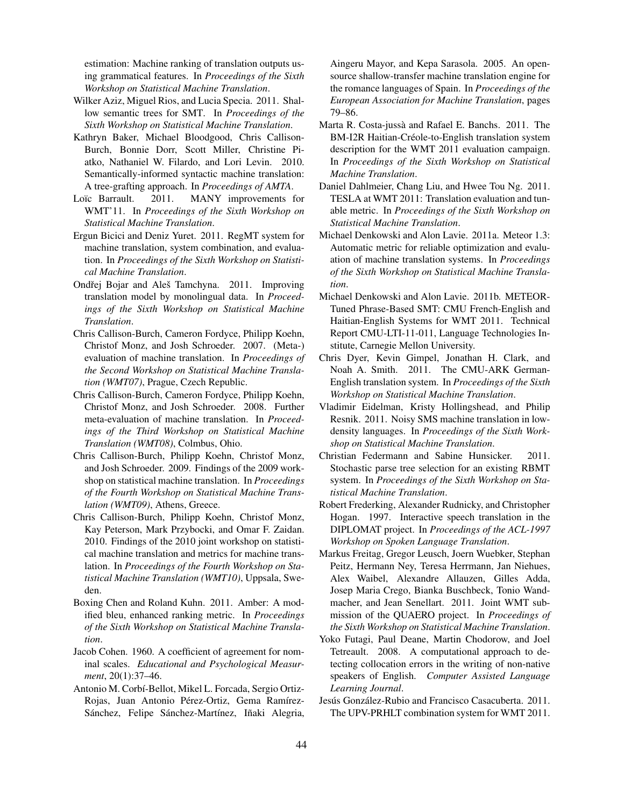estimation: Machine ranking of translation outputs using grammatical features. In *Proceedings of the Sixth Workshop on Statistical Machine Translation*.

Wilker Aziz, Miguel Rios, and Lucia Specia. 2011. Shallow semantic trees for SMT. In *Proceedings of the Sixth Workshop on Statistical Machine Translation*.

- Kathryn Baker, Michael Bloodgood, Chris Callison-Burch, Bonnie Dorr, Scott Miller, Christine Piatko, Nathaniel W. Filardo, and Lori Levin. 2010. Semantically-informed syntactic machine translation: A tree-grafting approach. In *Proceedings of AMTA*.
- Loïc Barrault. 2011. MANY improvements for WMT'11. In *Proceedings of the Sixth Workshop on Statistical Machine Translation*.
- Ergun Bicici and Deniz Yuret. 2011. RegMT system for machine translation, system combination, and evaluation. In *Proceedings of the Sixth Workshop on Statistical Machine Translation*.
- Ondřej Bojar and Aleš Tamchyna. 2011. Improving translation model by monolingual data. In *Proceedings of the Sixth Workshop on Statistical Machine Translation*.
- Chris Callison-Burch, Cameron Fordyce, Philipp Koehn, Christof Monz, and Josh Schroeder. 2007. (Meta-) evaluation of machine translation. In *Proceedings of the Second Workshop on Statistical Machine Translation (WMT07)*, Prague, Czech Republic.
- Chris Callison-Burch, Cameron Fordyce, Philipp Koehn, Christof Monz, and Josh Schroeder. 2008. Further meta-evaluation of machine translation. In *Proceedings of the Third Workshop on Statistical Machine Translation (WMT08)*, Colmbus, Ohio.
- Chris Callison-Burch, Philipp Koehn, Christof Monz, and Josh Schroeder. 2009. Findings of the 2009 workshop on statistical machine translation. In *Proceedings of the Fourth Workshop on Statistical Machine Translation (WMT09)*, Athens, Greece.
- Chris Callison-Burch, Philipp Koehn, Christof Monz, Kay Peterson, Mark Przybocki, and Omar F. Zaidan. 2010. Findings of the 2010 joint workshop on statistical machine translation and metrics for machine translation. In *Proceedings of the Fourth Workshop on Statistical Machine Translation (WMT10)*, Uppsala, Sweden.
- Boxing Chen and Roland Kuhn. 2011. Amber: A modified bleu, enhanced ranking metric. In *Proceedings of the Sixth Workshop on Statistical Machine Translation*.
- Jacob Cohen. 1960. A coefficient of agreement for nominal scales. *Educational and Psychological Measurment*, 20(1):37–46.
- Antonio M. Corbí-Bellot, Mikel L. Forcada, Sergio Ortiz-Rojas, Juan Antonio Pérez-Ortiz, Gema Ramírez-Sánchez, Felipe Sánchez-Martínez, Iñaki Alegria,

Aingeru Mayor, and Kepa Sarasola. 2005. An opensource shallow-transfer machine translation engine for the romance languages of Spain. In *Proceedings of the European Association for Machine Translation*, pages 79–86.

- Marta R. Costa-jussà and Rafael E. Banchs. 2011. The BM-I2R Haitian-Créole-to-English translation system description for the WMT 2011 evaluation campaign. In *Proceedings of the Sixth Workshop on Statistical Machine Translation*.
- Daniel Dahlmeier, Chang Liu, and Hwee Tou Ng. 2011. TESLA at WMT 2011: Translation evaluation and tunable metric. In *Proceedings of the Sixth Workshop on Statistical Machine Translation*.
- Michael Denkowski and Alon Lavie. 2011a. Meteor 1.3: Automatic metric for reliable optimization and evaluation of machine translation systems. In *Proceedings of the Sixth Workshop on Statistical Machine Translation*.
- Michael Denkowski and Alon Lavie. 2011b. METEOR-Tuned Phrase-Based SMT: CMU French-English and Haitian-English Systems for WMT 2011. Technical Report CMU-LTI-11-011, Language Technologies Institute, Carnegie Mellon University.
- Chris Dyer, Kevin Gimpel, Jonathan H. Clark, and Noah A. Smith. 2011. The CMU-ARK German-English translation system. In *Proceedings of the Sixth Workshop on Statistical Machine Translation*.
- Vladimir Eidelman, Kristy Hollingshead, and Philip Resnik. 2011. Noisy SMS machine translation in lowdensity languages. In *Proceedings of the Sixth Workshop on Statistical Machine Translation*.
- Christian Federmann and Sabine Hunsicker. 2011. Stochastic parse tree selection for an existing RBMT system. In *Proceedings of the Sixth Workshop on Statistical Machine Translation*.
- Robert Frederking, Alexander Rudnicky, and Christopher Hogan. 1997. Interactive speech translation in the DIPLOMAT project. In *Proceedings of the ACL-1997 Workshop on Spoken Language Translation*.
- Markus Freitag, Gregor Leusch, Joern Wuebker, Stephan Peitz, Hermann Ney, Teresa Herrmann, Jan Niehues, Alex Waibel, Alexandre Allauzen, Gilles Adda, Josep Maria Crego, Bianka Buschbeck, Tonio Wandmacher, and Jean Senellart. 2011. Joint WMT submission of the QUAERO project. In *Proceedings of the Sixth Workshop on Statistical Machine Translation*.
- Yoko Futagi, Paul Deane, Martin Chodorow, and Joel Tetreault. 2008. A computational approach to detecting collocation errors in the writing of non-native speakers of English. *Computer Assisted Language Learning Journal*.
- Jesús González-Rubio and Francisco Casacuberta. 2011. The UPV-PRHLT combination system for WMT 2011.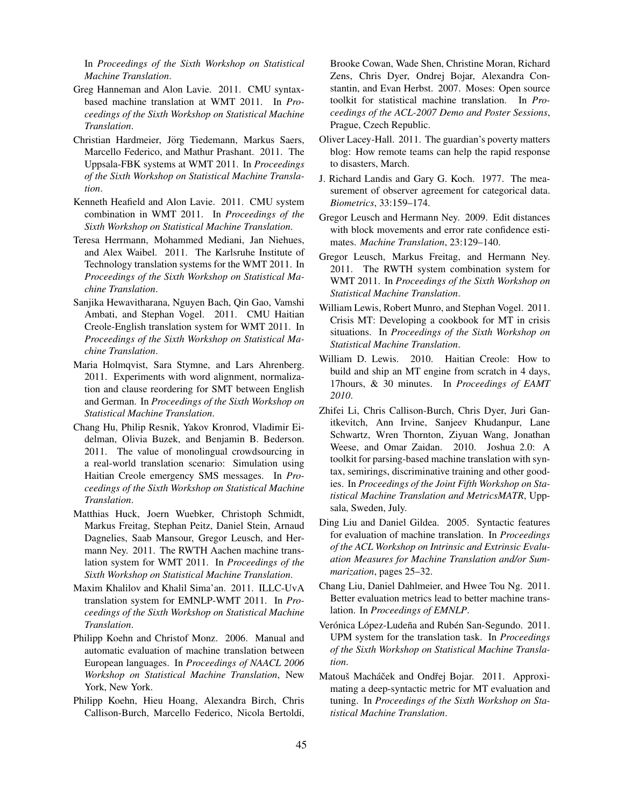In *Proceedings of the Sixth Workshop on Statistical Machine Translation*.

- Greg Hanneman and Alon Lavie. 2011. CMU syntaxbased machine translation at WMT 2011. In *Proceedings of the Sixth Workshop on Statistical Machine Translation*.
- Christian Hardmeier, Jörg Tiedemann, Markus Saers, Marcello Federico, and Mathur Prashant. 2011. The Uppsala-FBK systems at WMT 2011. In *Proceedings of the Sixth Workshop on Statistical Machine Translation*.
- Kenneth Heafield and Alon Lavie. 2011. CMU system combination in WMT 2011. In *Proceedings of the Sixth Workshop on Statistical Machine Translation*.
- Teresa Herrmann, Mohammed Mediani, Jan Niehues, and Alex Waibel. 2011. The Karlsruhe Institute of Technology translation systems for the WMT 2011. In *Proceedings of the Sixth Workshop on Statistical Machine Translation*.
- Sanjika Hewavitharana, Nguyen Bach, Qin Gao, Vamshi Ambati, and Stephan Vogel. 2011. CMU Haitian Creole-English translation system for WMT 2011. In *Proceedings of the Sixth Workshop on Statistical Machine Translation*.
- Maria Holmqvist, Sara Stymne, and Lars Ahrenberg. 2011. Experiments with word alignment, normalization and clause reordering for SMT between English and German. In *Proceedings of the Sixth Workshop on Statistical Machine Translation*.
- Chang Hu, Philip Resnik, Yakov Kronrod, Vladimir Eidelman, Olivia Buzek, and Benjamin B. Bederson. 2011. The value of monolingual crowdsourcing in a real-world translation scenario: Simulation using Haitian Creole emergency SMS messages. In *Proceedings of the Sixth Workshop on Statistical Machine Translation*.
- Matthias Huck, Joern Wuebker, Christoph Schmidt, Markus Freitag, Stephan Peitz, Daniel Stein, Arnaud Dagnelies, Saab Mansour, Gregor Leusch, and Hermann Ney. 2011. The RWTH Aachen machine translation system for WMT 2011. In *Proceedings of the Sixth Workshop on Statistical Machine Translation*.
- Maxim Khalilov and Khalil Sima'an. 2011. ILLC-UvA translation system for EMNLP-WMT 2011. In *Proceedings of the Sixth Workshop on Statistical Machine Translation*.
- Philipp Koehn and Christof Monz. 2006. Manual and automatic evaluation of machine translation between European languages. In *Proceedings of NAACL 2006 Workshop on Statistical Machine Translation*, New York, New York.
- Philipp Koehn, Hieu Hoang, Alexandra Birch, Chris Callison-Burch, Marcello Federico, Nicola Bertoldi,

Brooke Cowan, Wade Shen, Christine Moran, Richard Zens, Chris Dyer, Ondrej Bojar, Alexandra Constantin, and Evan Herbst. 2007. Moses: Open source toolkit for statistical machine translation. In *Proceedings of the ACL-2007 Demo and Poster Sessions*, Prague, Czech Republic.

- Oliver Lacey-Hall. 2011. The guardian's poverty matters blog: How remote teams can help the rapid response to disasters, March.
- J. Richard Landis and Gary G. Koch. 1977. The measurement of observer agreement for categorical data. *Biometrics*, 33:159–174.
- Gregor Leusch and Hermann Ney. 2009. Edit distances with block movements and error rate confidence estimates. *Machine Translation*, 23:129–140.
- Gregor Leusch, Markus Freitag, and Hermann Ney. 2011. The RWTH system combination system for WMT 2011. In *Proceedings of the Sixth Workshop on Statistical Machine Translation*.
- William Lewis, Robert Munro, and Stephan Vogel. 2011. Crisis MT: Developing a cookbook for MT in crisis situations. In *Proceedings of the Sixth Workshop on Statistical Machine Translation*.
- William D. Lewis. 2010. Haitian Creole: How to build and ship an MT engine from scratch in 4 days, 17hours, & 30 minutes. In *Proceedings of EAMT 2010*.
- Zhifei Li, Chris Callison-Burch, Chris Dyer, Juri Ganitkevitch, Ann Irvine, Sanjeev Khudanpur, Lane Schwartz, Wren Thornton, Ziyuan Wang, Jonathan Weese, and Omar Zaidan. 2010. Joshua 2.0: A toolkit for parsing-based machine translation with syntax, semirings, discriminative training and other goodies. In *Proceedings of the Joint Fifth Workshop on Statistical Machine Translation and MetricsMATR*, Uppsala, Sweden, July.
- Ding Liu and Daniel Gildea. 2005. Syntactic features for evaluation of machine translation. In *Proceedings of the ACL Workshop on Intrinsic and Extrinsic Evaluation Measures for Machine Translation and/or Summarization*, pages 25–32.
- Chang Liu, Daniel Dahlmeier, and Hwee Tou Ng. 2011. Better evaluation metrics lead to better machine translation. In *Proceedings of EMNLP*.
- Verónica López-Ludeña and Rubén San-Segundo. 2011. UPM system for the translation task. In *Proceedings of the Sixth Workshop on Statistical Machine Translation*.
- Matouš Macháček and Ondřej Bojar. 2011. Approximating a deep-syntactic metric for MT evaluation and tuning. In *Proceedings of the Sixth Workshop on Statistical Machine Translation*.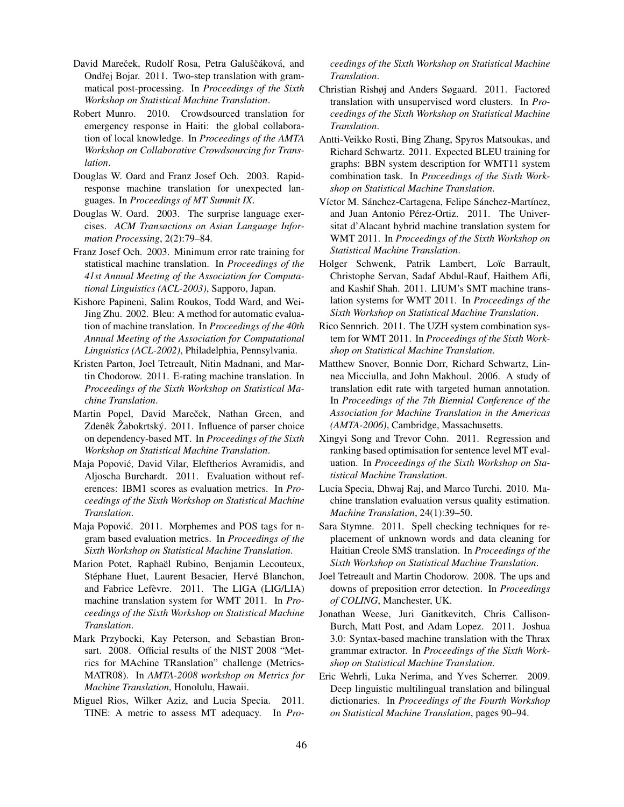- David Mareček, Rudolf Rosa, Petra Galuščáková, and Ondřej Bojar. 2011. Two-step translation with grammatical post-processing. In *Proceedings of the Sixth Workshop on Statistical Machine Translation*.
- Robert Munro. 2010. Crowdsourced translation for emergency response in Haiti: the global collaboration of local knowledge. In *Proceedings of the AMTA Workshop on Collaborative Crowdsourcing for Translation*.
- Douglas W. Oard and Franz Josef Och. 2003. Rapidresponse machine translation for unexpected languages. In *Proceedings of MT Summit IX*.
- Douglas W. Oard. 2003. The surprise language exercises. *ACM Transactions on Asian Language Information Processing*, 2(2):79–84.
- Franz Josef Och. 2003. Minimum error rate training for statistical machine translation. In *Proceedings of the 41st Annual Meeting of the Association for Computational Linguistics (ACL-2003)*, Sapporo, Japan.
- Kishore Papineni, Salim Roukos, Todd Ward, and Wei-Jing Zhu. 2002. Bleu: A method for automatic evaluation of machine translation. In *Proceedings of the 40th Annual Meeting of the Association for Computational Linguistics (ACL-2002)*, Philadelphia, Pennsylvania.
- Kristen Parton, Joel Tetreault, Nitin Madnani, and Martin Chodorow. 2011. E-rating machine translation. In *Proceedings of the Sixth Workshop on Statistical Machine Translation*.
- Martin Popel, David Mareček, Nathan Green, and Zdenêk Żabokrtský. 2011. Influence of parser choice on dependency-based MT. In *Proceedings of the Sixth Workshop on Statistical Machine Translation*.
- Maja Popovic, David Vilar, Eleftherios Avramidis, and ´ Aljoscha Burchardt. 2011. Evaluation without references: IBM1 scores as evaluation metrics. In *Proceedings of the Sixth Workshop on Statistical Machine Translation*.
- Maja Popović. 2011. Morphemes and POS tags for ngram based evaluation metrics. In *Proceedings of the Sixth Workshop on Statistical Machine Translation*.
- Marion Potet, Raphaël Rubino, Benjamin Lecouteux, Stéphane Huet, Laurent Besacier, Hervé Blanchon, and Fabrice Lefèvre. 2011. The LIGA (LIG/LIA) machine translation system for WMT 2011. In *Proceedings of the Sixth Workshop on Statistical Machine Translation*.
- Mark Przybocki, Kay Peterson, and Sebastian Bronsart. 2008. Official results of the NIST 2008 "Metrics for MAchine TRanslation" challenge (Metrics-MATR08). In *AMTA-2008 workshop on Metrics for Machine Translation*, Honolulu, Hawaii.
- Miguel Rios, Wilker Aziz, and Lucia Specia. 2011. TINE: A metric to assess MT adequacy. In *Pro-*

*ceedings of the Sixth Workshop on Statistical Machine Translation*.

- Christian Rishøj and Anders Søgaard. 2011. Factored translation with unsupervised word clusters. In *Proceedings of the Sixth Workshop on Statistical Machine Translation*.
- Antti-Veikko Rosti, Bing Zhang, Spyros Matsoukas, and Richard Schwartz. 2011. Expected BLEU training for graphs: BBN system description for WMT11 system combination task. In *Proceedings of the Sixth Workshop on Statistical Machine Translation*.
- Víctor M. Sánchez-Cartagena, Felipe Sánchez-Martínez, and Juan Antonio Pérez-Ortiz. 2011. The Universitat d'Alacant hybrid machine translation system for WMT 2011. In *Proceedings of the Sixth Workshop on Statistical Machine Translation*.
- Holger Schwenk, Patrik Lambert, Loïc Barrault, Christophe Servan, Sadaf Abdul-Rauf, Haithem Afli, and Kashif Shah. 2011. LIUM's SMT machine translation systems for WMT 2011. In *Proceedings of the Sixth Workshop on Statistical Machine Translation*.
- Rico Sennrich. 2011. The UZH system combination system for WMT 2011. In *Proceedings of the Sixth Workshop on Statistical Machine Translation*.
- Matthew Snover, Bonnie Dorr, Richard Schwartz, Linnea Micciulla, and John Makhoul. 2006. A study of translation edit rate with targeted human annotation. In *Proceedings of the 7th Biennial Conference of the Association for Machine Translation in the Americas (AMTA-2006)*, Cambridge, Massachusetts.
- Xingyi Song and Trevor Cohn. 2011. Regression and ranking based optimisation for sentence level MT evaluation. In *Proceedings of the Sixth Workshop on Statistical Machine Translation*.
- Lucia Specia, Dhwaj Raj, and Marco Turchi. 2010. Machine translation evaluation versus quality estimation. *Machine Translation*, 24(1):39–50.
- Sara Stymne. 2011. Spell checking techniques for replacement of unknown words and data cleaning for Haitian Creole SMS translation. In *Proceedings of the Sixth Workshop on Statistical Machine Translation*.
- Joel Tetreault and Martin Chodorow. 2008. The ups and downs of preposition error detection. In *Proceedings of COLING*, Manchester, UK.
- Jonathan Weese, Juri Ganitkevitch, Chris Callison-Burch, Matt Post, and Adam Lopez. 2011. Joshua 3.0: Syntax-based machine translation with the Thrax grammar extractor. In *Proceedings of the Sixth Workshop on Statistical Machine Translation*.
- Eric Wehrli, Luka Nerima, and Yves Scherrer. 2009. Deep linguistic multilingual translation and bilingual dictionaries. In *Proceedings of the Fourth Workshop on Statistical Machine Translation*, pages 90–94.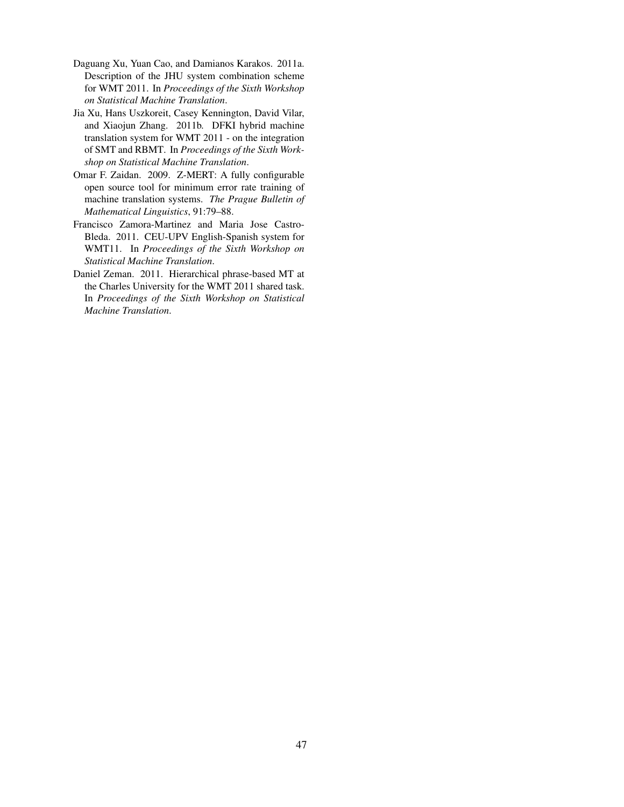- Daguang Xu, Yuan Cao, and Damianos Karakos. 2011a. Description of the JHU system combination scheme for WMT 2011. In *Proceedings of the Sixth Workshop on Statistical Machine Translation*.
- Jia Xu, Hans Uszkoreit, Casey Kennington, David Vilar, and Xiaojun Zhang. 2011b. DFKI hybrid machine translation system for WMT 2011 - on the integration of SMT and RBMT. In *Proceedings of the Sixth Workshop on Statistical Machine Translation*.
- Omar F. Zaidan. 2009. Z-MERT: A fully configurable open source tool for minimum error rate training of machine translation systems. *The Prague Bulletin of Mathematical Linguistics*, 91:79–88.
- Francisco Zamora-Martinez and Maria Jose Castro-Bleda. 2011. CEU-UPV English-Spanish system for WMT11. In *Proceedings of the Sixth Workshop on Statistical Machine Translation*.
- Daniel Zeman. 2011. Hierarchical phrase-based MT at the Charles University for the WMT 2011 shared task. In *Proceedings of the Sixth Workshop on Statistical Machine Translation*.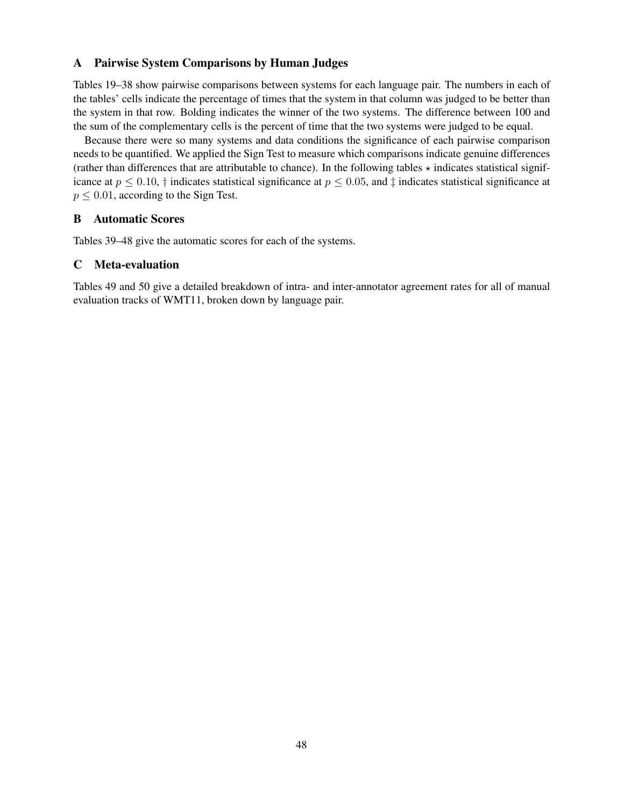## A Pairwise System Comparisons by Human Judges

Tables 19–38 show pairwise comparisons between systems for each language pair. The numbers in each of the tables' cells indicate the percentage of times that the system in that column was judged to be better than the system in that row. Bolding indicates the winner of the two systems. The difference between 100 and the sum of the complementary cells is the percent of time that the two systems were judged to be equal.

Because there were so many systems and data conditions the significance of each pairwise comparison needs to be quantified. We applied the Sign Test to measure which comparisons indicate genuine differences (rather than differences that are attributable to chance). In the following tables  $\star$  indicates statistical significance at  $p \le 0.10$ ,  $\dagger$  indicates statistical significance at  $p \le 0.05$ , and  $\dagger$  indicates statistical significance at  $p \leq 0.01$ , according to the Sign Test.

# B Automatic Scores

Tables 39–48 give the automatic scores for each of the systems.

# C Meta-evaluation

Tables 49 and 50 give a detailed breakdown of intra- and inter-annotator agreement rates for all of manual evaluation tracks of WMT11, broken down by language pair.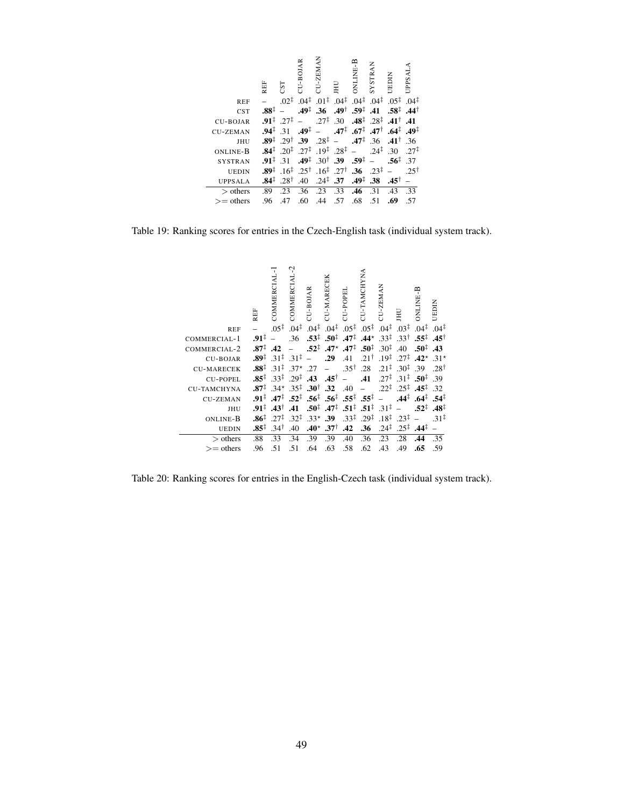|                 | <b>REF</b>       | CST<br>$.02^{\ddagger}$ | CU-BOJAR<br>$.04^{\ddagger}$ | CU-ZEMAN<br>$.01^{\ddagger}$           | Ξ<br>$.04^{\ddagger}$                                | ≏<br>٠<br><b>SNLINE</b><br>$.04^{\ddagger}$ | <b>SYSTRAN</b><br>$.04^{\ddagger}$                    | NIGEL<br>$.05^{\ddagger}$                                                           | <b>ALASPPEL</b><br>$.04^{\ddagger}$ |
|-----------------|------------------|-------------------------|------------------------------|----------------------------------------|------------------------------------------------------|---------------------------------------------|-------------------------------------------------------|-------------------------------------------------------------------------------------|-------------------------------------|
| <b>REF</b>      |                  |                         |                              |                                        |                                                      |                                             |                                                       |                                                                                     |                                     |
| <b>CST</b>      | .88‡             |                         | .49‡                         | .36                                    | $.49^{\dagger}$                                      | $.59^{\ddagger}$                            | .41                                                   | $.58^{\ddagger}$ .44 <sup>†</sup>                                                   |                                     |
| <b>CU-BOJAR</b> | $.91^{\ddagger}$ | $.27^{\ddagger}$        |                              | $.27^{\ddagger}$                       | .30 <sub>2</sub>                                     |                                             | $.48^{\ddagger}$ .28 <sup><math>\ddagger</math></sup> | $.41^{\dagger}$ .41                                                                 |                                     |
| CU-ZEMAN        | $.94^{\ddagger}$ | $-31$                   | $.49^{\ddagger}$             | $\equiv$                               |                                                      |                                             |                                                       | $.47^{\ddagger}$ $.67^{\ddagger}$ $.47^{\dagger}$ $.64^{\ddagger}$ $.49^{\ddagger}$ |                                     |
| JHU             | $.89^{\ddagger}$ | $.29^{\dagger}$         | .39                          | $.28^{\ddagger}$ –                     |                                                      | $.47^{\ddagger}$ .36                        |                                                       | $.41^{\dagger}$ .36                                                                 |                                     |
| ONLINE-B        | $.84^{\ddagger}$ | $.20^{+}$               |                              |                                        | $.27^{\ddagger}$ $.19^{\ddagger}$ $.28^{\ddagger}$ - |                                             | $.24^{\ddagger}$ .30                                  |                                                                                     | $.27^{\ddagger}$                    |
| <b>SYSTRAN</b>  | $.91^{\ddagger}$ | $-31$                   |                              | $.49^{\ddagger}$ $.30^{\dagger}$ $.39$ |                                                      | $.59^{\ddagger}$                            | $\overline{a}$                                        | $.56^{\ddagger}$                                                                    | .37                                 |
| <b>UEDIN</b>    | .89‡             | $.16^{\ddagger}$        | $.25^{\dagger}$              | $.16^{\ddagger}$                       | $.27^{\dagger}$                                      | .36                                         | $23^{\ddagger}$                                       |                                                                                     | $.25^{\dagger}$                     |
| <b>UPPSALA</b>  | $.84^{\ddagger}$ | $.28^{\dagger}$         | .40                          | $.24^{\ddagger}$                       | .37                                                  | $.49^{\ddagger}$                            | .38                                                   | $.45^{\dagger}$                                                                     |                                     |
| $>$ others      | .89              | .23                     | .36                          | .23                                    | .33                                                  | .46                                         | .31                                                   | .43                                                                                 | .33                                 |
| $\gt =$ others  | .96              | .47                     | .60                          | .44                                    | .57                                                  | .68                                         | .51                                                   | .69                                                                                 | .57                                 |
|                 |                  |                         |                              |                                        |                                                      |                                             |                                                       |                                                                                     |                                     |

Table 19: Ranking scores for entries in the Czech-English task (individual system track).

|                    | REF              | COMMERCIAL-1                                                                                          | ೆ<br>COMMERCIAL  | CU-BOJAR         | CU-MARECEK                                            | CU-POPEL         | CU-TAMCHYNA                                        | CU-ZEMAN                                              | JНU                                                                           | ONLINE-B                                           | UEDIN                                                 |
|--------------------|------------------|-------------------------------------------------------------------------------------------------------|------------------|------------------|-------------------------------------------------------|------------------|----------------------------------------------------|-------------------------------------------------------|-------------------------------------------------------------------------------|----------------------------------------------------|-------------------------------------------------------|
| <b>REF</b>         |                  | $.05^{\ddagger}$                                                                                      | $.04^{\ddagger}$ | $.04^{\ddagger}$ | $.04^{\ddagger}$                                      | $.05^{\ddagger}$ |                                                    | $.05^{\ddagger}$ .04 <sup><math>\ddagger</math></sup> | $.03^{\ddagger}$                                                              | $.04^{\ddagger}$                                   | $.04^{\ddagger}$                                      |
| COMMERCIAL-1       | $.91^{\ddagger}$ |                                                                                                       | .36              | $.53^{\ddagger}$ | $.50^{\ddagger}$ .47 <sup><math>\ddagger</math></sup> |                  |                                                    |                                                       | $.44^{\star}$ $.33^{\dagger}$ $.33^{\dagger}$ $.55^{\dagger}$ $.45^{\dagger}$ |                                                    |                                                       |
| COMMERCIAL-2       | $.87^{\ddagger}$ | .42                                                                                                   |                  | $.52^{\ddagger}$ | $.47^{\star}$                                         | $.47^{\ddagger}$ | $.50^{\ddagger}$ .30 <sup>‡</sup>                  |                                                       | .40                                                                           | $.50^{\ddagger}$                                   | .43                                                   |
| <b>CU-BOJAR</b>    | $.89^{\ddagger}$ | $.31^{\ddagger}$                                                                                      | $.31^{\ddagger}$ | $\overline{a}$   | .29                                                   | .41              | $.21^{\dagger}$                                    | $.19^{\ddagger}$                                      | $.27^{\ddagger}$                                                              | $.42^{\star}$ .31 <sup>*</sup>                     |                                                       |
| <b>CU-MARECEK</b>  | $.88^{\ddagger}$ | $.31^{\ddagger}$                                                                                      | $.37^{\star}$    | .27              | $\overline{a}$                                        | $.35^{\dagger}$  | .28                                                | $.21^{\ddagger}$                                      | $.30^{\ddagger}$ .39                                                          |                                                    | $.28^{\dagger}$                                       |
| <b>CU-POPEL</b>    | $.85^{\ddagger}$ | $.33^{\ddagger}$ .29 <sup><math>\ddagger</math></sup>                                                 |                  | .43              | $.45^{\dagger}$                                       | $\equiv$         | .41                                                |                                                       | $.27^{\ddagger}$ $.31^{\ddagger}$ $.50^{\ddagger}$                            |                                                    | .39                                                   |
| <b>CU-TAMCHYNA</b> | $.87^{\ddagger}$ | $.34^*$ $.35^{\ddagger}$ $.30^{\dagger}$                                                              |                  |                  | .32                                                   | .40              | $\overline{a}$                                     |                                                       | $.22^{\ddagger}$ $.25^{\ddagger}$ $.45^{\ddagger}$                            |                                                    | .32                                                   |
| <b>CU-ZEMAN</b>    | $.91^{\ddagger}$ | $.47^{\ddagger}$ $.52^{\ddagger}$ $.56^{\ddagger}$ $.56^{\ddagger}$ $.55^{\ddagger}$ $.55^{\ddagger}$ |                  |                  |                                                       |                  |                                                    | $ \,$                                                 |                                                                               | $.44^{\ddagger}$ $.64^{\ddagger}$ $.54^{\ddagger}$ |                                                       |
| JHU                | $.91^{\ddagger}$ | $.43^{\dagger}$                                                                                       | .41              |                  | $.50^{\ddagger}$ .47 <sup><math>\ddagger</math></sup> |                  | $.51^{\ddagger}$ $.51^{\ddagger}$ $.31^{\ddagger}$ |                                                       | $\equiv$                                                                      |                                                    | $.52^{\ddagger}$ .48 <sup><math>\ddagger</math></sup> |
| ONLINE-B           | $.86^{\ddagger}$ | $.27^{\ddagger}$                                                                                      | $.32^{\ddagger}$ | $.33*$ .39       |                                                       | $.33^{\ddagger}$ | $.29^{\ddagger}$                                   | $.18^{\ddagger}$ .23 <sup>‡</sup>                     |                                                                               |                                                    | $.31^{\ddagger}$                                      |
| <b>UEDIN</b>       | $.85^{\ddagger}$ | $.34^{\dagger}$                                                                                       | .40              | $.40^{\star}$    | $.37^+$                                               | .42              | .36                                                | $.24^{\ddagger}$                                      | $.25^{\ddagger}$                                                              | $.44^{\ddagger}$                                   |                                                       |
| $>$ others         | .88              | .33                                                                                                   | .34              | .39              | .39                                                   | .40              | .36                                                | .23                                                   | .28                                                                           | .44                                                | .35                                                   |
| $\geq$ others      | .96              | .51                                                                                                   | .51              | .64              | .63                                                   | .58              | .62                                                | .43                                                   | .49                                                                           | .65                                                | .59                                                   |

Table 20: Ranking scores for entries in the English-Czech task (individual system track).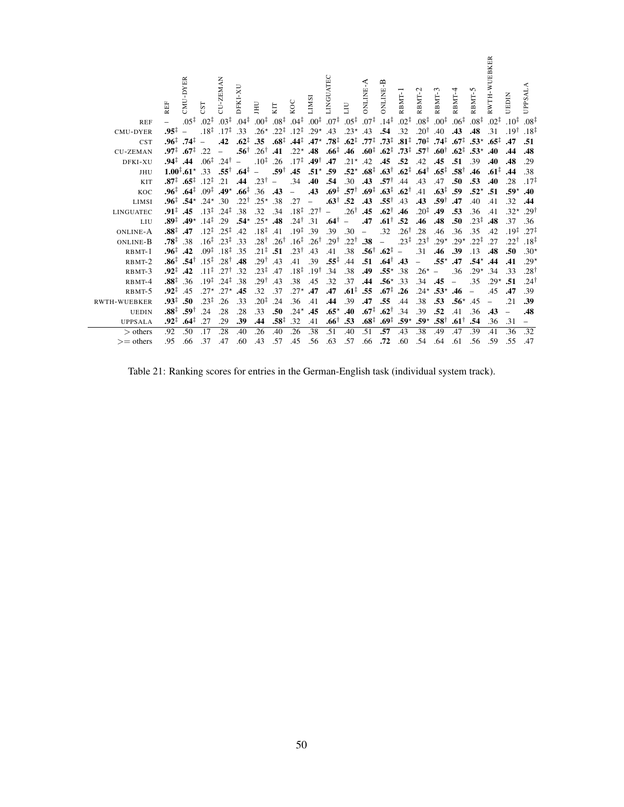|                     | REF              | CMU-DYER                                                              | <b>TSC</b>                                                                                                  | CU-ZEMAN                                              | JFKI-X                            | IНU                          | KIT                                                                 | KOC                      | <b>LIMSI</b>                          | LINGUATEC            | LIU                                                                                                                                                      | ⋖<br>-SNLINE             | ONLINE-B                                                                      | RBMT-            | RBMT-2           | RBMT-3                                             | RBMT-4                         | RBMT-5           | RWTH-WUEBKER                                                                                                                                                                                                                 | UEDIN                                                               | <b>UPPSALA</b>   |
|---------------------|------------------|-----------------------------------------------------------------------|-------------------------------------------------------------------------------------------------------------|-------------------------------------------------------|-----------------------------------|------------------------------|---------------------------------------------------------------------|--------------------------|---------------------------------------|----------------------|----------------------------------------------------------------------------------------------------------------------------------------------------------|--------------------------|-------------------------------------------------------------------------------|------------------|------------------|----------------------------------------------------|--------------------------------|------------------|------------------------------------------------------------------------------------------------------------------------------------------------------------------------------------------------------------------------------|---------------------------------------------------------------------|------------------|
| <b>REF</b>          |                  | $.05^{\ddagger}$                                                      | $.02^{\ddagger}$                                                                                            |                                                       | $.03^{\ddagger}$ $.04^{\ddagger}$ |                              |                                                                     |                          |                                       |                      | $.00^{\ddagger}$ $.08^{\ddagger}$ $.04^{\ddagger}$ $.00^{\ddagger}$ $.07^{\ddagger}$ $.05^{\ddagger}$ $.07^{\ddagger}$ $.14^{\ddagger}$ $.02^{\ddagger}$ |                          |                                                                               |                  |                  | $.08^{\ddagger}$ $.00^{\ddagger}$ $.06^{\ddagger}$ |                                |                  |                                                                                                                                                                                                                              | $.08^{\ddagger}$ $.02^{\ddagger}$ $.10^{\ddagger}$ $.08^{\ddagger}$ |                  |
| <b>CMU-DYER</b>     | $.95^{\ddagger}$ |                                                                       | $.18^{\ddagger}$                                                                                            | $.17^{\ddagger}$                                      | 33                                |                              | $.26^{\star}$ $.22^{\ddagger}$ $.12^{\ddagger}$ $.29^{\star}$ $.43$ |                          |                                       |                      | $.23*$                                                                                                                                                   | .43                      | .54                                                                           | .32              | $.20^{\dagger}$  | .40                                                | .43                            | .48              | .31                                                                                                                                                                                                                          | $.19^{\dagger}$                                                     | $.18^{\ddagger}$ |
| <b>CST</b>          |                  | $.96^{\ddagger}$ .74 <sup>‡</sup>                                     |                                                                                                             | .42                                                   | $.62^{\ddagger}$                  | .35                          |                                                                     |                          |                                       |                      |                                                                                                                                                          |                          |                                                                               |                  |                  |                                                    |                                |                  | $.68^{\ddagger}$ .44 <sup>‡</sup> .47 <sup>*</sup> .78 <sup>‡</sup> .57 <sup>±</sup> .77 <sup>±</sup> .73 <sup>‡</sup> .81 <sup>‡</sup> .70 <sup>±</sup> .74 <sup>±</sup> .67 <sup>±</sup> .53 <sup>*</sup> .65 <sup>‡</sup> | .47                                                                 | .51              |
| <b>CU-ZEMAN</b>     | $.97^{\ddagger}$ | $.67^{\ddagger}$                                                      | 22                                                                                                          |                                                       | $.56^{\dagger}$                   | $.26^{\dagger}$              | .41                                                                 |                          |                                       |                      | .22* .48 .60 <sup>‡</sup> .60 <sup>‡</sup> .62 <sup>‡</sup> .57 <sup>†</sup> .57 <sup>†</sup> .60 <sup>†</sup> .62 <sup>±</sup> .53 <sup>*</sup>         |                          |                                                                               |                  |                  |                                                    |                                |                  | .40                                                                                                                                                                                                                          | .44                                                                 | .48              |
| DFKI-XU             | $.94^{\ddagger}$ | .44                                                                   | $.06^{\ddagger}$                                                                                            | $.24^{\dagger}$                                       | $\equiv$                          | $.10^{\ddagger}$             | .26                                                                 |                          | $.17^{\ddagger}$ .49 <sup>†</sup> .47 |                      | $.21^*$ .42                                                                                                                                              |                          | .45                                                                           | .52              | .42              | .45                                                | .51                            | .39              | .40                                                                                                                                                                                                                          | .48                                                                 | .29              |
| JHU                 |                  | $1.00^{\ddagger}$ .61* .33                                            |                                                                                                             |                                                       | $.55^{\dagger}$ .64 <sup>‡</sup>  | $\overline{\phantom{a}}$     | $.59^{\dagger}$                                                     | .45                      | $.51^*$ .59                           |                      | $.52^{\star}$ $.68^{\ddagger}$ $.63^{\dagger}$ $.62^{\ddagger}$ $.64^{\dagger}$ $.65^{\ddagger}$ $.58^{\dagger}$                                         |                          |                                                                               |                  |                  |                                                    |                                | .46              | $.61^{\ddagger}$                                                                                                                                                                                                             | .44                                                                 | .38              |
| <b>KIT</b>          |                  | $.87^{\ddagger}$ $.65^{\ddagger}$ 12 <sup><math>\ddagger</math></sup> |                                                                                                             | .21                                                   | .44                               | $.23^{\dagger}$              | $\!-$                                                               | .34                      | .40                                   | .54                  | $.30$ $.43$                                                                                                                                              |                          | $.57^{\dagger}$ .44                                                           |                  | .43              | .47                                                | .50                            | .53              | .40                                                                                                                                                                                                                          | .28                                                                 | $.17^{\ddagger}$ |
| <b>KOC</b>          |                  |                                                                       | $.96^{\ddagger}$ .64 <sup><math>\ddagger</math></sup> .09 <sup><math>\ddagger</math></sup> .49 <sup>*</sup> |                                                       | $.66^{\ddagger}$ .36              |                              | .43                                                                 | $\overline{\phantom{a}}$ | .43                                   |                      | $.69^{\ddagger}$ $.57^{\dagger}$ $.69^{\ddagger}$ $.63^{\ddagger}$ $.62^{\dagger}$                                                                       |                          |                                                                               |                  | .41              | $.63^{\ddagger}$                                   | .59                            | $.52^{\star}$    | .51                                                                                                                                                                                                                          | $.59*$                                                              | .40              |
| LIMSI               | $.96^{\ddagger}$ |                                                                       | $.54^*$ .24 <sup>*</sup> .30                                                                                |                                                       | $.22^{\dagger}$                   | $.25*$                       | .38                                                                 | .27                      | $\overline{a}$                        |                      | $.63^{\dagger}$ .52                                                                                                                                      | .43                      | $.55^{\dagger}$                                                               | .43              | .43              | $.59^{\dagger}$                                    | .47                            | .40              | .41                                                                                                                                                                                                                          | .32                                                                 | .44              |
| <b>LINGUATEC</b>    | $.91^+$          | .45                                                                   | $13^{\ddagger}$ $.24^{\ddagger}$                                                                            |                                                       | .38                               | .32                          | .34                                                                 |                          | $.18^{\ddagger}$ .27 <sup>†</sup>     | $\overline{a}$       | $.26^{\dagger}$                                                                                                                                          | .45                      | $.62^{\dagger}$ .46                                                           |                  | $.20^{\ddagger}$ | .49                                                | .53                            | .36              | .41                                                                                                                                                                                                                          | $.32*$                                                              | $.29^{\dagger}$  |
| LIU                 |                  | $.89^{\ddagger}$ $.49^{\star}$ $.14^{\ddagger}$                       |                                                                                                             | .29                                                   |                                   | $.54^*$ .25 <sup>*</sup> .48 |                                                                     | $.24^{\dagger}$ .31      |                                       | $.64^{\dagger}$      | $\overline{a}$                                                                                                                                           | .47                      | $.61^{\dagger}$                                                               | .52              | .46              | .48                                                | .50                            | $.23^{\ddagger}$ | .48                                                                                                                                                                                                                          | .37                                                                 | .36              |
| <b>ONLINE-A</b>     | $.88^{\ddagger}$ | .47                                                                   | $.12^{\ddagger}$                                                                                            | $.25^{\ddagger}$                                      | .42                               | $.18^{\ddagger}$             | .41                                                                 | $.19^{1}$ .39            |                                       | .39                  | .30                                                                                                                                                      | $\overline{\phantom{0}}$ | .32                                                                           | $.26^{\dagger}$  | .28              | .46                                                | .36                            | .35              | .42                                                                                                                                                                                                                          | $.19^{\ddagger}$                                                    | $.27^{\ddagger}$ |
| <b>ONLINE-B</b>     | $.78^{\ddagger}$ | .38                                                                   | $.16^{\ddagger}$                                                                                            | $.23^{\ddagger}$                                      | .33                               | $.28^{\dagger}$              | $.26^{\dagger}$                                                     |                          | $.16^{\ddagger}$ .26 <sup>†</sup>     | $.29^{\dagger}$      | $.22^{\dagger}$                                                                                                                                          | .38                      | $\overline{\phantom{a}}$                                                      | $.23^{\ddagger}$ | $.23^{\dagger}$  |                                                    | $.29^{\star}$ .29 <sup>*</sup> | $.22^{\ddagger}$ | .27                                                                                                                                                                                                                          | $.22^{\dagger}$                                                     | $.18^{\ddagger}$ |
| $RBMT-1$            | $.96^{\ddagger}$ | .42                                                                   | $.09^{\ddagger}$                                                                                            | $.18^{\ddagger}$                                      | .35                               | $.21^{\ddagger}$             | .51                                                                 | $.23^{\dagger}$          | .43                                   | .41                  | .38                                                                                                                                                      |                          | $.56^{\dagger}$ $.62^{\ddagger}$ –                                            |                  | .31              | .46                                                | .39                            | .13              | .48                                                                                                                                                                                                                          | .50                                                                 | $.30*$           |
| RBMT-2              |                  | $.86^{\ddagger}$ .54 <sup>†</sup>                                     | $.15^{\ddagger}$                                                                                            | $.28^{\dagger}$                                       | .48                               | $.29^{\dagger}$              | .43                                                                 |                          | .41 .39                               | $.55^{\ddagger}$ .44 |                                                                                                                                                          | .51                      | $.64^{\dagger}$ .43                                                           |                  |                  | $.55^{\star}$                                      | .47                            | $.54*$           | .44                                                                                                                                                                                                                          | .41                                                                 | $.29*$           |
| RBMT-3              | $.92^{\ddagger}$ | .42                                                                   | $.11^{\ddagger}$                                                                                            | .27 <sup>†</sup>                                      | .32                               | $.23^{\ddagger}$             | .47                                                                 |                          | $.18^{\ddagger}$ .19 <sup>†</sup>     | .34                  | .38                                                                                                                                                      | .49                      | $.55^*$ .38                                                                   |                  | $.26^{*}$ –      |                                                    | .36                            | $.29*$           | .34                                                                                                                                                                                                                          | .33                                                                 | $.28^{\dagger}$  |
| RBMT-4              | $.88^{\ddagger}$ | .36                                                                   |                                                                                                             | $.19^{\ddagger}$ .24 <sup><math>\ddagger</math></sup> | .38                               | $.29^{\dagger}$              | .43                                                                 | .38                      | .45                                   | .32                  | .37                                                                                                                                                      | .44                      | $.56^*$ .33                                                                   |                  | .34              | .45                                                | $\overline{\phantom{a}}$       | .35              | $.29*$                                                                                                                                                                                                                       | .51                                                                 | $.24^{\dagger}$  |
| RBMT-5              | $.92^{\ddagger}$ | .45                                                                   |                                                                                                             | $.27^*$ .27*                                          | .45                               | .32                          | .37                                                                 | $.27*$                   | .47                                   | .47                  | $.61^{\ddagger}$ .55                                                                                                                                     |                          | $.67^{\ddagger}$ .26                                                          |                  | $.24*$           | $.53*$                                             | .46                            |                  | .45                                                                                                                                                                                                                          | .47                                                                 | .39              |
| <b>RWTH-WUEBKER</b> | $.93^{\ddagger}$ | .50                                                                   | $.23^{\ddagger}$                                                                                            | .26                                                   | .33                               | $.20^{\ddagger}$             | .24                                                                 | .36                      | .41                                   | .44                  | .39                                                                                                                                                      | .47                      | $.55$ .44                                                                     |                  | .38              | .53                                                | $.56*$                         | .45              |                                                                                                                                                                                                                              | .21                                                                 | .39              |
| <b>UEDIN</b>        | $.88^{\ddagger}$ | .59†                                                                  | .24                                                                                                         | .28                                                   | .28                               | .33                          | .50                                                                 | $.24*$ .45               |                                       | $.65^*$ .40          |                                                                                                                                                          | $.67^{\ddagger}$         | $.62^{\dagger}$ .34                                                           |                  | .39              | .52                                                | .41                            | .36              | .43                                                                                                                                                                                                                          |                                                                     | .48              |
| <b>UPPSALA</b>      | $.92^{\ddagger}$ | $.64^{\ddagger}$                                                      | .27                                                                                                         | .29                                                   | .39                               | .44                          | $.58^{\ddagger}$                                                    | .32                      | .41                                   |                      | $.66^{\dagger}$ .53                                                                                                                                      |                          | $.68^{\ddagger}$ $.69^{\ddagger}$ $.59^{\star}$ $.59^{\star}$ $.58^{\dagger}$ |                  |                  |                                                    | $.61^{\dagger}$                | .54              | .36                                                                                                                                                                                                                          | .31                                                                 | $\equiv$         |
| $>$ others          | .92              | .50                                                                   | .17                                                                                                         | .28                                                   | .40                               | .26                          | .40                                                                 | .26                      | .38                                   | .51                  | .40                                                                                                                                                      | .51                      | .57                                                                           | .43              | .38              | .49                                                | .47                            | .39              | .41                                                                                                                                                                                                                          | .36                                                                 | .32              |
| $\geq$ others       | .95              | .66                                                                   | .37                                                                                                         | .47                                                   | .60                               | .43                          | .57                                                                 | .45                      | .56                                   | .63                  | .57                                                                                                                                                      | .66                      | .72                                                                           | .60              | .54              | .64                                                | .61                            | .56              | .59                                                                                                                                                                                                                          | .55                                                                 | .47              |

Table 21: Ranking scores for entries in the German-English task (individual system track).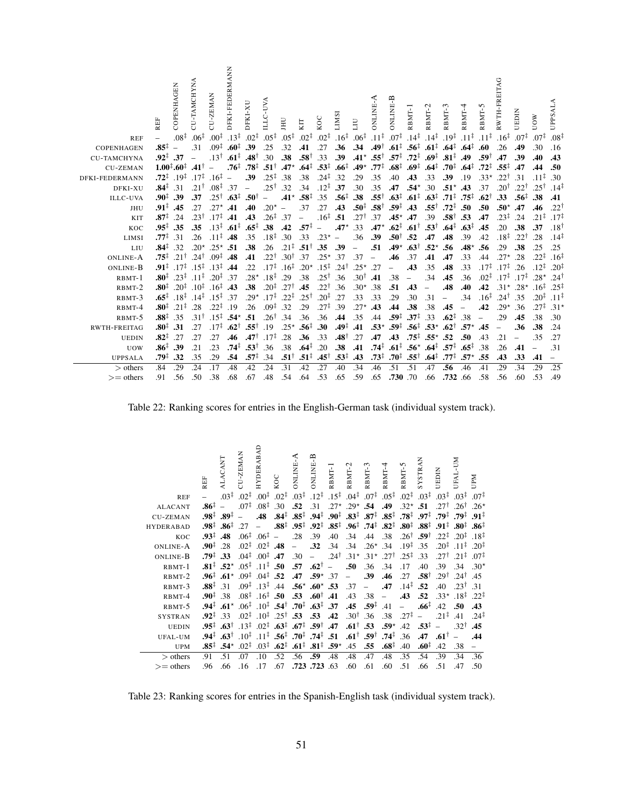|                     | REF              | COPENHAGEN        | CU-TAMCHYNA         | CU-ZEMAN         | DFKI-FEDERMANN   | DFKI-XU          | ILLC-UVA         | JHU                      | KIT              | KOC              | <b>LIMS</b>      | ПП               | ONLINE-                  | ONLINE-B         | RBMT-            | RBMT-2                   | RBMT-            | RBMT-4           | RBMT-5           | RWTH-FREITAG     | UEDIN            | <b>MOD</b>       | <b>UPPSALA</b>           |
|---------------------|------------------|-------------------|---------------------|------------------|------------------|------------------|------------------|--------------------------|------------------|------------------|------------------|------------------|--------------------------|------------------|------------------|--------------------------|------------------|------------------|------------------|------------------|------------------|------------------|--------------------------|
| <b>REF</b>          |                  | $.08^{\ddagger}$  | $.06^{\ddagger}$    | $.00^{\ddagger}$ | $.13^{\ddagger}$ | $.02^{\ddagger}$ | $.05^{\ddagger}$ | $.05^{\ddagger}$         | $.02^{\ddagger}$ | $.02^{\ddagger}$ | $.16^{\ddagger}$ | $.06^{\ddagger}$ | $.11^{\ddagger}$         | $.07^{\ddagger}$ | $.14^{\ddagger}$ | $.14^{\ddagger}$         | $.19^{\ddagger}$ | $.11^{\ddagger}$ | $.11^{\ddagger}$ | $.16^{\ddagger}$ | $.07^{\ddagger}$ | $.07^{\ddagger}$ | $.08^{\ddagger}$         |
| COPENHAGEN          | $.85^{\ddagger}$ |                   | .31                 | $.09^{\ddagger}$ | $.60^{\ddagger}$ | .39              | .25              | .32                      | .41              | .27              | .36              | .34              | $.49^{\dagger}$          | $.61^{\ddagger}$ | $.56^{\ddagger}$ | $.61^{\ddagger}$         | $.64^{\ddagger}$ | .64 <sup>†</sup> | .60              | .26              | .49              | .30              | .16                      |
| <b>CU-TAMCHYNA</b>  | $.92^{\ddagger}$ | .37               |                     | $.13^{\dagger}$  | $.61^{\ddagger}$ | 18أ.             | .30              | .38                      | $.58^{\dagger}$  | .33              | .39              | $.41*$           | $.55^{\dagger}$          | $.57^{\ddagger}$ | $.72^{\ddagger}$ | $.69^{\ddagger}$         | $.81^{\ddagger}$ | .49              | .59†             | .47              | .39              | .40              | .43                      |
| <b>CU-ZEMAN</b>     |                  | $1.00^{1}.60^{1}$ | $.41^{\dagger}$     |                  | .76‡             | $.78^{\ddagger}$ | $.51^{\dagger}$  | $.47*$                   | .64‡             | $.53^{\ddagger}$ | $.66^{\ddagger}$ | $.49*$           | .77‡                     | $.68^{\ddagger}$ | $.69^{\ddagger}$ | $.64^{\ddagger}$         | $.70^{\ddagger}$ | $.64^{\ddagger}$ | $.72^{\ddagger}$ | $.55^{\ddagger}$ | .47              | .44              | .50                      |
| DFKI-FEDERMANN      | $.72^{\ddagger}$ | $.19^{\ddagger}$  | $.17^{\ddagger}$    | $.16^{\ddagger}$ |                  | .39              | $.25^{\ddagger}$ | .38                      | .38              | $.24^{\ddagger}$ | .32              | .29              | .35                      | .40              | .43              | .33                      | .39              | .19              | $.33*$           | .221             | .31              | .11‡             | .30                      |
| DFKI-XU             | .84‡             | .31               | $.21^{\dagger}$     | $.08^{\ddagger}$ | .37              |                  | $.25^{\dagger}$  | .32                      | .34              | $.12^{\ddagger}$ | .37              | .30              | .35                      | .47              | $.54*$           | .30                      | $.51*$           | .43              | .37              | $.20^{\dagger}$  | $.22^{\dagger}$  | $.25^{\dagger}$  | $.14^{\ddagger}$         |
| <b>ILLC-UVA</b>     | $.90^{\ddagger}$ | .39               | .37                 | $.25^{\dagger}$  | $.63^{\ddagger}$ | $.50^{\dagger}$  |                  | $.41*$                   | $.58^{\ddagger}$ | .35              | $.56^{\ddagger}$ | .38              | $.55^{\dagger}$          | $.63^{\ddagger}$ | $.61^{\ddagger}$ | $.63^{\ddagger}$         | $.71^{\ddagger}$ | $.75^{\ddagger}$ | $.62^{\dagger}$  | .33              | $.56^{\ddagger}$ | .38              | .41                      |
| JHU                 | $.91^{\ddagger}$ | .45               | .27                 | $.27^{\star}$    | .41              | .40              | $.20^{\star}$    | $\overline{\phantom{0}}$ | .37              | .27              | .43              | $.50^{\ddagger}$ | $.58^{\dagger}$          | $.59^{\ddagger}$ | .43              | .55†                     | $.72^{\ddagger}$ | .50              | .50              | $.50*$           | .47              | .46              | $.22^{\dagger}$          |
| KIT                 | $.87^{\ddagger}$ | .24               | $.23^{\dagger}$     | $.17^{\ddagger}$ | .41              | .43              | $.26^{\ddagger}$ | .37                      |                  | $.16^{\ddagger}$ | .51              | $.27^{\dagger}$  | .37                      | $.45^{\star}$    | .47              | .39                      | $.58^{\dagger}$  | .53              | .47              | $.23^{\ddagger}$ | .24              | $.21^{\ddagger}$ | $.17^{\ddagger}$         |
| KOC                 | .95‡             | .35               | .35                 | $.13^{\ddagger}$ | $.61^{\ddagger}$ | $.65^{\ddagger}$ | .38              | .42                      | $.57^{\ddagger}$ |                  | $.47*$           | .33              | $.47*$                   | $.62^{\ddagger}$ | $.61^{\dagger}$  | $.53^{\dagger}$          | $.64^{\ddagger}$ | .63 <sup>†</sup> | .45              | .20              | .38              | .37              | $.18^{\dagger}$          |
| LIMSI               | $.77^{\ddagger}$ | .31               | .26                 | .11‡             | .48              | .35              | $.18^{\ddagger}$ | .30                      | .33              | $.23*$           |                  | .36              | .39                      | $.50^{\dagger}$  | .52              | .47                      | .48              | .39              | .42              | $.18^{\ddagger}$ | $.22^{\dagger}$  | .28              | $.14^{\ddagger}$         |
| LIU                 | .84‡             | .32               | $.20*$              | $.25*$           | .51              | .38              | .26              | $.21^{\ddagger}$         | $.51^{\dagger}$  | .35              | .39              |                  | .51                      | $.49*$           | $.63^{\dagger}$  | $.52*$                   | .56              | $.48^{\star}$    | .56              | .29              | .38              | .25              | .25                      |
| <b>ONLINE-A</b>     | .75‡             | $.21^{\dagger}$   | .24 <sup>†</sup>    | $.09^{\ddagger}$ | .48              | .41              | .22†             | $.30^{\dagger}$          | .37              | $.25*$           | .37              | .37              | $\overline{\phantom{m}}$ | .46              | .37              | .41                      | .47              | .33              | .44              | $.27*$           | .28              | $.22^{\ddagger}$ | $.16^{\ddagger}$         |
| ONLINE-B            | .91‡             | $.17^{\ddagger}$  | $.15^{+}$           | $.13^{\ddagger}$ | .44              | .22              | $.17^{\ddagger}$ | $.16^{\ddagger}$         | $.20*$           | $.15^{\ddagger}$ | $.24^{\dagger}$  | $.25*$           | .27                      |                  | .43              | .35                      | .48              | .33              | $.17^{\ddagger}$ | $.17^{\ddagger}$ | .26              | $.12^{\ddagger}$ | $.20^{+}$                |
| RBMT-1              | .80‡             | $.23^{\ddagger}$  | $-11^{\frac{1}{4}}$ | $.20^{\ddagger}$ | .37              | $.28*$           | $.18^{\ddagger}$ | .29                      | .38              | $.25^{\dagger}$  | .36              | $.30^{\dagger}$  | .41                      | .38              |                  | .34                      | .45              | .36              | $.02^{\ddagger}$ | $.17^{\ddagger}$ | $.17^{\ddagger}$ | $.28*$           | $.24^{\dagger}$          |
| RBMT-2              | .80‡             | $.20^{\ddagger}$  | $.10^{\ddagger}$    | $.16^{\ddagger}$ | .43              | .38              | $.20^{\ddagger}$ | $.27^{\dagger}$          | .45              | $.22^{\dagger}$  | .36              | $.30^{\star}$    | .38                      | .51              | .43              | $\overline{\phantom{0}}$ | .48              | .40              | .42              | $.31*$           | $.28*$           | $.16^{\ddagger}$ | $.25^{\ddagger}$         |
| RBMT-3              | $.65^{\ddagger}$ | $.18^{\ddagger}$  | $.14^{\ddagger}$    | $.15^{\ddagger}$ | .37              | $.29*$           | $.17^{\ddagger}$ | $.22^{\ddagger}$         | $.25^{\dagger}$  | $.20^{\ddagger}$ | .27              | .33              | .33                      | .29              | .30              | .31                      |                  | .34              | $.16^{\ddagger}$ | $.24^{\dagger}$  | .35              | $.20^{\ddagger}$ | $.11^{\ddagger}$         |
| RBMT-4              | .80‡             | $.21^{\ddagger}$  | .28                 | $.22^{\ddagger}$ | .19              | .26              | $.09^{\ddagger}$ | .32                      | .29              | $.27^{\ddagger}$ | .39              | $.27*$           | .43                      | .44              | .38              | .38                      | .45              |                  | .42              | $.29*$           | .36              | $.27^{\ddagger}$ | $.31*$                   |
| $RBMT-5$            | .88‡             | .35               | $.31^{\dagger}$     | $15^{\ddagger}$  | $.54*$           | .51              | $.26^{\dagger}$  | .34                      | .36              | .36              | .44              | .35              | .44                      | $.59^{\ddagger}$ | $.37^{\ddagger}$ | .33                      | $.62^{\ddagger}$ | .38              |                  | .29              | .45              | .38              | .30                      |
| <b>RWTH-FREITAG</b> | $.80^{\ddagger}$ | .31               | .27                 | $.17^{\ddagger}$ | $.62^{\dagger}$  | $.55^{\dagger}$  | .19              | $.25*$                   | $.56^{\ddagger}$ | .30              | .49‡             | .41              | $.53*$                   | $.59^{\ddagger}$ | $.56^{\ddagger}$ | $.53*$                   | $.62^+$          | $.57*$           | .45              |                  | .36              | .38              | .24                      |
| <b>UEDIN</b>        | $.82^{\ddagger}$ | .27               | .27                 | .27              | .46              | $.47^{\dagger}$  | $.17^{\ddagger}$ | .28                      | .36              | .33              | أ48.             | .27              | .47                      | .43              | $.75^{\ddagger}$ | $.55^{\star}$            | .52              | .50              | .43              | .21              |                  | .35              | .27                      |
| <b>UOW</b>          | $.86^{\ddagger}$ | .39               | .21                 | .23              | $.74^{\ddagger}$ | $.53^{\dagger}$  | .36              | .38                      | $.64^{\ddagger}$ | .20              | .38              | .41              | .74‡                     | $.61^{\ddagger}$ | $.56^{\star}$    | $.64^{\ddagger}$         | $.57^{\ddagger}$ | $.65^{\ddagger}$ | .38              | .26              | .41              |                  | .31                      |
| <b>UPPSALA</b>      | .79‡             | .32               | .35                 | .29              | .54              | $.57^{\ddagger}$ | .34              | $.51^{\dagger}$          | $.51^{\ddagger}$ | $.45^{\dagger}$  | $.53^{\ddagger}$ | .43              | $.73^{\ddagger}$         | $.70^{\ddagger}$ | $.55^{\dagger}$  | $.64^{\ddagger}$         | $.77^{\ddagger}$ | $.57*$           | .55              | .43              | .33              | .41              | $\overline{\phantom{0}}$ |
| $>$ others          | .84              | .29               | .24                 | .17              | .48              | .42              | .24              | $\overline{.31}$         | .42              | $\overline{.27}$ | .40              | .34              | .46                      | .51              | .51              | .47                      | .56              | .46              | .41              | .29              | .34              | .29              | .25                      |
| $\geq$ others       | .91              | .56               | .50                 | .38              | .68              | .67              | .48              | .54                      | .64              | .53              | .65              | .59              | .65                      | .730.70          |                  | .66                      | .732 .66         |                  | .58              | .56              | .60              | .53              | .49                      |

Table 22: Ranking scores for entries in the English-German task (individual system track).

|                  | REF              | <b>ALACANT</b>   | CU-ZEMAN         | HYDERABAD            | KOC                                                                                                                             | ⋖<br>ONLINE              | ۾<br>ONLINE                                        | RBMT-1           | $\mathbf{\Omega}$<br>RBMT-                            | RBMT-3                   | RBMT-4                   | RBMT-5                   | <b>STRAN</b><br>SS                                                                         | UEDIN            | UFAL-UM                                               | Md                                                    |
|------------------|------------------|------------------|------------------|----------------------|---------------------------------------------------------------------------------------------------------------------------------|--------------------------|----------------------------------------------------|------------------|-------------------------------------------------------|--------------------------|--------------------------|--------------------------|--------------------------------------------------------------------------------------------|------------------|-------------------------------------------------------|-------------------------------------------------------|
| <b>REF</b>       |                  | $.03^{\ddagger}$ | $.02^{\ddagger}$ | $.00^{\ddagger}$     | $.02^{\ddagger}$                                                                                                                | $.03^{\ddagger}$         | $.12^{\ddagger}$                                   |                  | $.15^{\ddagger}$ .04 <sup><math>\ddagger</math></sup> | $.07^{\ddagger}$         | $.05^{\ddagger}$         | $.02^{\ddagger}$         | $.03^{\ddagger}$                                                                           | $.03^{\ddagger}$ | $.03^{\ddagger}$                                      | $.07^{\ddagger}$                                      |
| <b>ALACANT</b>   | .86 <sup>‡</sup> |                  | $.07^{\ddagger}$ | $.08^{\ddagger}$     | .30                                                                                                                             | .52                      | .31                                                | $.27*$           | $.29*$                                                | .54                      | .49                      | $.32*$                   | .51                                                                                        | $.27^{\dagger}$  | $.26^{\dagger}$                                       | $.26*$                                                |
| <b>CU-ZEMAN</b>  | $.98^{\ddagger}$ | $.89^{\ddagger}$ |                  | .48                  | $.84^{\ddagger}$                                                                                                                | $.85^{\ddagger}$         | $.94^{\ddagger}$ $.90^{\ddagger}$ $.83^{\ddagger}$ |                  |                                                       | $.87^{\ddagger}$         |                          |                          | $.85^{\ddagger}$ .78 <sup><math>\ddagger</math></sup> .97 <sup><math>\ddagger</math></sup> | $.79^{\ddagger}$ | $.79^{\ddagger}$ .91 <sup><math>\ddagger</math></sup> |                                                       |
| <b>HYDERABAD</b> | $.98^{\ddagger}$ | $.86^{\ddagger}$ | .27              |                      | $.88^{\ddagger}$                                                                                                                | $.95^{\ddagger}$         | $.92^{\ddagger}$                                   | $.85^{\ddagger}$ | $.96^{\ddagger}$                                      | $.74^{\ddagger}$         | $.82^{\ddagger}$         | $.80^{\ddagger}$         | $.88^{\ddagger}$                                                                           | $.91^{\ddagger}$ | $.80^{1}$ $.86^{1}$                                   |                                                       |
| KOC              | $.93^{\ddagger}$ | .48              | $.06^{\ddagger}$ | $.06^{\ddagger}$ –   |                                                                                                                                 | .28                      | .39                                                | .40              | .34                                                   | .44                      | .38                      |                          | $.26^{\dagger}$ .59 <sup>†</sup>                                                           | $.22^{\ddagger}$ | $.20^{\ddagger}$ .18 <sup><math>\ddagger</math></sup> |                                                       |
| <b>ONLINE-A</b>  | $.90^{\ddagger}$ | .28              | $.02^{\ddagger}$ | $.02^{\ddagger}$ .48 |                                                                                                                                 | $\overline{\phantom{0}}$ | .32                                                | .34              | .34                                                   | $.26*$ .34               |                          | $.19^{\ddagger}$         | .35                                                                                        | $.20^{\ddagger}$ | $.11^{\ddagger}$ .20 <sup>‡</sup>                     |                                                       |
| ONLINE-B         | $.79^{\ddagger}$ | .33              | $.04^{\ddagger}$ | $.00^{\ddagger}$     | .47                                                                                                                             | .30                      | $ \,$                                              | $.24^{\dagger}$  | $.31^{\star}$                                         | $.31^{\star}$            | $.27^{\dagger}$          | $.25^{\ddagger}$         | .33                                                                                        | $.27^{\dagger}$  |                                                       | $.21^{\ddagger}$ .07 <sup><math>\ddagger</math></sup> |
| RBMT-1           | $.81^{\ddagger}$ | $.52^{\star}$    | $.05^{\ddagger}$ | $.11^{\ddagger}$     | .50                                                                                                                             | .57                      | $.62^{\dagger}$                                    | $\overline{a}$   | .50                                                   | .36                      | .34                      | .17                      | .40                                                                                        | .39              | $.34 \t .30*$                                         |                                                       |
| RBMT-2           | $.96^{\ddagger}$ | $.61^{\star}$    | $.09^{\ddagger}$ | $.04^{\ddagger}$ .52 |                                                                                                                                 | .47                      | $.59^*$ .37                                        |                  | $-$                                                   | .39                      | .46                      | .27                      | $.58^{\dagger}$                                                                            | $.29^{\dagger}$  | $.24^{\dagger}$ .45                                   |                                                       |
| RBMT-3           | $.88^{\ddagger}$ | .31              | $.09^{\ddagger}$ | $.13^{\ddagger}$     | .44                                                                                                                             | $.56^{\star}$            | $.60^*$ .53                                        |                  | .37                                                   | $\overline{\phantom{0}}$ | .47                      | $.14^{\ddagger}$         | .52                                                                                        | .40              | $.23^{\dagger}$                                       | .31                                                   |
| RBMT-4           | $.90^{\ddagger}$ | .38              | $.08^{\ddagger}$ | $.16^{\ddagger}$     | .50                                                                                                                             | .53                      | $.60^+$                                            | .41              | .43                                                   | .38                      | $\overline{\phantom{a}}$ | .43                      | .52                                                                                        | $.33*$           | $.18^{\ddagger}$ .22 <sup><math>\ddagger</math></sup> |                                                       |
| RBMT-5           | $.94^{\ddagger}$ | $.61*$           | $.06^{\ddagger}$ | $.10^{\ddagger}$     | $.54^{\dagger}$                                                                                                                 | $.70^{\ddagger}$         | $.63^{\ddagger}$                                   | .37              | .45                                                   | $.59^{\ddagger}$         | .41                      | $\overline{\phantom{0}}$ | $.66^{\ddagger}$                                                                           | .42              | .50                                                   | .43                                                   |
| <b>SYSTRAN</b>   | $.92^{\ddagger}$ | .33              | $.02^{\ddagger}$ | $.10^{\ddagger}$     | $.25^{\dagger}$                                                                                                                 | .53                      | .53                                                | .42              | $.30^{\dagger}$                                       | .36                      | .38                      | $.27^{\ddagger}$         |                                                                                            | $.21^{\ddagger}$ | .41                                                   | $.24^{\ddagger}$                                      |
| <b>UEDIN</b>     | $.95^{\ddagger}$ | $.63^{\dagger}$  | $.13^{\ddagger}$ |                      | $0.02^{\ddagger}$ .63 <sup><math>\ddagger</math></sup> .67 <sup><math>\ddagger</math></sup> .59 <sup><math>\dagger</math></sup> |                          |                                                    | .47              | $.61^{\dagger}$                                       | .53                      | $.59*$                   | .42                      | $.53^{\ddagger}$                                                                           |                  | $.32^{\dagger}$                                       | .45                                                   |
| UFAL-UM          | $.94^{\ddagger}$ | $.63^{\dagger}$  | $.10^{\ddagger}$ | $.11^{\ddagger}$     | $.56^{\ddagger}$                                                                                                                | $.70^{\ddagger}$         | $.74^{\ddagger}$ .51                               |                  | $.61^{\dagger}$                                       | $.59^{\dagger}$          | $.74^{\ddagger}$         | .36                      | .47                                                                                        | $.61^{\dagger}$  |                                                       | .44                                                   |
| <b>UPM</b>       | $.85^{\ddagger}$ | $.54*$           | $.02^{\ddagger}$ | $.03^{\ddagger}$     | $.62^{\ddagger}$                                                                                                                | $.61^{\ddagger}$         | $.81^{\ddagger}$                                   | $.59*$           | .45                                                   | .55                      | $.68^{\ddagger}$         | .40                      | $.60^{\ddagger}$                                                                           | .42              | .38                                                   | $\overline{a}$                                        |
| $>$ others       | .91              | .51              | .07              | .10                  | .52                                                                                                                             | .56                      | .59                                                | .48              | .48                                                   | .47                      | .48                      | .35                      | .54                                                                                        | .39              | .34                                                   | .36                                                   |
| $\geq$ others    | .96              | .66              | .16              | .17                  | .67                                                                                                                             |                          | .723.723                                           | .63              | .60                                                   | .61                      | .60                      | .51                      | .66                                                                                        | .51              | .47                                                   | .50                                                   |

Table 23: Ranking scores for entries in the Spanish-English task (individual system track).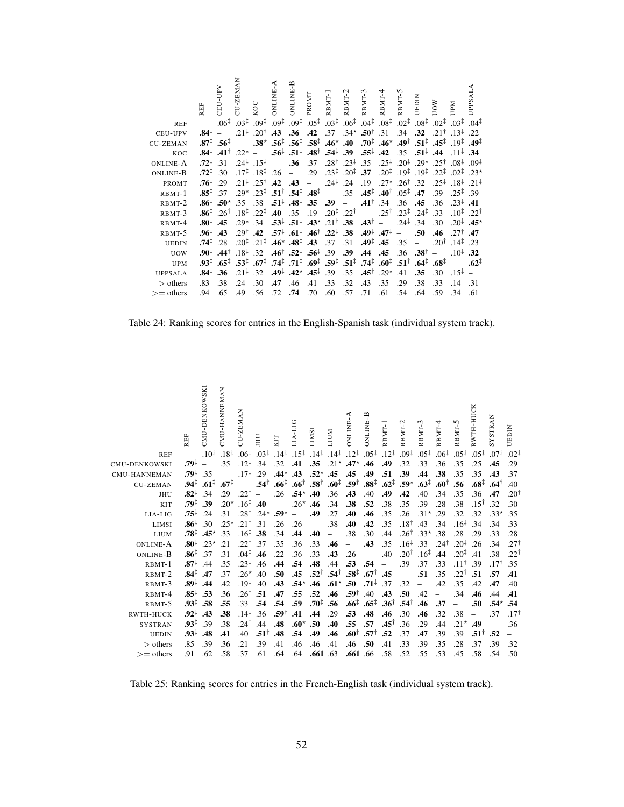|                 | REF              | CEU-UPV          | CU-ZEMAN         | KOC              | ⋖<br><b>SNLINE</b> | ONLINE-B                                              | PROMT                                                               | RBMT-                | RBMT-                                                 | RBMT-3                                                | RBMT-4                                            | RBMT-5                   | UEDIN                                                                                      | VOV              | Md                                                    | UPPSALA                                               |
|-----------------|------------------|------------------|------------------|------------------|--------------------|-------------------------------------------------------|---------------------------------------------------------------------|----------------------|-------------------------------------------------------|-------------------------------------------------------|---------------------------------------------------|--------------------------|--------------------------------------------------------------------------------------------|------------------|-------------------------------------------------------|-------------------------------------------------------|
| <b>REF</b>      |                  | $.06^{\ddagger}$ | $.03^{\ddagger}$ | $.09^{\ddagger}$ | $.09^{\ddagger}$   | $.09^{\ddagger}$                                      | $.05^{\ddagger}$                                                    | $.03^{\ddagger}$     | $.06^{\ddagger}$                                      | $.04^{\ddagger}$                                      | $.08^{\ddagger}$                                  | $.02^{\ddagger}$         | $.08^{\ddagger}$                                                                           | $.02^{\ddagger}$ | $.03^{\ddagger}$                                      | $.04^{\ddagger}$                                      |
| CEU-UPV         | $.84^{\ddagger}$ |                  | $.21^{\ddagger}$ | $.20^{\dagger}$  | .43                | .36                                                   | .42                                                                 | .37                  | $.34*$                                                | $.50^{\dagger}$                                       | .31                                               | .34                      | .32                                                                                        | .21 <sup>†</sup> | $.13^{\ddagger}$                                      | 22.                                                   |
| <b>CU-ZEMAN</b> | $.87^{\ddagger}$ | $.56^{\ddagger}$ |                  | $.38^{\star}$    | $.56^{\ddagger}$   | $.56^{\ddagger}$                                      | $.58^{\ddagger}$                                                    | $.46^*$ .40          |                                                       |                                                       | $.70^{\ddagger}$ $.46^{\star}$ $.49^{\dagger}$    |                          | $.51^{\ddagger}$ $.45^{\ddagger}$                                                          |                  |                                                       | $19^{\ddagger}$ .49 <sup><math>\ddagger</math></sup>  |
| KOC             | $.84^{\ddagger}$ | $.41^{\dagger}$  | $.22*$           | $\frac{1}{2}$    |                    | $.56^{\ddagger}$ .51 <sup><math>\ddagger</math></sup> | $.48^{\dagger}$                                                     | $.54^{\ddagger}$ .39 |                                                       | $.55^{\ddagger}$                                      |                                                   |                          | $.42 \quad .35 \quad .51^{\ddagger} \quad .44$                                             |                  | $.11^{\ddagger}$ .34                                  |                                                       |
| <b>ONLINE-A</b> | $.72^{+}$        | .31              | $.24^{\ddagger}$ | $.15^{\ddagger}$ | $\equiv$           | .36                                                   | .37                                                                 | .28 <sup>†</sup>     | $.23^{\ddagger}$                                      | .35                                                   |                                                   |                          | $.25^{\ddagger}$ $.20^{\ddagger}$ $.29^{\star}$ $.25^{\dagger}$                            |                  |                                                       | $.08^{\ddagger}$ .09 <sup><math>\ddagger</math></sup> |
| ONLINE-B        | $.72^{+}$        | .30              | $.17^{\ddagger}$ | $.18^{\ddagger}$ | .26                |                                                       | .29                                                                 |                      | $.23^{\ddagger}$ .20 <sup><math>\ddagger</math></sup> | .37                                                   |                                                   |                          | $.20^{\ddagger}$ .19 <sup><math>\ddagger</math></sup> .19 <sup><math>\ddagger</math></sup> | $.22^{\ddagger}$ |                                                       | $.02^{\ddagger}$ .23 <sup>*</sup>                     |
| <b>PROMT</b>    | $.76^{\ddagger}$ | .29              | $.21^{\ddagger}$ | $.25^{\dagger}$  | .42                | .43                                                   | $\equiv$                                                            | $.24^{\ddagger}$     | .24                                                   | .19                                                   |                                                   | $.27^*$ .26 <sup>†</sup> | .32                                                                                        | $.25^{\ddagger}$ | $.18^{\ddagger}$ .21 <sup><math>\ddagger</math></sup> |                                                       |
| $RBMT-1$        | $.85^{\ddagger}$ | .37              | $29*$            | $.23^{\ddagger}$ |                    |                                                       | $.51^{\dagger}$ $.54^{\dagger}$ $.48^{\dagger}$ -                   |                      | .35                                                   |                                                       | $.45^{\ddagger}$ $.40^{\dagger}$ $.05^{\ddagger}$ |                          | .47                                                                                        | .39              | $.25^{\ddagger}$ .39                                  |                                                       |
| RBMT-2          | .86 <sup>‡</sup> | $.50^{\star}$    | .35              | .38              | $.51^{\ddagger}$   | $.48^{\ddagger}$                                      | .35                                                                 | .39                  | $\equiv$                                              | $.41^{\dagger}$                                       | .34                                               | .36                      | .45                                                                                        | .36              | $.23^{\ddagger}$ .41                                  |                                                       |
| RBMT-3          | .86 <sup>‡</sup> | $.26^{\dagger}$  | $.18^{\ddagger}$ | $.22^{\ddagger}$ | .40                | .35                                                   | .19                                                                 |                      | $.20^{\ddagger}$ .22 <sup>†</sup>                     | $\sim$                                                | $.25^{\dagger}$                                   |                          | $.23^{\ddagger}$ .24 <sup><math>\ddagger</math></sup>                                      | .33              |                                                       | $.10^{1}$ $.22^{1}$                                   |
| RBMT-4          | $.80^{\ddagger}$ | .45              | $.29*$           | .34              | $.53^{\ddagger}$   | $.51^{\ddagger}$                                      | $.43\star$                                                          | $.21^{\dagger}$      | .38                                                   | $.43^{\dagger}$                                       | $\equiv$                                          | $.24^{\ddagger}$         | .34                                                                                        | .30              |                                                       | $.20^{1}$ $.45^{*}$                                   |
| RBMT-5          | $.96^{\ddagger}$ | .43              | .29 <sup>†</sup> | .42              |                    |                                                       | $.57^{\ddagger}$ $.61^{\ddagger}$ $.46^{\dagger}$                   | $.22^{\ddagger}$     | .38                                                   | $.49^{\ddagger}$ .47 <sup><math>\ddagger</math></sup> |                                                   | $\overline{a}$           | .50                                                                                        | .46              | $.27^{\dagger}$ .47                                   |                                                       |
| <b>UEDIN</b>    | $.74^{\ddagger}$ | .28              | $.20^{\ddagger}$ | $.21^{\ddagger}$ |                    | $.46^*$ $.48^{\ddagger}$ $.43$                        |                                                                     | .37                  | .31                                                   | $.49^{\ddagger}$ .45                                  |                                                   | .35                      | $\overline{\phantom{0}}$                                                                   | $.20^{\dagger}$  | $.14^{\ddagger}$ .23                                  |                                                       |
| <b>UOW</b>      | $.90^{\ddagger}$ | $.44^{\dagger}$  | $.18^{\ddagger}$ | .32              |                    |                                                       | $.46^{\dagger}$ .52 <sup>‡</sup> .56 <sup>‡</sup>                   | .39                  | .39                                                   | .44                                                   | .45                                               | .36                      | $.38^{\dagger}$                                                                            |                  | $.10^{1}$ .32                                         |                                                       |
| <b>UPM</b>      | $.93^{\ddagger}$ | $.65^{\ddagger}$ | $.53^{\ddagger}$ | $.67^{\ddagger}$ |                    |                                                       | $.74^{\ddagger}$ $.71^{\ddagger}$ $.69^{\ddagger}$ $.59^{\ddagger}$ |                      | $.51^{\ddagger}$                                      |                                                       | $.74^{\ddagger}$ $.60^{\ddagger}$ $.51^{\dagger}$ |                          | $.64^{\ddagger}$                                                                           | $.68^{\ddagger}$ | $\sim$ $-$                                            | $.62^{\ddagger}$                                      |
| <b>UPPSALA</b>  | $.84^{\ddagger}$ | .36              | $.21^{\ddagger}$ | .32              | $.49^{\ddagger}$   |                                                       | $.42^{\star}$ $.45^{\ddagger}$                                      | .39                  | .35                                                   | $.45^{\dagger}$                                       | $.29*$                                            | .41                      | .35                                                                                        | .30              | $.15^{\ddagger}$ –                                    |                                                       |
| $>$ others      | .83              | .38              | .24              | .30              | .47                | .46                                                   | .41                                                                 | .33                  | .32                                                   | .43                                                   | .35                                               | .29                      | .38                                                                                        | .33              | .14                                                   | .31                                                   |
| $\geq$ others   | .94              | .65              | .49              | .56              | .72                | .74                                                   | .70                                                                 | .60                  | .57                                                   | .71                                                   | .61                                               | .54                      | .64                                                                                        | .59              | .34                                                   | .61                                                   |

Table 24: Ranking scores for entries in the English-Spanish task (individual system track).

|                      | REF              | CMU-DENKOWSKI    | CMU-HANNEMAN     | CU-ZEMAN         | JНU              | KIT              | <b>LIA-LIG</b>   | <b>LIMSI</b>             | <b>NULI</b>      | -SNLINE          | <b>B-BMTMC</b>   | RBMT-1           | RBMT-2           | 3<br>RBMT-       | RBMT-4           | RBMT-5           | RWTH-HUCK                | <b>SYSTRAN</b>   | UEDIN            |
|----------------------|------------------|------------------|------------------|------------------|------------------|------------------|------------------|--------------------------|------------------|------------------|------------------|------------------|------------------|------------------|------------------|------------------|--------------------------|------------------|------------------|
| <b>REF</b>           |                  | $.10^{\ddagger}$ | $.18^{\ddagger}$ | $.06^{\ddagger}$ | $.03^{\ddagger}$ | $.14^{\ddagger}$ | $.15^{\ddagger}$ | $.14^{\ddagger}$         | $.14^{\ddagger}$ | $.12^{\ddagger}$ | $.05^{\ddagger}$ | $.12^{\ddagger}$ | $.09^{\ddagger}$ | $.05^{\ddagger}$ | $.06^{\ddagger}$ | $.05^{\ddagger}$ | $.05^{\ddagger}$         | $.07^{\ddagger}$ | $.02^{\ddagger}$ |
| <b>CMU-DENKOWSKI</b> | .79‡             |                  | .35              | $.12^{\ddagger}$ | .34              | .32              | .41              | .35                      | $.21*$           | $.47*$           | .46              | .49              | .32              | .33              | .36              | .35              | .25                      | .45              | .29              |
| <b>CMU-HANNEMAN</b>  | $.79^{\ddagger}$ | .35              |                  | $.17^{\ddagger}$ | .29              | $.44*$           | .43              | $.52*$                   | .45              | .45              | .49              | .51              | .39              | .44              | .38              | .35              | .35                      | .43              | .37              |
| <b>CU-ZEMAN</b>      | $.94^{\ddagger}$ | $.61^{\ddagger}$ | $.67^{\ddagger}$ |                  | .54†             | $.66^{\ddagger}$ | $.66^{\dagger}$  | $.58^{\dagger}$          | $.60^{\ddagger}$ | $.59^{\dagger}$  | $.88^{\ddagger}$ | $.62^{\ddagger}$ | $.59*$           | $.63^{\ddagger}$ | $.60^{\dagger}$  | .56              | $.68^{\ddagger}$         | $.64^{\dagger}$  | .40              |
| JHU                  | $.82^{\ddagger}$ | 34               | .29              | $.22^{\dagger}$  |                  | .26              | $.54*$           | .40                      | .36              | .43              | .40              | .49              | .42              | .40              | .34              | .35              | .36                      | .47              | $.20^{\dagger}$  |
| <b>KIT</b>           | $.79^{\ddagger}$ | .39              | $.20*$           | $.16^{\ddagger}$ | .40              |                  | $.26*$           | .46                      | .34              | .38              | .52              | .38              | .35              | .39              | .28              | .38              | $.15^{\dagger}$          | .32              | .30              |
| LIA-LIG              | $.75^{\ddagger}$ | .24              | .31              | $.28^{\dagger}$  | $.24*$           | $.59*$           |                  | .49                      | .27              | .40              | .46              | .35              | .26              | $.31*$           | .29              | .32              | .32                      | $.33*$           | .35              |
| LIMSI                | $.86^{\ddagger}$ | .30              | $.25*$           | $.21^{\dagger}$  | .31              | .26              | .26              | $\overline{\phantom{0}}$ | .38              | .40              | .42              | .35              | $.18^{\dagger}$  | .43              | .34              | $.16^{\ddagger}$ | .34                      | .34              | .33              |
| LIUM                 | $.78^{\ddagger}$ | $.45*$           | .33              | $.16^{\ddagger}$ | .38              | .34              | .44              | .40                      |                  | .38              | .30              | .44              | $.26^{\dagger}$  | $.33*$           | .38              | .28              | .29                      | .33              | .28              |
| <b>ONLINE-A</b>      | $.80^{\ddagger}$ | $.23*$           | .21              | $.22^{\dagger}$  | .37              | .35              | .36              | .33                      | .46              |                  | .43              | .35              | $.16^{\ddagger}$ | .33              | $.24^{\dagger}$  | $.20^{\ddagger}$ | .26                      | .34              | $.27^{\dagger}$  |
| <b>ONLINE-B</b>      | $.86^{\ddagger}$ | .37              | .31              | $.04^{\ddagger}$ | .46              | .22              | .36              | .33                      | .43              | .26              |                  | .40              | $.20^{\dagger}$  | $.16^{\ddagger}$ | .44              | $.20^{\ddagger}$ | .41                      | .38              | $.22^{\dagger}$  |
| RBMT-1               | $.87^{\ddagger}$ | .44              | .35              | $.23^{\ddagger}$ | .46              | .44              | .54              | .48                      | .44              | .53              | .54              |                  | .39              | .37              | .33              | $.11^{\dagger}$  | .39                      | $.17^{\dagger}$  | .35              |
| $RBMT-2$             | $.84^{\ddagger}$ | .47              | .37              | $.26*$           | .40              | .50              | .45              | $.52^{\dagger}$          | $.54^{\dagger}$  | $.58^{\ddagger}$ | $.67^{\dagger}$  | .45              |                  | .51              | .35              | $.22^{\dagger}$  | .51                      | .57              | .41              |
| RBMT-3               | .89‡             | .44              | .42              | $.19^{\ddagger}$ | .40              | .43              | $.54*$           | .46                      | $.61*$           | .50              | $.71^{\ddagger}$ | .37              | .32              |                  | .42              | .35              | .42                      | .47              | .40              |
| RBMT-4               | $.85^{\ddagger}$ | .53              | .36              | $.26^{\dagger}$  | .51              | .47              | .55              | .52                      | .46              | $.59^{\dagger}$  | .40              | .43              | .50              | .42              |                  | .34              | .46                      | .44              | .41              |
| $RBMT-5$             | $.93^{\ddagger}$ | .58              | .55              | .33              | .54              | .54              | .59              | $.70^{\ddagger}$         | .56              | $.66^{\ddagger}$ | $.65^{\ddagger}$ | $.36^{\dagger}$  | .54†             | .46              | .37              |                  | .50                      | $.54*$           | .54              |
| <b>RWTH-HUCK</b>     | $.92^{\ddagger}$ | .43              | .38              | $.14^{\ddagger}$ | .36              | .59†             | .41              | .44                      | .29              | .53              | .48              | .46              | .30              | .46              | .32              | .38              | $\overline{\phantom{a}}$ | .37              | $.17^{\dagger}$  |
| <b>SYSTRAN</b>       | $.93^{\ddagger}$ | .39              | .38              | $.24^{\dagger}$  | .44              | .48              | $.60*$           | .50                      | .40              | .55              | .57              | $.45^{\dagger}$  | .36              | .29              | .44              | $.21*$           | .49                      |                  | .36              |
| <b>UEDIN</b>         | $.93^{\ddagger}$ | .48              | .41              | .40              | $.51^{\dagger}$  | .48              | .54              | .49                      | .46              | $.60^{\dagger}$  | $.57^{\dagger}$  | .52              | .37              | .47              | .39              | .39              | $.51^{\dagger}$          | .52              |                  |
| $>$ others           | .85              | .39              | .36              | .21              | .39              | .41              | .46              | .46                      | .41              | .46              | .50              | .41              | .33              | .39              | .35              | .28              | .37                      | .39              | .32              |
| $\geq$ others        | .91              | .62              | .58              | .37              | .61              | .64              | .64              | .661 .63                 |                  | .661.66          |                  | .58              | .52              | .55              | .53              | .45              | .58                      | .54              | .50              |

Table 25: Ranking scores for entries in the French-English task (individual system track).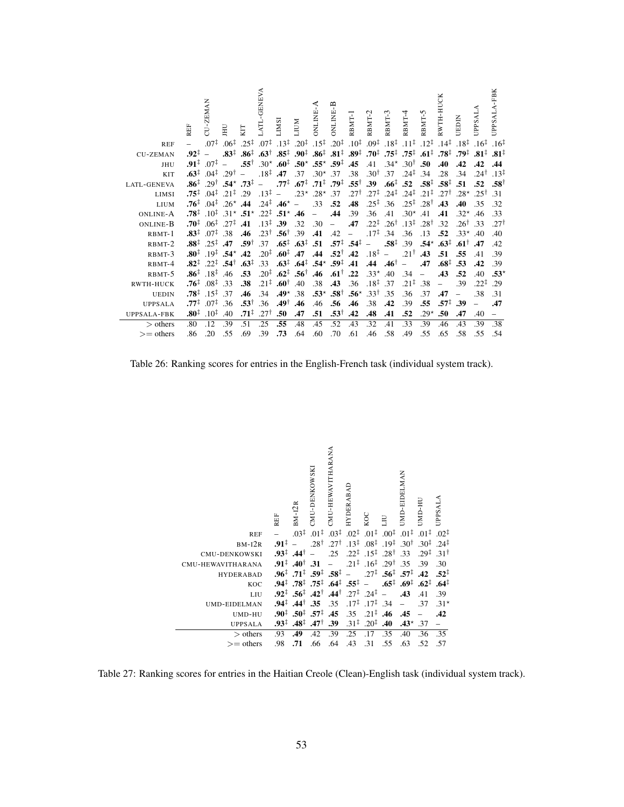|                    |                  |                                                           |                                                                                           |                                                                                                                                                                       | LATL-GENEVA      |                                      |                                                                                                                                                                                                            |                                                       |                                                             |                                   |                                                       |                                   |                                                   |                                   | ă                         |                  |                     | UPPSALA-FBK      |
|--------------------|------------------|-----------------------------------------------------------|-------------------------------------------------------------------------------------------|-----------------------------------------------------------------------------------------------------------------------------------------------------------------------|------------------|--------------------------------------|------------------------------------------------------------------------------------------------------------------------------------------------------------------------------------------------------------|-------------------------------------------------------|-------------------------------------------------------------|-----------------------------------|-------------------------------------------------------|-----------------------------------|---------------------------------------------------|-----------------------------------|---------------------------|------------------|---------------------|------------------|
|                    |                  | CU-ZEMAN                                                  |                                                                                           |                                                                                                                                                                       |                  |                                      |                                                                                                                                                                                                            |                                                       | <b>ONLINE-B</b>                                             |                                   |                                                       |                                   |                                                   |                                   | RWTH-HU                   |                  |                     |                  |
|                    | REF              |                                                           | JНU                                                                                       |                                                                                                                                                                       |                  | <b>LIMSI</b>                         | <b>NULT</b>                                                                                                                                                                                                | <b>SNLINE</b>                                         |                                                             | RBMT-1                            | RBMT-2                                                | RBMT-3                            | RBMT-4                                            | RBMT-5                            |                           | EDIN             | UPPSALA             |                  |
|                    |                  |                                                           |                                                                                           | KЩ                                                                                                                                                                    |                  |                                      |                                                                                                                                                                                                            |                                                       |                                                             |                                   |                                                       |                                   |                                                   |                                   |                           |                  |                     |                  |
| <b>REF</b>         |                  | $.07^{\ddagger}$                                          | $.06^{\ddagger}$                                                                          | $.25^{\ddagger}$                                                                                                                                                      | $.07^{\ddagger}$ | $.13^{\ddagger}$                     |                                                                                                                                                                                                            | $.20^{\ddagger}$ .15 <sup><math>\ddagger</math></sup> |                                                             | $.20^{\ddagger}$ $.10^{\ddagger}$ | $.09^{\ddagger}$ .18 <sup><math>\ddagger</math></sup> |                                   | $.11^{\ddagger}$                                  | $.12^{\ddagger}$                  | $.14^{\ddagger}$          | $.18^{\ddagger}$ | $.16^{\ddagger}$    | $.16^{\ddagger}$ |
| <b>CU-ZEMAN</b>    | $.92^{\ddagger}$ |                                                           | $.83^{\ddagger}$                                                                          | $.86^{\ddagger}$                                                                                                                                                      |                  |                                      | $163^{\dagger}$ , $35^{\dagger}$ , $90^{\dagger}$ , $36^{\dagger}$ , $31^{\dagger}$ , $89^{\dagger}$ , $70^{\dagger}$ , $75^{\dagger}$ , $75^{\dagger}$ , $61^{\dagger}$ , $78^{\dagger}$ , $79^{\dagger}$ |                                                       |                                                             |                                   |                                                       |                                   |                                                   |                                   |                           |                  | $.81^{\ddagger}$    | $.81^{\ddagger}$ |
| JHU                | $.91^{\ddagger}$ | $.07^{\ddagger}$ –                                        |                                                                                           | $.55^{\dagger}$                                                                                                                                                       |                  |                                      | $.30^{\star}$ .60 <sup>‡</sup> .50 <sup>*</sup> .55 <sup>*</sup> .59 <sup>‡</sup>                                                                                                                          |                                                       |                                                             | .45                               | .41                                                   | $.34*$                            | .30 <sup>†</sup>                                  | .50                               | .40                       | .42              | .42                 | .44              |
| <b>KIT</b>         | $.63^{\ddagger}$ |                                                           | $.04^{\ddagger}$ .29 <sup>†</sup> –                                                       |                                                                                                                                                                       | $.18^{\ddagger}$ |                                      | $.47$ $.37$ $.30^*$ $.37$ $.38$                                                                                                                                                                            |                                                       |                                                             |                                   | .30 <sup>†</sup>                                      |                                   | $.37$ $.24^{\ddagger}$ $.34$                      |                                   | .28                       | .34              | $.24^{\dagger}$     | $.13^{\ddagger}$ |
| <b>LATL-GENEVA</b> | .86 <sup>‡</sup> |                                                           |                                                                                           | $.29^{\dagger}$ .54* .73 <sup>‡</sup>                                                                                                                                 | $\sim$           |                                      | $.77^{\ddagger}$ $.67^{\ddagger}$ $.71^{\ddagger}$ $.79^{\ddagger}$ $.55^{\dagger}$                                                                                                                        |                                                       |                                                             |                                   | .39                                                   | $.66^{\ddagger}$                  | $.52$ $.58^{\ddagger}$ $.58^{\ddagger}$ $.51$     |                                   |                           |                  | .52                 | $.58^{\dagger}$  |
| LIMSI              | $.75^{\ddagger}$ |                                                           | $.04^{\ddagger}$ .21 <sup><math>\ddagger</math></sup>                                     | $.29$ $.13^{\ddagger}$ -                                                                                                                                              |                  |                                      |                                                                                                                                                                                                            | $.23^{\star}$ $.28^{\star}$ $.37$                     |                                                             | $.27^{\dagger}$                   |                                                       | $.27^{\ddagger}$ $.24^{\ddagger}$ | $.24^{\ddagger}$ $.21^{\ddagger}$ $.27^{\dagger}$ |                                   |                           | $.28^{\star}$    | $.25^{\dagger}$ .31 |                  |
| LIUM               | $.76^{\ddagger}$ |                                                           | $.04^{\ddagger}$ . 26 <sup>*</sup> . 44                                                   |                                                                                                                                                                       |                  | $.24^{\ddagger}$ .46* -              |                                                                                                                                                                                                            | .33                                                   | .52                                                         | .48                               | $.25^{\ddagger}$ .36                                  |                                   |                                                   | $.25^{\ddagger}$ $.28^{\dagger}$  | .43                       | .40              | .35                 | .32              |
| ONLINE-A           |                  |                                                           |                                                                                           | .78 <sup><math>\ddagger</math></sup> .10 <sup><math>\ddagger</math></sup> .31 <sup>*</sup> .51 <sup>*</sup> .22 <sup><math>\ddagger</math></sup> .51 <sup>*</sup> .46 |                  |                                      |                                                                                                                                                                                                            | $\overline{\phantom{0}}$                              | .44                                                         | .39                               | $.36$ $.41$                                           |                                   | $.30^*$ .41                                       |                                   | .41                       | $.32*$           | .46                 | .33              |
| <b>ONLINE-B</b>    | $.70^{\ddagger}$ |                                                           | $0.06^{\ddagger}$ .27 <sup><math>\ddagger</math></sup> .41                                |                                                                                                                                                                       |                  | $.13^{\ddagger}$ .39 .32             |                                                                                                                                                                                                            | .30                                                   | $\overline{\phantom{0}}$                                    | .47                               | $.22^{\ddagger}$                                      | $.26^{\dagger}$                   |                                                   | $.13^{\ddagger}$ .28 <sup>†</sup> | .32                       | $.26^{\dagger}$  | .33                 | $.27^{\dagger}$  |
| RBMT-1             | $.83^{\ddagger}$ | $.07^{\ddagger}$ .38                                      |                                                                                           | .46                                                                                                                                                                   |                  | $.23^{\dagger}$ .56 <sup>†</sup> .39 |                                                                                                                                                                                                            | .41                                                   | .42                                                         | $\sim$                            | $.17^{\ddagger}$                                      | .34                               | .36                                               | .13                               | .52                       | $.33*$           | .40                 | .40              |
| $RBMT-2$           | $.88^{\ddagger}$ | $.25^{\ddagger}$ .47                                      |                                                                                           | $.59^{\dagger}$                                                                                                                                                       |                  |                                      | $.37$ $.65^{\ddagger}$ $.63^{\ddagger}$ $.51$ $.57^{\ddagger}$ $.54^{\ddagger}$ -                                                                                                                          |                                                       |                                                             |                                   |                                                       | $.58^{\ddagger}$                  |                                                   |                                   | .39 .54* .63 <sup>‡</sup> | $.61^{\dagger}$  | .47                 | .42              |
| RBMT-3             | $.80^{\ddagger}$ |                                                           | $.19^{1}$ .54* .42                                                                        |                                                                                                                                                                       |                  |                                      | $.20^{\ddagger}$ .60 <sup><math>\ddagger</math></sup> .47 .44 .52 <sup>†</sup> .42 .18 <sup>‡</sup> –                                                                                                      |                                                       |                                                             |                                   |                                                       |                                   | $.21^{\dagger}$                                   | .43 <sub>1</sub>                  | .51                       | .55              | .41                 | .39              |
| $RBMT-4$           |                  |                                                           | $.82^{\ddagger}$ .22 <sup><math>\ddagger</math></sup> .54 <sup><math>\dagger</math></sup> | $.63^{\ddagger}$                                                                                                                                                      |                  |                                      | $.33$ $.63^{\ddagger}$ $.64^{\ddagger}$ $.54^{\star}$ $.59^{\ddagger}$ $.41$                                                                                                                               |                                                       |                                                             |                                   | $.44 \quad .46^{\dagger}$                             |                                   | $\overline{\phantom{a}}$                          | .47                               | $.68^{\ddagger}$          | .53              | .42                 | .39              |
| RBMT-5             |                  | $.86^{\ddagger}$ .18 <sup><math>\ddagger</math></sup> .46 |                                                                                           | .53                                                                                                                                                                   |                  |                                      | $.20^{\ddagger}$ .62 <sup><math>\ddagger</math></sup> .56 <sup><math>\dagger</math></sup> .46                                                                                                              |                                                       | $.61^{\dagger}$ .22                                         |                                   | $.33*$ .40                                            |                                   | .34                                               | $\overline{\phantom{a}}$          | .43                       | .52              | .40                 | $.53*$           |
| RWTH-HUCK          | .76‡             | $.08^{\ddagger}$ .33                                      |                                                                                           | .38                                                                                                                                                                   | $.21^{\ddagger}$ | $.60^{\dagger}$ .40                  |                                                                                                                                                                                                            | .38                                                   | $.43 \quad .36$                                             |                                   | $.18^{\ddagger}$ .37                                  |                                   | $.21^{\ddagger}$ .38                              |                                   | $\overline{\phantom{0}}$  | .39              | $.22^{\ddagger}$    | .29              |
| <b>UEDIN</b>       |                  | $.78^{\ddagger}$ .15 <sup><math>\ddagger</math></sup> .37 |                                                                                           | .46                                                                                                                                                                   | .34              | $.49^*$ .38                          |                                                                                                                                                                                                            |                                                       | $.53^{\star}$ $.58^{\dagger}$ $.56^{\star}$ $.33^{\dagger}$ |                                   |                                                       | .35                               | .36                                               | .37                               | .47                       |                  | .38                 | .31              |
| <b>UPPSALA</b>     | $.77^{\ddagger}$ | $.07^{\ddagger}$ .36                                      |                                                                                           | $.53^{\dagger}$                                                                                                                                                       | .36              | $.49^{\dagger}$                      | .46                                                                                                                                                                                                        | .46                                                   | $.56$ .46                                                   |                                   | .38                                                   | .42                               | .39                                               | .55                               | $.57^{+}$                 | .39              |                     | .47              |
| <b>UPPSALA-FBK</b> | $.80^{\ddagger}$ | $.10^{\ddagger}$                                          | .40                                                                                       | $.71^{\ddagger}$                                                                                                                                                      | $.27^{\dagger}$  | .50                                  | .47                                                                                                                                                                                                        | .51                                                   | $.53^{\dagger}$                                             | .42                               | .48                                                   | .41                               | .52                                               | $.29^{\star}$                     | .50                       | .47              | .40                 | $-$              |
| $>$ others         | .80              | .12                                                       | .39                                                                                       | .51                                                                                                                                                                   | .25              | .55                                  | .48                                                                                                                                                                                                        | .45                                                   | .52                                                         | .43                               | .32                                                   | .41                               | .33                                               | .39                               | .46                       | .43              | .39                 | .38              |
| $\geq$ others      | .86              | .20                                                       | .55                                                                                       | .69                                                                                                                                                                   | .39              | .73                                  | .64                                                                                                                                                                                                        | .60                                                   | .70                                                         | .61                               | .46                                                   | .58                               | .49                                               | .55                               | .65                       | .58              | .55                 | .54              |

Table 26: Ranking scores for entries in the English-French task (individual system track).



Table 27: Ranking scores for entries in the Haitian Creole (Clean)-English task (individual system track).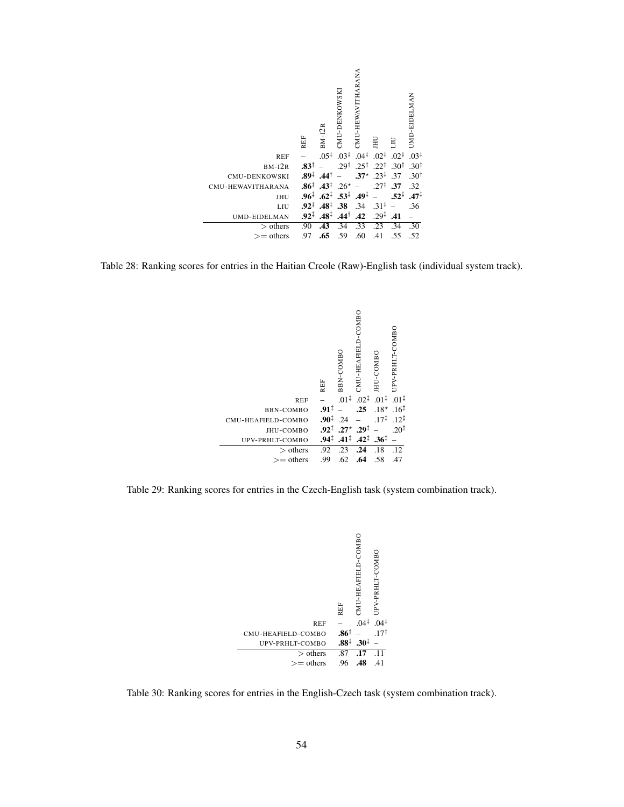

Table 28: Ranking scores for entries in the Haitian Creole (Raw)-English task (individual system track).



Table 29: Ranking scores for entries in the Czech-English task (system combination track).



Table 30: Ranking scores for entries in the English-Czech task (system combination track).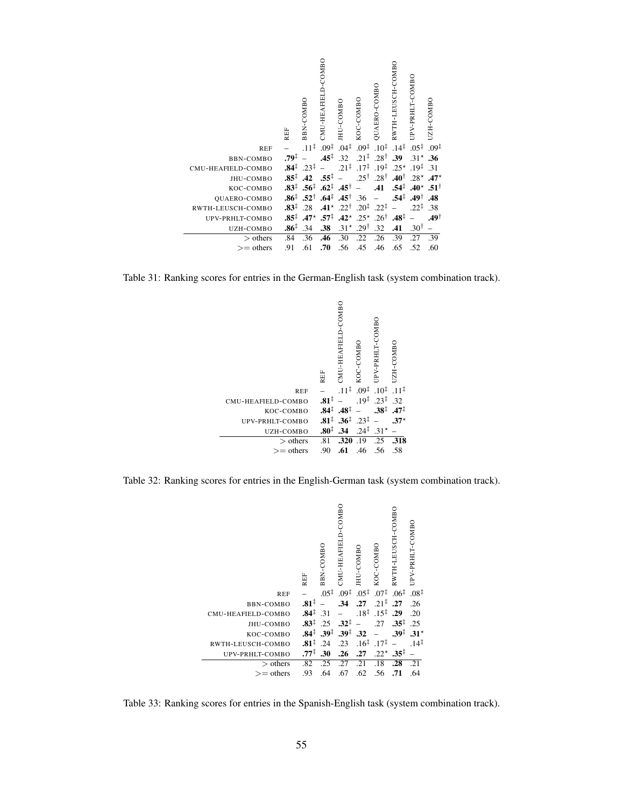|                     | REF              | BBN-COMBO        | CMU-HEAFIELD-COMBO | JHU-COMBO                                 | KOC-COMBO                | QUAERO-COMBO     | RWTH-LEUSCH-COMBO | UPV-PRHLT-COMBO  | UZH-COMBO        |
|---------------------|------------------|------------------|--------------------|-------------------------------------------|--------------------------|------------------|-------------------|------------------|------------------|
| <b>REF</b>          |                  | $.11^{\ddagger}$ | $.09^{\ddagger}$   | $.04^{\ddagger}$                          | $.09^{\ddagger}$         | $.10^{\ddagger}$ | $.14^{\ddagger}$  | $.05^{\ddagger}$ | $.09^{\ddagger}$ |
| BBN-COMBO           | $.79^{\ddagger}$ |                  | $.45^{\ddagger}$   | .32                                       | $.21^{\ddagger}$         | $.28^{\dagger}$  | .39               | $.31*$           | .36              |
| CMU-HEAFIELD-COMBO  | $.84^{\ddagger}$ | $.23^{\ddagger}$ |                    | $.21^{\ddagger}$                          | $.17^{\ddagger}$         | $.19^{\ddagger}$ | $.25*$            | $.19^{\ddagger}$ | .31              |
| JHU-COMBO           | $.85^{\ddagger}$ | .42              | $.55^{\ddagger}$   |                                           | $.25^{\dagger}$          | $.28^{\dagger}$  | $.40^{\dagger}$   | $.28*$           | $.47*$           |
| KOC-COMBO           | $.83^{\ddagger}$ | $.56^{\ddagger}$ | $.62^{\ddagger}$   | $.45^{\dagger}$                           |                          | .41              | $.54^{\ddagger}$  | $.40^{\star}$    | $.51^{\dagger}$  |
| <b>QUAERO-COMBO</b> | $.86^{\ddagger}$ | $.52^{\dagger}$  |                    | $.64^{\ddagger}$ .45 <sup>†</sup>         | .36                      |                  | $.54^{\ddagger}$  | $.49^{\dagger}$  | .48              |
| RWTH-LEUSCH-COMBO   | $.83^{\ddagger}$ | .28              |                    | $.41^*$ .22 <sup>†</sup> .20 <sup>‡</sup> |                          | $.22^{\ddagger}$ |                   | $.22^{\ddagger}$ | .38              |
| UPV-PRHLT-COMBO     | $.85^{\ddagger}$ | $.47^{\star}$    | $.57^{\ddagger}$   |                                           | $.42^*$ .25 <sup>*</sup> | $.26^{\dagger}$  | $.48^{\ddagger}$  |                  | .49†             |
| UZH-COMBO           | $.86^{\ddagger}$ | .34              | .38                | $.31*$                                    | $.29^{\dagger}$          | .32              | .41               | .30 <sup>†</sup> |                  |
| $>$ others          | .84              | .36              | .46                | .30                                       | .22                      | .26              | .39               | .27              | .39              |
| $\gt =$ others      | .91              | .61              | .70                | .56                                       | .45                      | .46              | .65               | .52              | .60              |
|                     |                  |                  |                    |                                           |                          |                  |                   |                  |                  |

Table 31: Ranking scores for entries in the German-English task (system combination track).



Table 32: Ranking scores for entries in the English-German task (system combination track).



Table 33: Ranking scores for entries in the Spanish-English task (system combination track).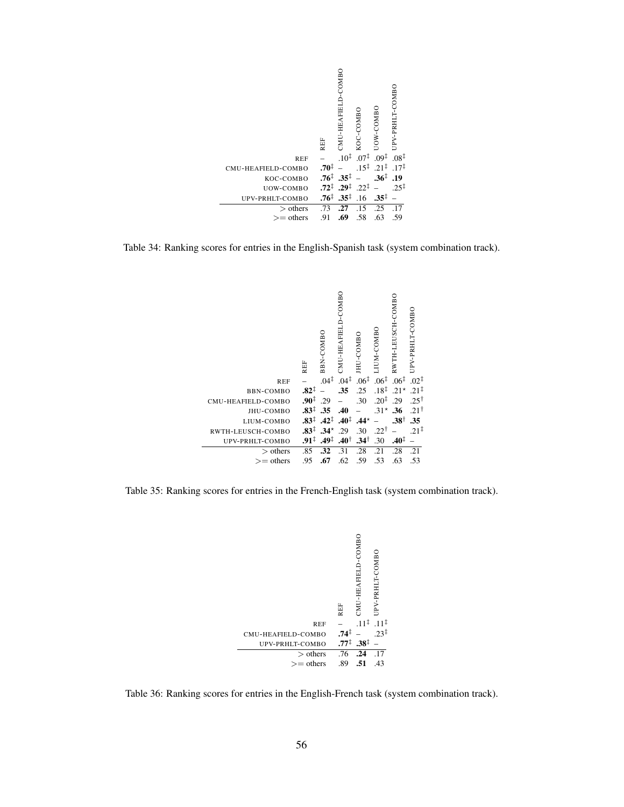|                    | REF              | CMU-HEAFIELD-COMBO                                 | KOC-COMBO        | <b>UOW-COMB</b>                   | JPV-PRHLT-COMBO  |
|--------------------|------------------|----------------------------------------------------|------------------|-----------------------------------|------------------|
| <b>REF</b>         |                  | $.10^{1}$                                          | $.07^{\ddagger}$ | $.09^{\ddagger}$                  | $.08^{\ddagger}$ |
| CMU-HEAFIELD-COMBO | $.70^{\ddagger}$ |                                                    |                  | $.15^{\ddagger}$ $.21^{\ddagger}$ | $.17^{\ddagger}$ |
| KOC-COMBO          | $.76^{\ddagger}$ | $.35^{\ddagger}$                                   |                  | $.36^{\ddagger}$                  | .19              |
| UOW-COMBO          |                  | $.72^{\ddagger}$ $.29^{\ddagger}$ $.22^{\ddagger}$ |                  |                                   | $.25^{\ddagger}$ |
| UPV-PRHLT-COMBO    | $.76^{\ddagger}$ | $.35^{\ddagger}$                                   | .16              | $.35^{\ddagger}$                  |                  |
| $>$ others         | .73              | .27                                                | .15              | .25                               | .17              |
| $\geq$ others      | .91              | .69                                                | .58              | .63                               | .59              |
|                    |                  |                                                    |                  |                                   |                  |

Table 34: Ranking scores for entries in the English-Spanish task (system combination track).



Table 35: Ranking scores for entries in the French-English task (system combination track).



Table 36: Ranking scores for entries in the English-French task (system combination track).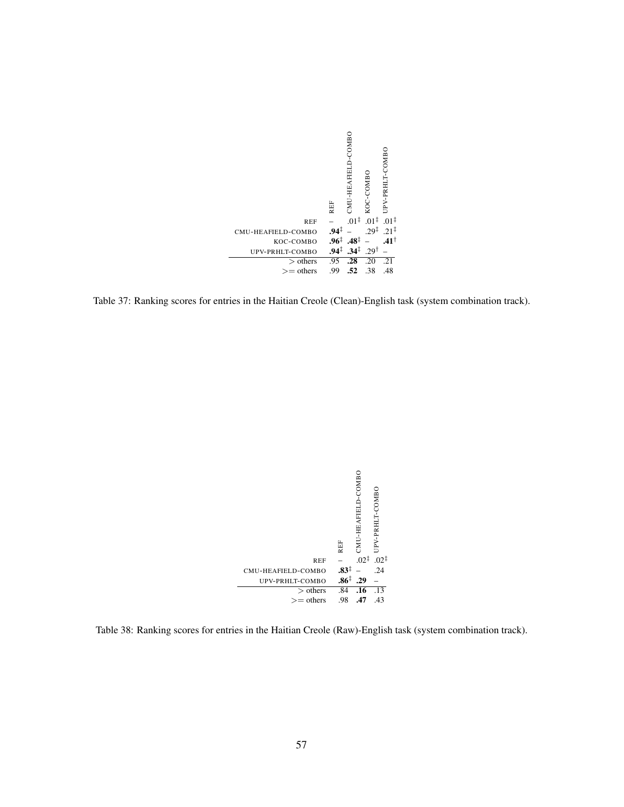

Table 37: Ranking scores for entries in the Haitian Creole (Clean)-English task (system combination track).



Table 38: Ranking scores for entries in the Haitian Creole (Raw)-English task (system combination track).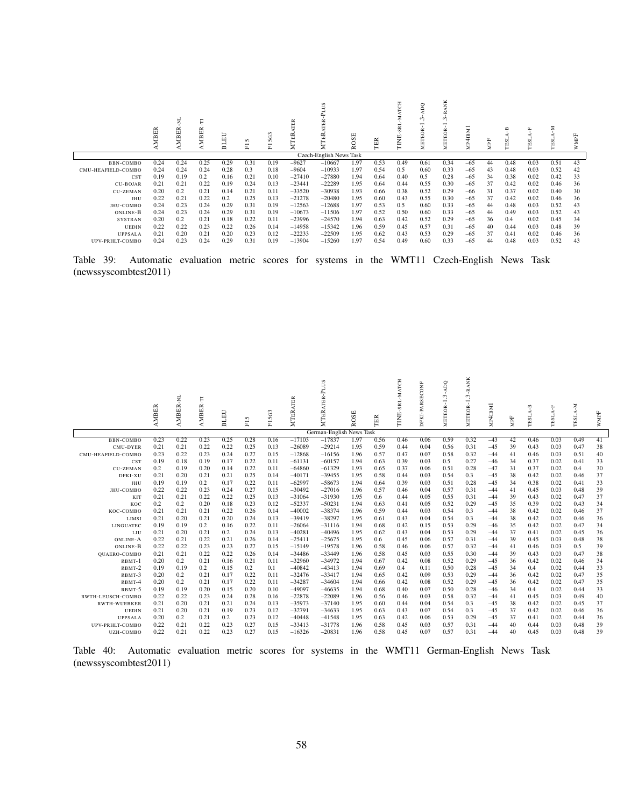|                    | MBEI | ≃<br>ш<br>$\overline{\phantom{a}}$ | AMBER | <b>BLEU</b> | S<br>$\overline{\phantom{0}}$<br>ட் | 5G3<br>E | $\approx$<br>Е<br>MTER | S<br>5<br>≃             | ROSE | TER  | œ.<br>ш<br>E | g<br>≺<br>$\sim$<br><b>METEOR</b> | XK<br>$\sim$<br>$\sim$<br>EOR.<br>METI | Σ     | MPF | ы<br>Е | Е    | z<br>TESL | <b>WMPF</b> |
|--------------------|------|------------------------------------|-------|-------------|-------------------------------------|----------|------------------------|-------------------------|------|------|--------------|-----------------------------------|----------------------------------------|-------|-----|--------|------|-----------|-------------|
|                    |      |                                    |       |             |                                     |          |                        | Czech-English News Task |      |      |              |                                   |                                        |       |     |        |      |           |             |
| <b>BBN-COMBO</b>   | 0.24 | 0.24                               | 0.25  | 0.29        | 0.31                                | 0.19     | $-9627$                | $-10667$                | 1.97 | 0.53 | 0.49         | 0.61                              | 0.34                                   | $-65$ | 44  | 0.48   | 0.03 | 0.51      | 43          |
| CMU-HEAFIELD-COMBO | 0.24 | 0.24                               | 0.24  | 0.28        | 0.3                                 | 0.18     | $-9604$                | $-10933$                | 1.97 | 0.54 | 0.5          | 0.60                              | 0.33                                   | $-65$ | 43  | 0.48   | 0.03 | 0.52      | 42          |
| CST                | 0.19 | 0.19                               | 0.2   | 0.16        | 0.21                                | 0.10     | $-27410$               | $-27880$                | 1.94 | 0.64 | 0.40         | 0.5                               | 0.28                                   | $-65$ | 34  | 0.38   | 0.02 | 0.42      | 33          |
| <b>CU-BOJAR</b>    | 0.21 | 0.21                               | 0.22  | 0.19        | 0.24                                | 0.13     | $-23441$               | $-22289$                | 1.95 | 0.64 | 0.44         | 0.55                              | 0.30                                   | $-65$ | 37  | 0.42   | 0.02 | 0.46      | 36          |
| <b>CU-ZEMAN</b>    | 0.20 | 0.2                                | 0.21  | 0.14        | 0.21                                | 0.11     | $-33520$               | $-30938$                | 1.93 | 0.66 | 0.38         | 0.52                              | 0.29                                   | $-66$ | 31  | 0.37   | 0.02 | 0.40      | 30          |
| JHU                | 0.22 | 0.21                               | 0.22  | 0.2         | 0.25                                | 0.13     | $-21278$               | $-20480$                | 1.95 | 0.60 | 0.43         | 0.55                              | 0.30                                   | $-65$ | 37  | 0.42   | 0.02 | 0.46      | 36          |
| JHU-COMBO          | 0.24 | 0.23                               | 0.24  | 0.29        | 0.31                                | 0.19     | $-12563$               | $-12688$                | 1.97 | 0.53 | 0.5          | 0.60                              | 0.33                                   | $-65$ | 44  | 0.48   | 0.03 | 0.52      | 43          |
| ONLINE-B           | 0.24 | 0.23                               | 0.24  | 0.29        | 0.31                                | 0.19     | $-10673$               | $-11506$                | 1.97 | 0.52 | 0.50         | 0.60                              | 0.33                                   | $-65$ | 44  | 0.49   | 0.03 | 0.52      | 43          |
| <b>SYSTRAN</b>     | 0.20 | 0.2                                | 0.21  | 0.18        | 0.22                                | 0.11     | $-23996$               | $-24570$                | 1.94 | 0.63 | 0.42         | 0.52                              | 0.29                                   | $-65$ | 36  | 0.4    | 0.02 | 0.45      | 34          |
| <b>UEDIN</b>       | 0.22 | 0.22                               | 0.23  | 0.22        | 0.26                                | 0.14     | $-14958$               | $-15342$                | 1.96 | 0.59 | 0.45         | 0.57                              | 0.31                                   | $-65$ | 40  | 0.44   | 0.03 | 0.48      | 39          |
| <b>UPPSALA</b>     | 0.21 | 0.20                               | 0.21  | 0.20        | 0.23                                | 0.12     | $-22233$               | $-22509$                | 1.95 | 0.62 | 0.43         | 0.53                              | 0.29                                   | $-65$ | 37  | 0.41   | 0.02 | 0.46      | 36          |
| UPV-PRHLT-COMBO    | 0.24 | 0.23                               | 0.24  | 0.29        | 0.31                                | 0.19     | $-13904$               | $-15260$                | 1.97 | 0.54 | 0.49         | 0.60                              | 0.33                                   | $-65$ | 44  | 0.48   | 0.03 | 0.52      | 43          |

Table 39: Automatic evaluation metric scores for systems in the WMT11 Czech-English News Task (newssyscombtest2011)

|                                       | AMBER        | Ę<br><b>AMBER</b> | Ę<br><b>AMBER</b> | 旵<br>P.      | 5<br>E       | 5G3<br>$\overline{\Xi}$ | <b>MTERATER</b>      | ATER-PLUS<br>TER.<br>German-English News Task | $\mathbb{S} \mathbb{E}$<br>ğ | TER          | <b>MATCH</b><br>SRL-1<br>TINE- | RSECONF<br>DFKI-PA | ADQ<br>ن<br>METEOR-1 | $-3 - RANK$<br>METEOR-1 | Ξ<br>MP4IB     | $\ensuremath{\mathsf{MPF}}$ | B<br>TESLA-  | щ<br>TESLA-  | TESLA-M      | <b>WMPF</b> |
|---------------------------------------|--------------|-------------------|-------------------|--------------|--------------|-------------------------|----------------------|-----------------------------------------------|------------------------------|--------------|--------------------------------|--------------------|----------------------|-------------------------|----------------|-----------------------------|--------------|--------------|--------------|-------------|
|                                       | 0.23         | 0.22              | 0.23              | 0.25         | 0.28         | 0.16                    | $-17103$             | $-17837$                                      | 1.97                         | 0.56         | 0.46                           | 0.06               | 0.59                 | 0.32                    | $-43$          | 42                          | 0.46         | 0.03         | 0.49         | 41          |
| <b>BBN-COMBO</b>                      |              | 0.21              | 0.22              | 0.22         | 0.25         | 0.13                    | $-26089$             | $-29214$                                      | 1.95                         | 0.59         | 0.44                           | 0.04               | 0.56                 | 0.31                    | $-45$          | 39                          | 0.43         | 0.03         | 0.47         | 38          |
| <b>CMU-DYER</b><br>CMU-HEAFIELD-COMBO | 0.21<br>0.23 | 0.22              | 0.23              | 0.24         | 0.27         | 0.15                    | $-12868$             | $-16156$                                      | 1.96                         | 0.57         | 0.47                           | 0.07               | 0.58                 | 0.32                    | $-44$          | 41                          | 0.46         | 0.03         | 0.51         | 40          |
| CST                                   | 0.19         | 0.18              | 0.19              | 0.17         | 0.22         | 0.11                    | $-61131$             | $-60157$                                      | 1.94                         | 0.63         | 0.39                           | 0.03               | 0.5                  | 0.27                    | $-46$          | 34                          | 0.37         | 0.02         | 0.41         | 33          |
| <b>CU-ZEMAN</b>                       | 0.2          | 0.19              | 0.20              | 0.14         | 0.22         | 0.11                    | $-64860$             | $-61329$                                      | 1.93                         | 0.65         | 0.37                           | 0.06               | 0.51                 | 0.28                    | $-47$          | 31                          | 0.37         | 0.02         | 0.4          | 30          |
| DFKI-XU                               | 0.21         | 0.20              | 0.21              | 0.21         | 0.25         | 0.14                    | $-40171$             | $-39455$                                      | 1.95                         | 0.58         | 0.44                           | 0.03               | 0.54                 | 0.3                     | $-45$          | 38                          | 0.42         | 0.02         | 0.46         | 37          |
| JHU                                   | 0.19         | 0.19              | 0.2               | 0.17         | 0.22         | 0.11                    | $-62997$             | $-58673$                                      | 1.94                         | 0.64         | 0.39                           | 0.03               | 0.51                 | 0.28                    | $-45$          | 34                          | 0.38         | 0.02         | 0.41         | 33          |
| JHU-COMBO                             | 0.22         | 0.22              | 0.23              | 0.24         | 0.27         | 0.15                    | $-30492$             | $-27016$                                      | 1.96                         | 0.57         | 0.46                           | 0.04               | 0.57                 | 0.31                    | $-44$          | 41                          | 0.45         | 0.03         | 0.48         | 39          |
| KIT                                   | 0.21         | 0.21              | 0.22              | 0.22         | 0.25         | 0.13                    | $-31064$             | $-31930$                                      | 1.95                         | 0.6          | 0.44                           | 0.05               | 0.55                 | 0.31                    | $-44$          | 39                          | 0.43         | 0.02         | 0.47         | 37          |
| KOC                                   | 0.2          | 0.2               | 0.20              | 0.18         | 0.23         | 0.12                    | $-52337$             | $-50231$                                      | 1.94                         | 0.63         | 0.41                           | 0.05               | 0.52                 | 0.29                    | $-45$          | 35                          | 0.39         | 0.02         | 0.43         | 34          |
| KOC-COMBO                             | 0.21         | 0.21              | 0.21              | 0.22         | 0.26         | 0.14                    | $-40002$             | $-38374$                                      | 1.96                         | 0.59         | 0.44                           | 0.03               | 0.54                 | 0.3                     | $-44$          | 38                          | 0.42         | 0.02         | 0.46         | 37          |
| LIMSI                                 | 0.21         | 0.20              | 0.21              | 0.20         | 0.24         | 0.13                    | $-39419$             | $-38297$                                      | 1.95                         | 0.61         | 0.43                           | 0.04               | 0.54                 | 0.3                     | $-44$          | 38                          | 0.42         | 0.02         | 0.46         | 36          |
| <b>LINGUATEC</b>                      | 0.19         | 0.19              | 0.2               | 0.16         | 0.22         | 0.11                    | $-26064$             | $-31116$                                      | 1.94                         | 0.68         | 0.42                           | 0.15               | 0.53                 | 0.29                    | $-46$          | 35                          | 0.42         | 0.02         | 0.47         | 34          |
| LIU                                   | 0.21         | 0.20              | 0.21              | 0.2          | 0.24         | 0.13                    | $-40281$             | $-40496$                                      | 1.95                         | 0.62         | 0.43                           | 0.04               | 0.53                 | 0.29                    | $-44$          | 37                          | 0.41         | 0.02         | 0.45         | 36          |
| <b>ONLINE-A</b>                       | 0.22         | 0.21              | 0.22              | 0.21         | 0.26         | 0.14                    | $-25411$             | $-25675$                                      | 1.95                         | 0.6          | 0.45                           | 0.06               | 0.57                 | 0.31                    | $-44$          | 39                          | 0.45         | 0.03         | 0.48         | 38          |
| ONLINE-B                              | 0.22         | 0.22              | 0.23              | 0.23         | 0.27         | 0.15                    | $-15149$             | $-19578$                                      | 1.96                         | 0.58         | 0.46                           | 0.06               | 0.57                 | 0.32                    | $-44$          | 41                          | 0.46         | 0.03         | 0.5          | 39          |
| QUAERO-COMBO                          | 0.21         | 0.21              | 0.22              | 0.22         | 0.26         | 0.14                    | $-34486$             | $-33449$                                      | 1.96                         | 0.58         | 0.45                           | 0.03               | 0.55                 | 0.30                    | $-44$          | 39                          | 0.43         | 0.03         | 0.47         | 38          |
| $RBMT-1$                              | 0.20         | 0.2               | 0.21              | 0.16         | 0.21         | 0.11                    | $-32960$             | $-34972$                                      | 1.94                         | 0.67         | 0.42                           | 0.08               | 0.52                 | 0.29                    | $-45$          | 36                          | 0.42         | 0.02         | 0.46         | 34          |
| RBMT-2                                | 0.19         | 0.19              | 0.2               | 0.15         | 0.2          | 0.1                     | $-40842$             | $-43413$                                      | 1.94                         | 0.69         | 0.4                            | 0.11               | 0.50                 | 0.28                    | $-45$          | 34                          | 0.4          | 0.02         | 0.44         | 33          |
| RBMT-3<br>RBMT-4                      | 0.20<br>0.20 | 0.2<br>0.2        | 0.21<br>0.21      | 0.17<br>0.17 | 0.22<br>0.22 | 0.11<br>0.11            | $-32476$<br>$-34287$ | $-33417$<br>$-34604$                          | 1.94<br>1.94                 | 0.65<br>0.66 | 0.42<br>0.42                   | 0.09<br>0.08       | 0.53<br>0.52         | 0.29<br>0.29            | $-44$<br>$-45$ | 36<br>36                    | 0.42<br>0.42 | 0.02<br>0.02 | 0.47<br>0.47 | 35<br>35    |
| RBMT-5                                | 0.19         | 0.19              | 0.20              | 0.15         | 0.20         | 0.10                    | $-49097$             | $-46635$                                      | 1.94                         | 0.68         | 0.40                           | 0.07               | 0.50                 | 0.28                    | $-46$          | 34                          | 0.4          | 0.02         | 0.44         | 33          |
| RWTH-LEUSCH-COMBO                     | 0.22         | 0.22              | 0.23              | 0.24         | 0.28         | 0.16                    | $-22878$             | $-22089$                                      | 1.96                         | 0.56         | 0.46                           | 0.03               | 0.58                 | 0.32                    | $-44$          | 41                          | 0.45         | 0.03         | 0.49         | 40          |
| <b>RWTH-WUEBKER</b>                   | 0.21         | 0.20              | 0.21              | 0.21         | 0.24         | 0.13                    | $-35973$             | $-37140$                                      | 1.95                         | 0.60         | 0.44                           | 0.04               | 0.54                 | 0.3                     | $-45$          | 38                          | 0.42         | 0.02         | 0.45         | 37          |
| <b>UEDIN</b>                          | 0.21         | 0.20              | 0.21              | 0.19         | 0.23         | 0.12                    | $-32791$             | $-34633$                                      | 1.95                         | 0.63         | 0.43                           | 0.07               | 0.54                 | 0.3                     | $-45$          | 37                          | 0.42         | 0.02         | 0.46         | 36          |
| <b>UPPSALA</b>                        | 0.20         | 0.2               | 0.21              | 0.2          | 0.23         | 0.12                    | $-40448$             | $-41548$                                      | 1.95                         | 0.63         | 0.42                           | 0.06               | 0.53                 | 0.29                    | $-45$          | 37                          | 0.41         | 0.02         | 0.44         | 36          |
| UPV-PRHLT-COMBO                       | 0.22         | 0.21              | 0.22              | 0.23         | 0.27         | 0.15                    | $-33413$             | $-31778$                                      | 1.96                         | 0.58         | 0.45                           | 0.03               | 0.57                 | 0.31                    | $-44$          | 40                          | 0.44         | 0.03         | 0.48         | 39          |
| UZH-COMBO                             | 0.22         | 0.21              | 0.22              | 0.23         | 0.27         | 0.15                    | $-16326$             | $-20831$                                      | 1.96                         | 0.58         | 0.45                           | 0.07               | 0.57                 | 0.31                    | $-44$          | 40                          | 0.45         | 0.03         | 0.48         | 39          |
|                                       |              |                   |                   |              |              |                         |                      |                                               |                              |              |                                |                    |                      |                         |                |                             |              |              |              |             |

Table 40: Automatic evaluation metric scores for systems in the WMT11 German-English News Task (newssyscombtest2011)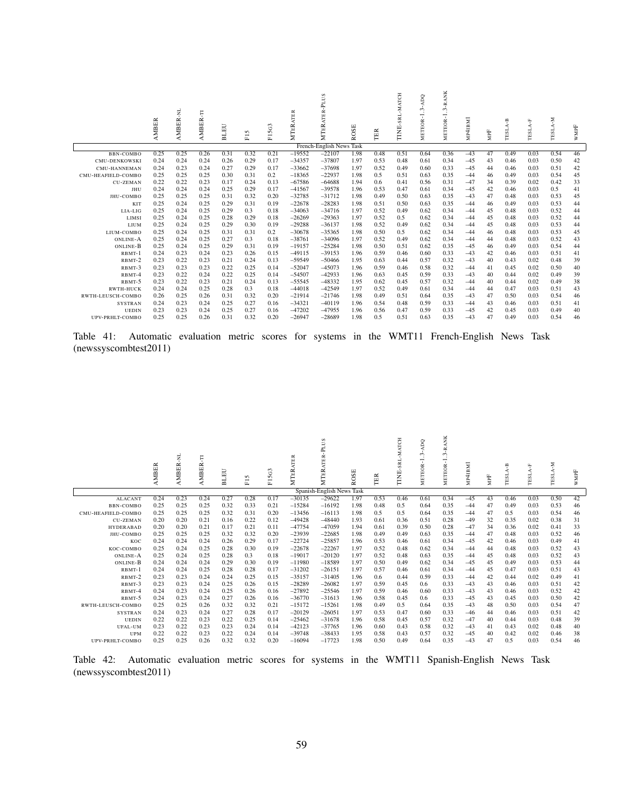| French-English News Task<br>0.25<br>0.32<br>$-19552$<br>0.51<br>$-43$<br>47<br>0.54<br>46<br>0.25<br>0.26<br>0.31<br>0.21<br>$-22107$<br>0.48<br>0.64<br>0.36<br>0.49<br>0.03<br>1.98<br><b>BBN-COMBO</b><br>0.24<br>0.24<br>0.24<br>0.26<br>0.29<br>$-37807$<br>0.53<br>0.34<br>43<br>42<br>0.17<br>$-34357$<br>1.97<br>0.48<br>$-45$<br>0.03<br>0.50<br>0.61<br>0.46<br>CMU-DENKOWSKI<br>44<br>0.24<br>0.23<br>0.27<br>0.29<br>0.52<br>0.33<br>42<br>0.24<br>$-33662$<br>$-37698$<br>1.97<br>0.49<br>0.60<br>$-45$<br>0.46<br>0.03<br>0.51<br>0.17<br><b>CMU-HANNEMAN</b><br>0.25<br>0.31<br>$-22937$<br>0.5<br>0.51<br>0.03<br>0.54<br>45<br>0.25<br>0.25<br>0.30<br>0.2<br>$-18365$<br>1.98<br>0.63<br>0.35<br>$-44$<br>46<br>0.49<br>CMU-HEAFIELD-COMBO<br>33<br>0.22<br>0.22<br>0.24<br>$-67586$<br>0.41<br>$-47$<br>34<br>0.39<br>0.42<br>0.23<br>0.17<br>0.13<br>$-64688$<br>1.94<br>0.6<br>0.56<br>0.31<br>0.02<br><b>CU-ZEMAN</b><br>0.24<br>0.24<br>0.24<br>0.25<br>0.29<br>$-39578$<br>0.53<br>0.47<br>0.34<br>$-45$<br>42<br>0.5<br>41<br>0.17<br>$-41567$<br>1.96<br>0.61<br>0.46<br>0.03<br>JHU<br>0.25<br>0.25<br>0.31<br>0.32<br>$-31712$<br>0.50<br>0.35<br>$-43$<br>47<br>0.53<br>0.25<br>0.20<br>$-32785$<br>1.98<br>0.49<br>0.63<br>0.48<br>0.03<br>45<br>JHU-COMBO<br>0.25<br>0.24<br>0.31<br>$-22678$<br>$-28283$<br>0.50<br>0.35<br>$-44$<br>46<br>0.53<br>44<br>0.25<br>0.29<br>0.19<br>1.98<br>0.51<br>0.63<br>0.49<br>0.03<br><b>KIT</b> |         | AMBER | ž<br>MBER | F<br><b>AMBER</b> | <b>BLEU</b> | S<br>园 | F15G3 | <b>ATER</b><br><b>MTER</b> | LUS<br>TERATER-P<br>₹ | ROSE | TER  | <b>MATCH</b><br>$\tilde{s}$<br>山<br>E | <b>ADQ</b><br>ઌ<br>METEOR-1 | 3-RANK<br>$\overline{\phantom{0}}$<br>METEOR- | IBM.<br>MP41 | $\ensuremath{\mathsf{MPF}}$ | ≃<br>k,<br>TESL. | TESLA- | <b>TESLA-M</b> | WMPF |
|---------------------------------------------------------------------------------------------------------------------------------------------------------------------------------------------------------------------------------------------------------------------------------------------------------------------------------------------------------------------------------------------------------------------------------------------------------------------------------------------------------------------------------------------------------------------------------------------------------------------------------------------------------------------------------------------------------------------------------------------------------------------------------------------------------------------------------------------------------------------------------------------------------------------------------------------------------------------------------------------------------------------------------------------------------------------------------------------------------------------------------------------------------------------------------------------------------------------------------------------------------------------------------------------------------------------------------------------------------------------------------------------------------------------------------------------------------------------|---------|-------|-----------|-------------------|-------------|--------|-------|----------------------------|-----------------------|------|------|---------------------------------------|-----------------------------|-----------------------------------------------|--------------|-----------------------------|------------------|--------|----------------|------|
|                                                                                                                                                                                                                                                                                                                                                                                                                                                                                                                                                                                                                                                                                                                                                                                                                                                                                                                                                                                                                                                                                                                                                                                                                                                                                                                                                                                                                                                                     |         |       |           |                   |             |        |       |                            |                       |      |      |                                       |                             |                                               |              |                             |                  |        |                |      |
|                                                                                                                                                                                                                                                                                                                                                                                                                                                                                                                                                                                                                                                                                                                                                                                                                                                                                                                                                                                                                                                                                                                                                                                                                                                                                                                                                                                                                                                                     |         |       |           |                   |             |        |       |                            |                       |      |      |                                       |                             |                                               |              |                             |                  |        |                |      |
|                                                                                                                                                                                                                                                                                                                                                                                                                                                                                                                                                                                                                                                                                                                                                                                                                                                                                                                                                                                                                                                                                                                                                                                                                                                                                                                                                                                                                                                                     |         |       |           |                   |             |        |       |                            |                       |      |      |                                       |                             |                                               |              |                             |                  |        |                |      |
|                                                                                                                                                                                                                                                                                                                                                                                                                                                                                                                                                                                                                                                                                                                                                                                                                                                                                                                                                                                                                                                                                                                                                                                                                                                                                                                                                                                                                                                                     |         |       |           |                   |             |        |       |                            |                       |      |      |                                       |                             |                                               |              |                             |                  |        |                |      |
|                                                                                                                                                                                                                                                                                                                                                                                                                                                                                                                                                                                                                                                                                                                                                                                                                                                                                                                                                                                                                                                                                                                                                                                                                                                                                                                                                                                                                                                                     |         |       |           |                   |             |        |       |                            |                       |      |      |                                       |                             |                                               |              |                             |                  |        |                |      |
|                                                                                                                                                                                                                                                                                                                                                                                                                                                                                                                                                                                                                                                                                                                                                                                                                                                                                                                                                                                                                                                                                                                                                                                                                                                                                                                                                                                                                                                                     |         |       |           |                   |             |        |       |                            |                       |      |      |                                       |                             |                                               |              |                             |                  |        |                |      |
|                                                                                                                                                                                                                                                                                                                                                                                                                                                                                                                                                                                                                                                                                                                                                                                                                                                                                                                                                                                                                                                                                                                                                                                                                                                                                                                                                                                                                                                                     |         |       |           |                   |             |        |       |                            |                       |      |      |                                       |                             |                                               |              |                             |                  |        |                |      |
|                                                                                                                                                                                                                                                                                                                                                                                                                                                                                                                                                                                                                                                                                                                                                                                                                                                                                                                                                                                                                                                                                                                                                                                                                                                                                                                                                                                                                                                                     |         |       |           |                   |             |        |       |                            |                       |      |      |                                       |                             |                                               |              |                             |                  |        |                |      |
|                                                                                                                                                                                                                                                                                                                                                                                                                                                                                                                                                                                                                                                                                                                                                                                                                                                                                                                                                                                                                                                                                                                                                                                                                                                                                                                                                                                                                                                                     |         |       |           |                   |             |        |       |                            |                       |      |      |                                       |                             |                                               |              |                             |                  |        |                |      |
|                                                                                                                                                                                                                                                                                                                                                                                                                                                                                                                                                                                                                                                                                                                                                                                                                                                                                                                                                                                                                                                                                                                                                                                                                                                                                                                                                                                                                                                                     | LIA-LIG | 0.25  | 0.24      | 0.25              | 0.29        | 0.3    | 0.18  | $-34063$                   | $-34716$              | 1.97 | 0.52 | 0.49                                  | 0.62                        | 0.34                                          | $-44$        | 45                          | 0.48             | 0.03   | 0.52           | 44   |
| 0.52<br>0.25<br>0.24<br>0.25<br>0.28<br>0.29<br>$-29363$<br>1.97<br>0.52<br>0.5<br>0.62<br>0.34<br>$-44$<br>45<br>0.48<br>0.03<br>44<br>0.18<br>$-26269$<br>LIMSI                                                                                                                                                                                                                                                                                                                                                                                                                                                                                                                                                                                                                                                                                                                                                                                                                                                                                                                                                                                                                                                                                                                                                                                                                                                                                                   |         |       |           |                   |             |        |       |                            |                       |      |      |                                       |                             |                                               |              |                             |                  |        |                |      |
| 0.24<br>0.52<br>45<br>0.53<br>0.25<br>0.25<br>0.29<br>0.30<br>0.19<br>$-29288$<br>$-36137$<br>1.98<br>0.49<br>0.62<br>0.34<br>$-44$<br>0.48<br>0.03<br>44<br>LIUM                                                                                                                                                                                                                                                                                                                                                                                                                                                                                                                                                                                                                                                                                                                                                                                                                                                                                                                                                                                                                                                                                                                                                                                                                                                                                                   |         |       |           |                   |             |        |       |                            |                       |      |      |                                       |                             |                                               |              |                             |                  |        |                |      |
| 0.25<br>0.24<br>0.25<br>0.31<br>0.31<br>0.2<br>$-30678$<br>$-35365$<br>1.98<br>0.50<br>0.5<br>0.62<br>0.34<br>0.48<br>0.03<br>0.53<br>45<br>$-44$<br>46<br>LIUM-COMBO                                                                                                                                                                                                                                                                                                                                                                                                                                                                                                                                                                                                                                                                                                                                                                                                                                                                                                                                                                                                                                                                                                                                                                                                                                                                                               |         |       |           |                   |             |        |       |                            |                       |      |      |                                       |                             |                                               |              |                             |                  |        |                |      |
| 0.25<br>0.24<br>0.27<br>0.3<br>0.52<br>0.34<br>44<br>0.52<br>43<br>0.25<br>0.18<br>$-38761$<br>$-34096$<br>1.97<br>0.49<br>0.62<br>$-44$<br>0.48<br>0.03<br><b>ONLINE-A</b>                                                                                                                                                                                                                                                                                                                                                                                                                                                                                                                                                                                                                                                                                                                                                                                                                                                                                                                                                                                                                                                                                                                                                                                                                                                                                         |         |       |           |                   |             |        |       |                            |                       |      |      |                                       |                             |                                               |              |                             |                  |        |                |      |
| 0.24<br>0.31<br>$-25284$<br>0.50<br>0.51<br>$-45$<br>46<br>0.54<br>44<br>0.25<br>0.25<br>0.29<br>0.19<br>$-19157$<br>1.98<br>0.62<br>0.35<br>0.49<br>0.03<br>ONLINE-B                                                                                                                                                                                                                                                                                                                                                                                                                                                                                                                                                                                                                                                                                                                                                                                                                                                                                                                                                                                                                                                                                                                                                                                                                                                                                               |         |       |           |                   |             |        |       |                            |                       |      |      |                                       |                             |                                               |              |                             |                  |        |                |      |
| 0.23<br>42<br>0.24<br>0.24<br>0.23<br>0.26<br>0.15<br>$-49115$<br>$-39153$<br>1.96<br>0.59<br>0.46<br>0.60<br>0.33<br>$-43$<br>0.46<br>0.03<br>0.51<br>41<br>$RBMT-1$                                                                                                                                                                                                                                                                                                                                                                                                                                                                                                                                                                                                                                                                                                                                                                                                                                                                                                                                                                                                                                                                                                                                                                                                                                                                                               |         |       |           |                   |             |        |       |                            |                       |      |      |                                       |                             |                                               |              |                             |                  |        |                |      |
| 0.22<br>$-43$<br>RBMT-2<br>0.23<br>0.23<br>0.21<br>0.24<br>0.13<br>$-59549$<br>$-50466$<br>1.95<br>0.63<br>0.44<br>0.57<br>0.32<br>40<br>0.43<br>0.02<br>0.48<br>39                                                                                                                                                                                                                                                                                                                                                                                                                                                                                                                                                                                                                                                                                                                                                                                                                                                                                                                                                                                                                                                                                                                                                                                                                                                                                                 |         |       |           |                   |             |        |       |                            |                       |      |      |                                       |                             |                                               |              |                             |                  |        |                |      |
| 0.23<br>0.23<br>0.23<br>0.22<br>0.25<br>$-45073$<br>0.59<br>0.58<br>0.32<br>0.02<br>0.50<br>RBMT-3<br>0.14<br>$-52047$<br>1.96<br>0.46<br>$-44$<br>41<br>0.45<br>40                                                                                                                                                                                                                                                                                                                                                                                                                                                                                                                                                                                                                                                                                                                                                                                                                                                                                                                                                                                                                                                                                                                                                                                                                                                                                                 |         |       |           |                   |             |        |       |                            |                       |      |      |                                       |                             |                                               |              |                             |                  |        |                |      |
| 0.22<br>0.25<br>$-42933$<br>0.33<br>$-43$<br>39<br>0.23<br>0.24<br>0.22<br>$-54507$<br>1.96<br>0.63<br>0.45<br>0.59<br>40<br>0.44<br>0.02<br>0.49<br>$RBMT-4$<br>0.14                                                                                                                                                                                                                                                                                                                                                                                                                                                                                                                                                                                                                                                                                                                                                                                                                                                                                                                                                                                                                                                                                                                                                                                                                                                                                               |         |       |           |                   |             |        |       |                            |                       |      |      |                                       |                             |                                               |              |                             |                  |        |                |      |
| 38<br>0.22<br>0.21<br>0.24<br>-48332<br>0.62<br>0.45<br>0.32<br>$-44$<br>40<br>0.02<br>0.49<br>0.23<br>0.23<br>0.13<br>$-55545$<br>1.95<br>0.57<br>0.44<br>$RBMT-5$                                                                                                                                                                                                                                                                                                                                                                                                                                                                                                                                                                                                                                                                                                                                                                                                                                                                                                                                                                                                                                                                                                                                                                                                                                                                                                 |         |       |           |                   |             |        |       |                            |                       |      |      |                                       |                             |                                               |              |                             |                  |        |                |      |
| 0.24<br>44<br>43<br>0.24<br>0.25<br>0.28<br>0.3<br>$-44018$<br>$-42549$<br>1.97<br>0.52<br>0.49<br>0.34<br>$-44$<br>0.47<br>0.03<br>0.51<br>0.18<br>0.61<br><b>RWTH-HUCK</b>                                                                                                                                                                                                                                                                                                                                                                                                                                                                                                                                                                                                                                                                                                                                                                                                                                                                                                                                                                                                                                                                                                                                                                                                                                                                                        |         |       |           |                   |             |        |       |                            |                       |      |      |                                       |                             |                                               |              |                             |                  |        |                |      |
| 0.25<br>0.26<br>0.31<br>0.32<br>0.20<br>$-21914$<br>$-21746$<br>1.98<br>0.49<br>0.51<br>0.35<br>$-43$<br>47<br>0.50<br>0.03<br>0.54<br>46<br>0.26<br>0.64<br>RWTH-LEUSCH-COMBO                                                                                                                                                                                                                                                                                                                                                                                                                                                                                                                                                                                                                                                                                                                                                                                                                                                                                                                                                                                                                                                                                                                                                                                                                                                                                      |         |       |           |                   |             |        |       |                            |                       |      |      |                                       |                             |                                               |              |                             |                  |        |                |      |
| 0.24<br>0.23<br>0.24<br>0.25<br>0.27<br>$-40119$<br>0.54<br>0.48<br>0.33<br>43<br>0.51<br>41<br>0.16<br>$-34321$<br>1.96<br>0.59<br>$-44$<br>0.46<br>0.03<br><b>SYSTRAN</b>                                                                                                                                                                                                                                                                                                                                                                                                                                                                                                                                                                                                                                                                                                                                                                                                                                                                                                                                                                                                                                                                                                                                                                                                                                                                                         |         |       |           |                   |             |        |       |                            |                       |      |      |                                       |                             |                                               |              |                             |                  |        |                |      |
| 0.23<br>0.23<br>0.24<br>0.25<br>0.27<br>$-47202$<br>-47955<br>0.56<br>0.47<br>0.59<br>0.33<br>42<br>0.45<br>0.03<br>0.49<br>0.16<br>1.96<br>$-45$<br>40<br><b>UEDIN</b>                                                                                                                                                                                                                                                                                                                                                                                                                                                                                                                                                                                                                                                                                                                                                                                                                                                                                                                                                                                                                                                                                                                                                                                                                                                                                             |         |       |           |                   |             |        |       |                            |                       |      |      |                                       |                             |                                               |              |                             |                  |        |                |      |
| 0.25<br>0.25<br>0.31<br>0.32<br>$-26947$<br>$-28689$<br>1.98<br>0.5<br>0.51<br>0.35<br>47<br>0.26<br>0.20<br>0.63<br>$-43$<br>0.49<br>0.03<br>0.54<br>46<br>UPV-PRHLT-COMBO                                                                                                                                                                                                                                                                                                                                                                                                                                                                                                                                                                                                                                                                                                                                                                                                                                                                                                                                                                                                                                                                                                                                                                                                                                                                                         |         |       |           |                   |             |        |       |                            |                       |      |      |                                       |                             |                                               |              |                             |                  |        |                |      |

Table 41: Automatic evaluation metric scores for systems in the WMT11 French-English News Task (newssyscombtest2011)

|                               | AMBER        | ήk.<br>AMBER | Ę<br>AMBER   | Ξ<br>巴<br>$\overline{\mathbf{r}}$ | S<br>园       | 5G3<br>⊣<br>匞 | <b>ATER</b><br>岊<br>⋚ | PLUS<br>ATER.<br>TER.<br>≿ | $\boxed{\blacksquare}$<br>s<br>O<br>交 | TER          | <b>ATCH</b><br>$_{\rm SR}$<br>TINE | 8<br>⋖<br>3<br>EOR.<br>ΨĒ | <b>RANK</b><br>3<br>-<br>METEOR | MP4IBM         | $\ensuremath{\mathsf{MPF}}$ | ≃<br>⋖<br>TES) | TESL.        | ķ<br>⋖<br>TESL. | WMPF     |
|-------------------------------|--------------|--------------|--------------|-----------------------------------|--------------|---------------|-----------------------|----------------------------|---------------------------------------|--------------|------------------------------------|---------------------------|---------------------------------|----------------|-----------------------------|----------------|--------------|-----------------|----------|
|                               |              |              |              |                                   |              |               |                       | Spanish-English News Task  |                                       |              |                                    |                           |                                 |                |                             |                |              |                 |          |
| <b>ALACANT</b>                | 0.24         | 0.23         | 0.24         | 0.27                              | 0.28         | 0.17          | $-30135$              | $-29622$                   | 1.97                                  | 0.53         | 0.46                               | 0.61                      | 0.34                            | $-45$          | 43                          | 0.46           | 0.03         | 0.50            | 42       |
| <b>BBN-COMBO</b>              | 0.25         | 0.25         | 0.25         | 0.32                              | 0.33         | 0.21          | $-15284$              | $-16192$                   | 1.98                                  | 0.48         | 0.5                                | 0.64                      | 0.35                            | $-44$          | 47                          | 0.49           | 0.03         | 0.53            | 46       |
| CMU-HEAFIELD-COMBO            | 0.25         | 0.25         | 0.25         | 0.32                              | 0.31         | 0.20          | $-13456$              | $-16113$                   | 1.98                                  | 0.5          | 0.5                                | 0.64                      | 0.35                            | $-44$          | 47                          | 0.5            | 0.03         | 0.54            | 46       |
| <b>CU-ZEMAN</b>               | 0.20         | 0.20         | 0.21         | 0.16                              | 0.22         | 0.12          | $-49428$              | $-48440$                   | 1.93                                  | 0.61         | 0.36                               | 0.51                      | 0.28                            | $-49$          | 32                          | 0.35           | 0.02         | 0.38            | 31       |
| <b>HYDERABAD</b>              | 0.20         | 0.20         | 0.21         | 0.17                              | 0.21         | 0.11          | $-47754$              | -47059                     | 1.94                                  | 0.61         | 0.39                               | 0.50                      | 0.28                            | $-47$          | 34                          | 0.36           | 0.02         | 0.41            | 33       |
| JHU-COMBO                     | 0.25         | 0.25         | 0.25         | 0.32                              | 0.32         | 0.20          | $-23939$              | $-22685$                   | 1.98                                  | 0.49         | 0.49                               | 0.63                      | 0.35                            | $-44$          | 47                          | 0.48           | 0.03         | 0.52            | 46       |
| KOC                           | 0.24         | 0.24         | 0.24         | 0.26                              | 0.29         | 0.17          | $-22724$              | $-25857$                   | 1.96                                  | 0.53         | 0.46                               | 0.61                      | 0.34                            | $-45$          | 42                          | 0.46           | 0.03         | 0.49            | 41       |
| KOC-COMBO                     | 0.25         | 0.24         | 0.25         | 0.28                              | 0.30         | 0.19          | $-22678$              | $-22267$                   | 1.97                                  | 0.52         | 0.48                               | 0.62                      | 0.34                            | $-44$          | 44                          | 0.48           | 0.03         | 0.52            | 43       |
| <b>ONLINE-A</b>               | 0.25         | 0.24         | 0.25         | 0.28                              | 0.3          | 0.18          | $-19017$              | $-20120$                   | 1.97                                  | 0.52         | 0.48                               | 0.63                      | 0.35                            | $-44$          | 45                          | 0.48           | 0.03         | 0.52            | 43       |
| <b>ONLINE-B</b>               | 0.24         | 0.24         | 0.24         | 0.29                              | 0.30         | 0.19          | $-11980$              | $-18589$                   | 1.97                                  | 0.50         | 0.49                               | 0.62                      | 0.34                            | $-45$          | 45                          | 0.49           | 0.03         | 0.53            | 44       |
| $RBMT-1$                      | 0.24         | 0.24         | 0.25         | 0.28                              | 0.28         | 0.17          | $-31202$              | $-26151$                   | 1.97                                  | 0.57         | 0.46                               | 0.61                      | 0.34                            | $-44$          | 45                          | 0.47           | 0.03         | 0.51            | 43       |
| $RBMT-2$                      | 0.23         | 0.23         | 0.24         | 0.24                              | 0.25         | 0.15          | $-35157$              | $-31405$                   | 1.96                                  | 0.6          | 0.44                               | 0.59                      | 0.33                            | $-44$          | 42                          | 0.44           | 0.02         | 0.49            | 41       |
| $RBMT-3$                      | 0.23         | 0.23         | 0.24         | 0.25                              | 0.26         | 0.15          | $-28289$              | $-26082$                   | 1.97                                  | 0.59         | 0.45                               | 0.6                       | 0.33                            | $-43$          | 43                          | 0.46           | 0.03         | 0.51            | 42       |
| $RBMT-4$                      | 0.24         | 0.23         | 0.24         | 0.25                              | 0.26         | 0.16          | $-27892$              | $-25546$                   | 1.97                                  | 0.59         | 0.46                               | 0.60                      | 0.33                            | $-43$          | 43                          | 0.46           | 0.03         | 0.52            | 42       |
| $RBMT-5$                      | 0.24         | 0.23         | 0.24         | 0.27                              | 0.26         | 0.16          | $-36770$              | $-31613$                   | 1.96                                  | 0.58         | 0.45                               | 0.6                       | 0.33                            | $-45$          | 43                          | 0.45           | 0.03         | 0.50            | 42       |
| RWTH-LEUSCH-COMBO             | 0.25         | 0.25         | 0.26         | 0.32                              | 0.32         | 0.21          | $-15172$              | $-15261$                   | 1.98                                  | 0.49         | 0.5                                | 0.64                      | 0.35                            | $-43$          | 48                          | 0.50           | 0.03         | 0.54            | 47       |
| <b>SYSTRAN</b>                | 0.24         | 0.23         | 0.24         | 0.27                              | 0.28         | 0.17          | $-20129$              | $-26051$                   | 1.97                                  | 0.53         | 0.47                               | 0.60                      | 0.33                            | $-46$          | 44                          | 0.46           | 0.03         | 0.51            | 42       |
| <b>UEDIN</b>                  | 0.22         | 0.22         | 0.23         | 0.22                              | 0.25         | 0.14          | $-25462$              | $-31678$                   | 1.96                                  | 0.58         | 0.45                               | 0.57                      | 0.32                            | $-47$          | 40                          | 0.44           | 0.03         | 0.48            | 39       |
| UFAL-UM                       | 0.23         | 0.22         | 0.23         | 0.23                              | 0.24         | 0.14          | $-42123$              | $-37765$                   | 1.96                                  | 0.60         | 0.43                               | 0.58                      | 0.32                            | $-43$          | 41                          | 0.43           | 0.02         | 0.48            | 40       |
| <b>UPM</b><br>UPV-PRHLT-COMBO | 0.22<br>0.25 | 0.22<br>0.25 | 0.23<br>0.26 | 0.22<br>0.32                      | 0.24<br>0.32 | 0.14<br>0.20  | $-39748$<br>$-16094$  | $-38433$<br>$-17723$       | 1.95<br>1.98                          | 0.58<br>0.50 | 0.43<br>0.49                       | 0.57<br>0.64              | 0.32<br>0.35                    | $-45$<br>$-43$ | 40<br>47                    | 0.42<br>0.5    | 0.02<br>0.03 | 0.46<br>0.54    | 38<br>46 |
|                               |              |              |              |                                   |              |               |                       |                            |                                       |              |                                    |                           |                                 |                |                             |                |              |                 |          |

Table 42: Automatic evaluation metric scores for systems in the WMT11 Spanish-English News Task (newssyscombtest2011)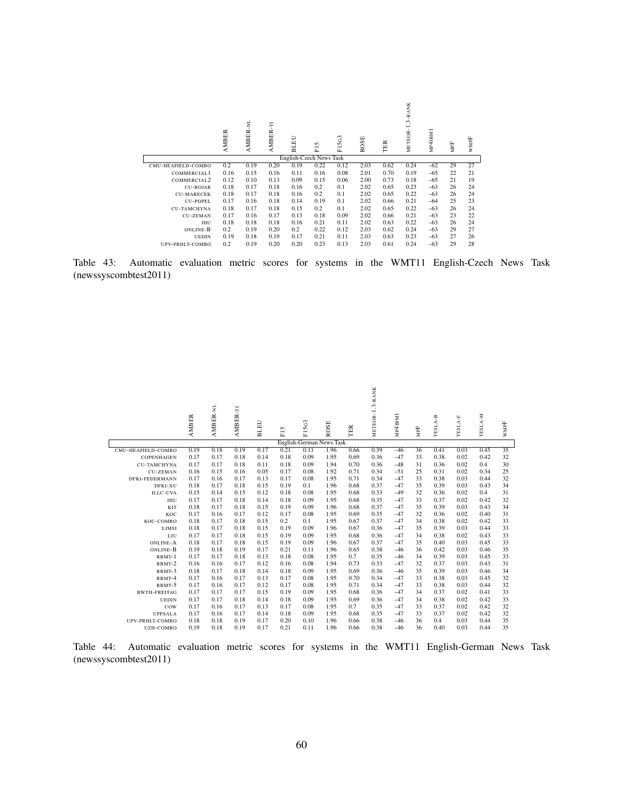|                    | <b>AMBER</b> | <b>AMBER-NL</b> | <b>AMBER-TI</b> | <b>BLEU</b>             | 5<br>$\overline{L}$ | 5G3<br>E | ROSE | TER  | -RANK<br>نې<br>METEOR-1 | MP4IBM1 | MPF | <b>WMPF</b> |
|--------------------|--------------|-----------------|-----------------|-------------------------|---------------------|----------|------|------|-------------------------|---------|-----|-------------|
|                    |              |                 |                 | English-Czech News Task |                     |          |      |      |                         |         |     |             |
| CMU-HEAFIELD-COMBO | 0.2          | 0.19            | 0.20            | 0.19                    | 0.22                | 0.12     | 2.03 | 0.62 | 0.24                    | $-62$   | 29  | 27          |
| COMMERCIAL1        | 0.16         | 0.15            | 0.16            | 0.11                    | 0.16                | 0.08     | 2.01 | 0.70 | 0.19                    | $-65$   | 22  | 21          |
| COMMERCIAL2        | 0.12         | 0.10            | 0.13            | 0.09                    | 0.15                | 0.06     | 2.00 | 0.73 | 0.18                    | $-65$   | 21  | 19          |
| <b>CU-BOJAR</b>    | 0.18         | 0.17            | 0.18            | 0.16                    | 0.2                 | 0.1      | 2.02 | 0.65 | 0.23                    | $-63$   | 26  | 24          |
| <b>CU-MARECEK</b>  | 0.18         | 0.17            | 0.18            | 0.16                    | 0.2                 | 0.1      | 2.02 | 0.65 | 0.22                    | $-63$   | 26  | 24          |
| <b>CU-POPEL</b>    | 0.17         | 0.16            | 0.18            | 0.14                    | 0.19                | 0.1      | 2.02 | 0.66 | 0.21                    | $-64$   | 25  | 23          |
| <b>CU-TAMCHYNA</b> | 0.18         | 0.17            | 0.18            | 0.15                    | 0.2                 | 0.1      | 2.02 | 0.65 | 0.22                    | $-63$   | 26  | 24          |
| <b>CU-ZEMAN</b>    | 0.17         | 0.16            | 0.17            | 0.13                    | 0.18                | 0.09     | 2.02 | 0.66 | 0.21                    | $-63$   | 23  | 22          |
| JHU                | 0.18         | 0.18            | 0.18            | 0.16                    | 0.21                | 0.11     | 2.02 | 0.63 | 0.22                    | $-63$   | 26  | 24          |
| ONLINE-B           | 0.2          | 0.19            | 0.20            | 0.2                     | 0.22                | 0.12     | 2.03 | 0.62 | 0.24                    | $-63$   | 29  | 27          |
| <b>UEDIN</b>       | 0.19         | 0.18            | 0.19            | 0.17                    | 0.21                | 0.11     | 2.03 | 0.63 | 0.23                    | $-63$   | 27  | 26          |
| UPV-PRHLT-COMBO    | 0.2          | 0.19            | 0.20            | 0.20                    | 0.23                | 0.13     | 2.03 | 0.61 | 0.24                    | $-63$   | 29  | 28          |

Table 43: Automatic evaluation metric scores for systems in the WMT11 English-Czech News Task (newssyscombtest2011)

|                     | <b>AMBER</b> | AMBER-NL | AMBER-TI | <b>BLEU</b> | S<br>Ξ | 563<br>Ξ                 | ROSE | TER  | METEOR-1.3-RANK | MP41BM1 | $\ensuremath{\mathsf{MPF}}$ | TESLA-B | TESLA-F | TESLA-M | $\ensuremath{\mathsf{w}}\xspace\ensuremath{\mathsf{m}}\xspace\ensuremath{\mathsf{P}}\xspace\ensuremath{\mathsf{F}}$ |  |
|---------------------|--------------|----------|----------|-------------|--------|--------------------------|------|------|-----------------|---------|-----------------------------|---------|---------|---------|---------------------------------------------------------------------------------------------------------------------|--|
|                     |              |          |          |             |        | English-German News Task |      |      |                 |         |                             |         |         |         |                                                                                                                     |  |
| CMU-HEAFIELD-COMBO  | 0.19         | 0.18     | 0.19     | 0.17        | 0.21   | 0.11                     | 1.96 | 0.66 | 0.39            | $-46$   | 36                          | 0.41    | 0.03    | 0.45    | 35                                                                                                                  |  |
| <b>COPENHAGEN</b>   | 0.17         | 0.17     | 0.18     | 0.14        | 0.18   | 0.09                     | 1.95 | 0.69 | 0.36            | $-47$   | 33                          | 0.38    | 0.02    | 0.42    | 32                                                                                                                  |  |
| <b>CU-TAMCHYNA</b>  | 0.17         | 0.17     | 0.18     | 0.11        | 0.18   | 0.09                     | 1.94 | 0.70 | 0.36            | $-48$   | 31                          | 0.36    | 0.02    | 0.4     | 30                                                                                                                  |  |
| <b>CU-ZEMAN</b>     | 0.16         | 0.15     | 0.16     | 0.05        | 0.17   | 0.08                     | 1.92 | 0.71 | 0.34            | $-51$   | 25                          | 0.31    | 0.02    | 0.34    | 25                                                                                                                  |  |
| DFKI-FEDERMANN      | 0.17         | 0.16     | 0.17     | 0.13        | 0.17   | 0.08                     | 1.95 | 0.71 | 0.34            | $-47$   | 33                          | 0.38    | 0.03    | 0.44    | 32                                                                                                                  |  |
| DFKI-XU             | 0.18         | 0.17     | 0.18     | 0.15        | 0.19   | 0.1                      | 1.96 | 0.68 | 0.37            | $-47$   | 35                          | 0.39    | 0.03    | 0.43    | 34                                                                                                                  |  |
| <b>ILLC-UVA</b>     | 0.15         | 0.14     | 0.15     | 0.12        | 0.18   | 0.08                     | 1.95 | 0.68 | 0.33            | $-49$   | 32                          | 0.36    | 0.02    | 0.4     | 31                                                                                                                  |  |
| <b>JHU</b>          | 0.17         | 0.17     | 0.18     | 0.14        | 0.18   | 0.09                     | 1.95 | 0.68 | 0.35            | $-47$   | 33                          | 0.37    | 0.02    | 0.42    | 32                                                                                                                  |  |
| <b>KIT</b>          | 0.18         | 0.17     | 0.18     | 0.15        | 0.19   | 0.09                     | 1.96 | 0.68 | 0.37            | $-47$   | 35                          | 0.39    | 0.03    | 0.43    | 34                                                                                                                  |  |
| KOC                 | 0.17         | 0.16     | 0.17     | 0.12        | 0.17   | 0.08                     | 1.95 | 0.69 | 0.35            | $-47$   | 32                          | 0.36    | 0.02    | 0.40    | 31                                                                                                                  |  |
| KOC-COMBO           | 0.18         | 0.17     | 0.18     | 0.15        | 0.2    | 0.1                      | 1.95 | 0.67 | 0.37            | $-47$   | 34                          | 0.38    | 0.02    | 0.42    | 33                                                                                                                  |  |
| LIMSI               | 0.18         | 0.17     | 0.18     | 0.15        | 0.19   | 0.09                     | 1.96 | 0.67 | 0.36            | $-47$   | 35                          | 0.39    | 0.03    | 0.44    | 33                                                                                                                  |  |
| LIU                 | 0.17         | 0.17     | 0.18     | 0.15        | 0.19   | 0.09                     | 1.95 | 0.68 | 0.36            | $-47$   | 34                          | 0.38    | 0.02    | 0.43    | 33                                                                                                                  |  |
| <b>ONLINE-A</b>     | 0.18         | 0.17     | 0.18     | 0.15        | 0.19   | 0.09                     | 1.96 | 0.67 | 0.37            | $-47$   | 35                          | 0.40    | 0.03    | 0.45    | 33                                                                                                                  |  |
| <b>ONLINE-B</b>     | 0.19         | 0.18     | 0.19     | 0.17        | 0.21   | 0.11                     | 1.96 | 0.65 | 0.38            | $-46$   | 36                          | 0.42    | 0.03    | 0.46    | 35                                                                                                                  |  |
| RBMT-1              | 0.17         | 0.17     | 0.18     | 0.13        | 0.18   | 0.08                     | 1.95 | 0.7  | 0.35            | $-46$   | 34                          | 0.39    | 0.03    | 0.45    | 33                                                                                                                  |  |
| RBMT-2              | 0.16         | 0.16     | 0.17     | 0.12        | 0.16   | 0.08                     | 1.94 | 0.73 | 0.33            | $-47$   | 32                          | 0.37    | 0.03    | 0.43    | 31                                                                                                                  |  |
| RBMT-3              | 0.18         | 0.17     | 0.18     | 0.14        | 0.18   | 0.09                     | 1.95 | 0.69 | 0.36            | $-46$   | 35                          | 0.39    | 0.03    | 0.46    | 34                                                                                                                  |  |
| RBMT-4              | 0.17         | 0.16     | 0.17     | 0.13        | 0.17   | 0.08                     | 1.95 | 0.70 | 0.34            | $-47$   | 33                          | 0.38    | 0.03    | 0.45    | 32                                                                                                                  |  |
| RBMT-5              | 0.17         | 0.16     | 0.17     | 0.12        | 0.17   | 0.08                     | 1.95 | 0.71 | 0.34            | $-47$   | 33                          | 0.38    | 0.03    | 0.44    | 32                                                                                                                  |  |
| <b>RWTH-FREITAG</b> | 0.17         | 0.17     | 0.17     | 0.15        | 0.19   | 0.09                     | 1.95 | 0.68 | 0.36            | $-47$   | 34                          | 0.37    | 0.02    | 0.41    | 33                                                                                                                  |  |
| <b>UEDIN</b>        | 0.17         | 0.17     | 0.18     | 0.14        | 0.18   | 0.09                     | 1.95 | 0.69 | 0.36            | $-47$   | 34                          | 0.38    | 0.02    | 0.42    | 33                                                                                                                  |  |
| <b>UOW</b>          | 0.17         | 0.16     | 0.17     | 0.13        | 0.17   | 0.08                     | 1.95 | 0.7  | 0.35            | $-47$   | 33                          | 0.37    | 0.02    | 0.42    | 32                                                                                                                  |  |
| <b>UPPSALA</b>      | 0.17         | 0.16     | 0.17     | 0.14        | 0.18   | 0.09                     | 1.95 | 0.68 | 0.35            | $-47$   | 33                          | 0.37    | 0.02    | 0.42    | 32                                                                                                                  |  |
| UPV-PRHLT-COMBO     | 0.18         | 0.18     | 0.19     | 0.17        | 0.20   | 0.10                     | 1.96 | 0.66 | 0.38            | $-46$   | 36                          | 0.4     | 0.03    | 0.44    | 35                                                                                                                  |  |
| UZH-COMBO           | 0.19         | 0.18     | 0.19     | 0.17        | 0.21   | 0.11                     | 1.96 | 0.66 | 0.38            | $-46$   | 36                          | 0.40    | 0.03    | 0.44    | 35                                                                                                                  |  |

Table 44: Automatic evaluation metric scores for systems in the WMT11 English-German News Task (newssyscombtest2011)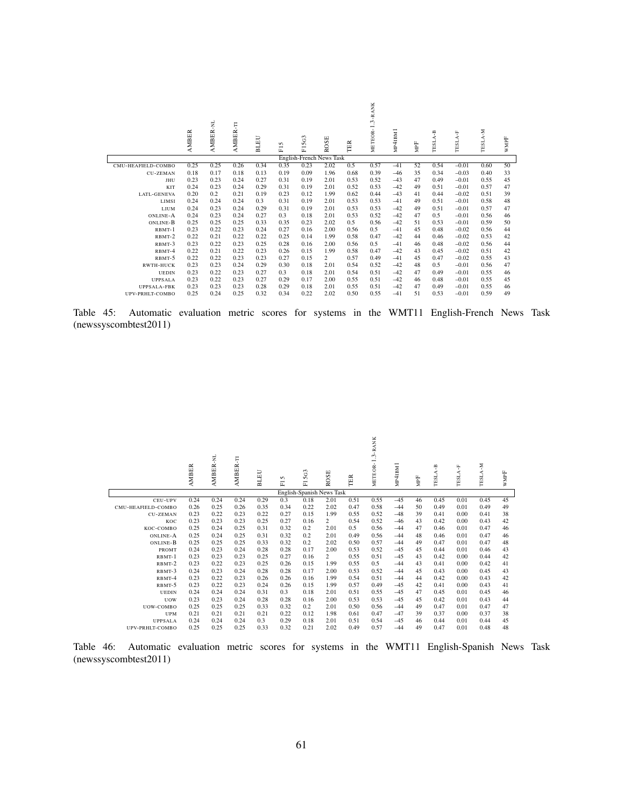|                    | AMBER | AMBER-NL | AMBER-TI | <b>BLEU</b> | 5<br>$\overline{L}$ | 563<br>E                 | ROSE | TER  | METEOR-1.3-RANK | MP4IBM1 | MPF | <b>TESLA-B</b> | TESLA-F | TESLA-M | $\ensuremath{\mathsf{WMPF}}$ |
|--------------------|-------|----------|----------|-------------|---------------------|--------------------------|------|------|-----------------|---------|-----|----------------|---------|---------|------------------------------|
|                    |       |          |          |             |                     | English-French News Task |      |      |                 |         |     |                |         |         |                              |
| CMU-HEAFIELD-COMBO | 0.25  | 0.25     | 0.26     | 0.34        | 0.35                | 0.23                     | 2.02 | 0.5  | 0.57            | $-41$   | 52  | 0.54           | $-0.01$ | 0.60    | 50                           |
| <b>CU-ZEMAN</b>    | 0.18  | 0.17     | 0.18     | 0.13        | 0.19                | 0.09                     | 1.96 | 0.68 | 0.39            | $-46$   | 35  | 0.34           | $-0.03$ | 0.40    | 33                           |
| JHU                | 0.23  | 0.23     | 0.24     | 0.27        | 0.31                | 0.19                     | 2.01 | 0.53 | 0.52            | $-43$   | 47  | 0.49           | $-0.01$ | 0.55    | 45                           |
| KIT                | 0.24  | 0.23     | 0.24     | 0.29        | 0.31                | 0.19                     | 2.01 | 0.52 | 0.53            | $-42$   | 49  | 0.51           | $-0.01$ | 0.57    | 47                           |
| <b>LATL-GENEVA</b> | 0.20  | 0.2      | 0.21     | 0.19        | 0.23                | 0.12                     | 1.99 | 0.62 | 0.44            | $-43$   | 41  | 0.44           | $-0.02$ | 0.51    | 39                           |
| LIMSI              | 0.24  | 0.24     | 0.24     | 0.3         | 0.31                | 0.19                     | 2.01 | 0.53 | 0.53            | $-41$   | 49  | 0.51           | $-0.01$ | 0.58    | 48                           |
| LIUM               | 0.24  | 0.23     | 0.24     | 0.29        | 0.31                | 0.19                     | 2.01 | 0.53 | 0.53            | $-42$   | 49  | 0.51           | $-0.01$ | 0.57    | 47                           |
| <b>ONLINE-A</b>    | 0.24  | 0.23     | 0.24     | 0.27        | 0.3                 | 0.18                     | 2.01 | 0.53 | 0.52            | $-42$   | 47  | 0.5            | $-0.01$ | 0.56    | 46                           |
| <b>ONLINE-B</b>    | 0.25  | 0.25     | 0.25     | 0.33        | 0.35                | 0.23                     | 2.02 | 0.5  | 0.56            | $-42$   | 51  | 0.53           | $-0.01$ | 0.59    | 50                           |
| RBMT-1             | 0.23  | 0.22     | 0.23     | 0.24        | 0.27                | 0.16                     | 2.00 | 0.56 | 0.5             | $-41$   | 45  | 0.48           | $-0.02$ | 0.56    | 44                           |
| RBMT-2             | 0.22  | 0.21     | 0.22     | 0.22        | 0.25                | 0.14                     | 1.99 | 0.58 | 0.47            | $-42$   | 44  | 0.46           | $-0.02$ | 0.53    | 42                           |
| RBMT-3             | 0.23  | 0.22     | 0.23     | 0.25        | 0.28                | 0.16                     | 2.00 | 0.56 | 0.5             | $-41$   | 46  | 0.48           | $-0.02$ | 0.56    | 44                           |
| RBMT-4             | 0.22  | 0.21     | 0.22     | 0.23        | 0.26                | 0.15                     | 1.99 | 0.58 | 0.47            | $-42$   | 43  | 0.45           | $-0.02$ | 0.51    | 42                           |
| RBMT-5             | 0.22  | 0.22     | 0.23     | 0.23        | 0.27                | 0.15                     | 2    | 0.57 | 0.49            | $-41$   | 45  | 0.47           | $-0.02$ | 0.55    | 43                           |
| <b>RWTH-HUCK</b>   | 0.23  | 0.23     | 0.24     | 0.29        | 0.30                | 0.18                     | 2.01 | 0.54 | 0.52            | $-42$   | 48  | 0.5            | $-0.01$ | 0.56    | 47                           |
| <b>UEDIN</b>       | 0.23  | 0.22     | 0.23     | 0.27        | 0.3                 | 0.18                     | 2.01 | 0.54 | 0.51            | $-42$   | 47  | 0.49           | $-0.01$ | 0.55    | 46                           |
| <b>UPPSALA</b>     | 0.23  | 0.22     | 0.23     | 0.27        | 0.29                | 0.17                     | 2.00 | 0.55 | 0.51            | $-42$   | 46  | 0.48           | $-0.01$ | 0.55    | 45                           |
| <b>UPPSALA-FBK</b> | 0.23  | 0.23     | 0.23     | 0.28        | 0.29                | 0.18                     | 2.01 | 0.55 | 0.51            | $-42$   | 47  | 0.49           | $-0.01$ | 0.55    | 46                           |
| UPV-PRHLT-COMBO    | 0.25  | 0.24     | 0.25     | 0.32        | 0.34                | 0.22                     | 2.02 | 0.50 | 0.55            | $-41$   | 51  | 0.53           | $-0.01$ | 0.59    | 49                           |

Table 45: Automatic evaluation metric scores for systems in the WMT11 English-French News Task (newssyscombtest2011)

|                    | <b>AMBER</b> | ž.<br>AMBER | Ę<br><b>AMBER</b> | <b>BLEU</b> | F <sub>15</sub> | F15G3                     | ROSE           | TER  | METEOR-1.3-RANK | MP4IBM1 | $\ensuremath{\mathsf{MPF}}$ | ۴<br><b>TESLA</b> | <b>TESLA-F</b> | <b>TESLA-M</b> | <b>WMPF</b> |  |
|--------------------|--------------|-------------|-------------------|-------------|-----------------|---------------------------|----------------|------|-----------------|---------|-----------------------------|-------------------|----------------|----------------|-------------|--|
|                    |              |             |                   |             |                 | English-Spanish News Task |                |      |                 |         |                             |                   |                |                |             |  |
| CEU-UPV            | 0.24         | 0.24        | 0.24              | 0.29        | 0.3             | 0.18                      | 2.01           | 0.51 | 0.55            | $-45$   | 46                          | 0.45              | 0.01           | 0.45           | 45          |  |
| CMU-HEAFIELD-COMBO | 0.26         | 0.25        | 0.26              | 0.35        | 0.34            | 0.22                      | 2.02           | 0.47 | 0.58            | $-44$   | 50                          | 0.49              | 0.01           | 0.49           | 49          |  |
| <b>CU-ZEMAN</b>    | 0.23         | 0.22        | 0.23              | 0.22        | 0.27            | 0.15                      | 1.99           | 0.55 | 0.52            | $-48$   | 39                          | 0.41              | 0.00           | 0.41           | 38          |  |
| KOC                | 0.23         | 0.23        | 0.23              | 0.25        | 0.27            | 0.16                      | $\overline{2}$ | 0.54 | 0.52            | $-46$   | 43                          | 0.42              | 0.00           | 0.43           | 42          |  |
| KOC-COMBO          | 0.25         | 0.24        | 0.25              | 0.31        | 0.32            | 0.2                       | 2.01           | 0.5  | 0.56            | $-44$   | 47                          | 0.46              | 0.01           | 0.47           | 46          |  |
| <b>ONLINE-A</b>    | 0.25         | 0.24        | 0.25              | 0.31        | 0.32            | 0.2                       | 2.01           | 0.49 | 0.56            | $-44$   | 48                          | 0.46              | 0.01           | 0.47           | 46          |  |
| ONLINE-B           | 0.25         | 0.25        | 0.25              | 0.33        | 0.32            | 0.2                       | 2.02           | 0.50 | 0.57            | $-44$   | 49                          | 0.47              | 0.01           | 0.47           | 48          |  |
| PROMT              | 0.24         | 0.23        | 0.24              | 0.28        | 0.28            | 0.17                      | 2.00           | 0.53 | 0.52            | $-45$   | 45                          | 0.44              | 0.01           | 0.46           | 43          |  |
| RBMT-1             | 0.23         | 0.23        | 0.23              | 0.25        | 0.27            | 0.16                      | $\overline{c}$ | 0.55 | 0.51            | $-45$   | 43                          | 0.42              | 0.00           | 0.44           | 42          |  |
| RBMT-2             | 0.23         | 0.22        | 0.23              | 0.25        | 0.26            | 0.15                      | 1.99           | 0.55 | 0.5             | $-44$   | 43                          | 0.41              | 0.00           | 0.42           | 41          |  |
| RBMT-3             | 0.24         | 0.23        | 0.24              | 0.28        | 0.28            | 0.17                      | 2.00           | 0.53 | 0.52            | $-44$   | 45                          | 0.43              | 0.00           | 0.45           | 43          |  |
| RBMT-4             | 0.23         | 0.22        | 0.23              | 0.26        | 0.26            | 0.16                      | 1.99           | 0.54 | 0.51            | $-44$   | 44                          | 0.42              | 0.00           | 0.43           | 42          |  |
| RBMT-5             | 0.23         | 0.22        | 0.23              | 0.24        | 0.26            | 0.15                      | 1.99           | 0.57 | 0.49            | $-45$   | 42                          | 0.41              | 0.00           | 0.43           | 41          |  |
| <b>UEDIN</b>       | 0.24         | 0.24        | 0.24              | 0.31        | 0.3             | 0.18                      | 2.01           | 0.51 | 0.55            | $-45$   | 47                          | 0.45              | 0.01           | 0.45           | 46          |  |
| <b>UOW</b>         | 0.23         | 0.23        | 0.24              | 0.28        | 0.28            | 0.16                      | 2.00           | 0.53 | 0.53            | $-45$   | 45                          | 0.42              | 0.01           | 0.43           | 44          |  |
| UOW-COMBO          | 0.25         | 0.25        | 0.25              | 0.33        | 0.32            | 0.2                       | 2.01           | 0.50 | 0.56            | $-44$   | 49                          | 0.47              | 0.01           | 0.47           | 47          |  |
| <b>UPM</b>         | 0.21         | 0.21        | 0.21              | 0.21        | 0.22            | 0.12                      | 1.98           | 0.61 | 0.47            | $-47$   | 39                          | 0.37              | 0.00           | 0.37           | 38          |  |
| <b>UPPSALA</b>     | 0.24         | 0.24        | 0.24              | 0.3         | 0.29            | 0.18                      | 2.01           | 0.51 | 0.54            | $-45$   | 46                          | 0.44              | 0.01           | 0.44           | 45          |  |
| UPV-PRHLT-COMBO    | 0.25         | 0.25        | 0.25              | 0.33        | 0.32            | 0.21                      | 2.02           | 0.49 | 0.57            | $-44$   | 49                          | 0.47              | 0.01           | 0.48           | 48          |  |
|                    |              |             |                   |             |                 |                           |                |      |                 |         |                             |                   |                |                |             |  |

Table 46: Automatic evaluation metric scores for systems in the WMT11 English-Spanish News Task (newssyscombtest2011)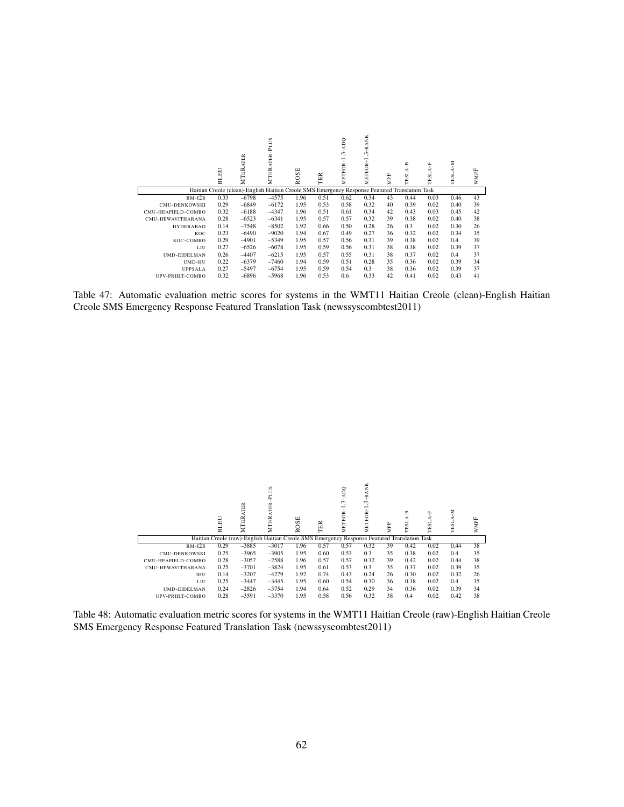|                     | $\rm E$<br>口目 | <b>MTERATER</b>                                                                                | υs<br>Ę<br><b>MTERATER</b> | ROSE | TER  | <b>ADQ</b><br>$\sim$<br>METEOR | -RANK<br>ઌ<br>-<br>$\mathbf{r}$<br>METEOR | NPF | $\mathbf{r}$<br>∢<br>ö<br>Е | SL.<br>Е | ×-<br>SLA<br>Е | WMPF |
|---------------------|---------------|------------------------------------------------------------------------------------------------|----------------------------|------|------|--------------------------------|-------------------------------------------|-----|-----------------------------|----------|----------------|------|
|                     |               | Haitian Creole (clean)-English Haitian Creole SMS Emergency Response Featured Translation Task |                            |      |      |                                |                                           |     |                             |          |                |      |
| $BM-I2R$            | 0.33          | $-6798$                                                                                        | $-4575$                    | 1.96 | 0.51 | 0.62                           | 0.34                                      | 43  | 0.44                        | 0.03     | 0.46           | 43   |
| CMU-DENKOWSKI       | 0.29          | $-6849$                                                                                        | $-6172$                    | 1.95 | 0.53 | 0.58                           | 0.32                                      | 40  | 0.39                        | 0.02     | 0.40           | 39   |
| CMU-HEAFIELD-COMBO  | 0.32          | $-6188$                                                                                        | $-4347$                    | 1.96 | 0.51 | 0.61                           | 0.34                                      | 42  | 0.43                        | 0.03     | 0.45           | 42   |
| CMU-HEWAVITHARANA   | 0.28          | $-6523$                                                                                        | $-6341$                    | 1.95 | 0.57 | 0.57                           | 0.32                                      | 39  | 0.38                        | 0.02     | 0.40           | 38   |
| <b>HYDERABAD</b>    | 0.14          | $-7548$                                                                                        | $-8502$                    | 1.92 | 0.66 | 0.50                           | 0.28                                      | 26  | 0.3                         | 0.02     | 0.30           | 26   |
| KOC                 | 0.23          | $-6490$                                                                                        | $-9020$                    | 1.94 | 0.67 | 0.49                           | 0.27                                      | 36  | 0.32                        | 0.02     | 0.34           | 35   |
| KOC-COMBO           | 0.29          | $-4901$                                                                                        | $-5349$                    | 1.95 | 0.57 | 0.56                           | 0.31                                      | 39  | 0.38                        | 0.02     | 0.4            | 39   |
| LIU                 | 0.27          | $-6526$                                                                                        | $-6078$                    | 1.95 | 0.59 | 0.56                           | 0.31                                      | 38  | 0.38                        | 0.02     | 0.39           | 37   |
| <b>UMD-EIDELMAN</b> | 0.26          | $-4407$                                                                                        | $-6215$                    | 1.95 | 0.57 | 0.55                           | 0.31                                      | 38  | 0.37                        | 0.02     | 0.4            | 37   |
| UMD-HU              | 0.22          | $-6379$                                                                                        | $-7460$                    | 1.94 | 0.59 | 0.51                           | 0.28                                      | 35  | 0.36                        | 0.02     | 0.39           | 34   |
| <b>UPPSALA</b>      | 0.27          | $-5497$                                                                                        | $-6754$                    | 1.95 | 0.59 | 0.54                           | 0.3                                       | 38  | 0.36                        | 0.02     | 0.39           | 37   |
| UPV-PRHLT-COMBO     | 0.32          | $-6896$                                                                                        | $-5968$                    | 1.96 | 0.53 | 0.6                            | 0.33                                      | 42  | 0.41                        | 0.02     | 0.43           | 41   |

Table 47: Automatic evaluation metric scores for systems in the WMT11 Haitian Creole (clean)-English Haitian Creole SMS Emergency Response Featured Translation Task (newssyscombtest2011)

|                     | 凹<br>Б | <b>ATER</b><br>MT <sub>ER</sub> | S<br>ፚ<br>ATER-<br>MTER.                                                                     | ROSE | TER  | g<br>$\sim$<br>-<br>METEOR | ž<br>$\sim$<br>$\sim$<br><b>TEOR</b><br>ш | MPF | TESL | ш<br>51<br>Е | Σ<br>TESI | WMPF |
|---------------------|--------|---------------------------------|----------------------------------------------------------------------------------------------|------|------|----------------------------|-------------------------------------------|-----|------|--------------|-----------|------|
|                     |        |                                 | Haitian Creole (raw)-English Haitian Creole SMS Emergency Response Featured Translation Task |      |      |                            |                                           |     |      |              |           |      |
| $BM-I2R$            | 0.29   | $-3885$                         | $-3017$                                                                                      | 1.96 | 0.57 | 0.57                       | 0.32                                      | 39  | 0.42 | 0.02         | 0.44      | 38   |
| CMU-DENKOWSKI       | 0.25   | $-3965$                         | $-3905$                                                                                      | 1.95 | 0.60 | 0.53                       | 0.3                                       | 35  | 0.38 | 0.02         | 0.4       | 35   |
| CMU-HEAFIELD-COMBO  | 0.28   | $-3057$                         | $-2588$                                                                                      | 1.96 | 0.57 | 0.57                       | 0.32                                      | 39  | 0.42 | 0.02         | 0.44      | 38   |
| CMU-HEWAVITHARANA   | 0.25   | $-3701$                         | $-3824$                                                                                      | 1.95 | 0.61 | 0.53                       | 0.3                                       | 35  | 0.37 | 0.02         | 0.39      | 35   |
| <b>JHU</b>          | 0.14   | $-3207$                         | $-4279$                                                                                      | 1.92 | 0.74 | 0.43                       | 0.24                                      | 26  | 0.30 | 0.02         | 0.32      | 26   |
| LIU                 | 0.25   | $-3447$                         | $-3445$                                                                                      | 1.95 | 0.60 | 0.54                       | 0.30                                      | 36  | 0.38 | 0.02         | 0.4       | 35   |
| <b>UMD-EIDELMAN</b> | 0.24   | $-2826$                         | $-3754$                                                                                      | 1.94 | 0.64 | 0.52                       | 0.29                                      | 34  | 0.36 | 0.02         | 0.39      | 34   |
| UPV-PRHLT-COMBO     | 0.28   | $-3591$                         | $-3370$                                                                                      | 1.95 | 0.58 | 0.56                       | 0.32                                      | 38  | 0.4  | 0.02         | 0.42      | 38   |

Table 48: Automatic evaluation metric scores for systems in the WMT11 Haitian Creole (raw)-English Haitian Creole SMS Emergency Response Featured Translation Task (newssyscombtest2011)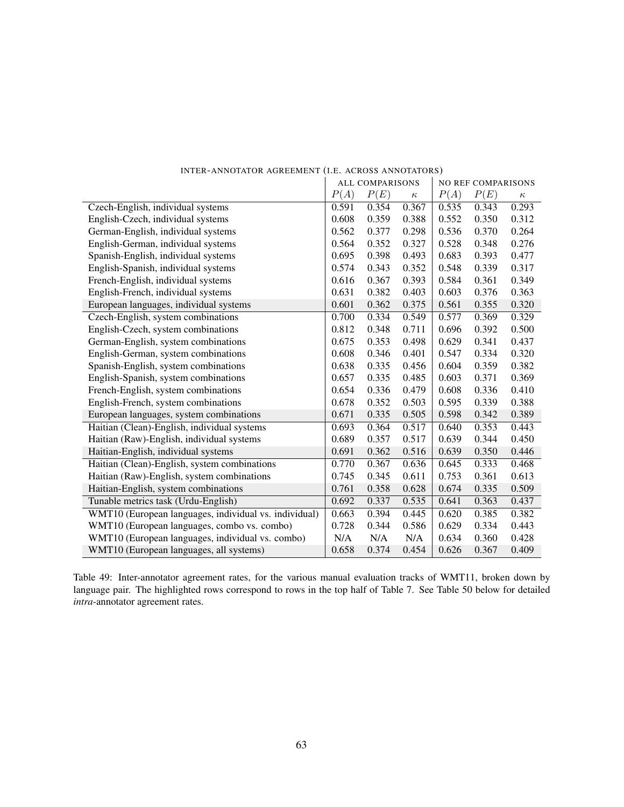|                                                       |       | ALL COMPARISONS |          |       | <b>NO REF COMPARISONS</b> |          |
|-------------------------------------------------------|-------|-----------------|----------|-------|---------------------------|----------|
|                                                       | P(A)  | P(E)            | $\kappa$ | P(A)  | P(E)                      | $\kappa$ |
| Czech-English, individual systems                     | 0.591 | 0.354           | 0.367    | 0.535 | 0.343                     | 0.293    |
| English-Czech, individual systems                     | 0.608 | 0.359           | 0.388    | 0.552 | 0.350                     | 0.312    |
| German-English, individual systems                    | 0.562 | 0.377           | 0.298    | 0.536 | 0.370                     | 0.264    |
| English-German, individual systems                    | 0.564 | 0.352           | 0.327    | 0.528 | 0.348                     | 0.276    |
| Spanish-English, individual systems                   | 0.695 | 0.398           | 0.493    | 0.683 | 0.393                     | 0.477    |
| English-Spanish, individual systems                   | 0.574 | 0.343           | 0.352    | 0.548 | 0.339                     | 0.317    |
| French-English, individual systems                    | 0.616 | 0.367           | 0.393    | 0.584 | 0.361                     | 0.349    |
| English-French, individual systems                    | 0.631 | 0.382           | 0.403    | 0.603 | 0.376                     | 0.363    |
| European languages, individual systems                | 0.601 | 0.362           | 0.375    | 0.561 | 0.355                     | 0.320    |
| Czech-English, system combinations                    | 0.700 | 0.334           | 0.549    | 0.577 | 0.369                     | 0.329    |
| English-Czech, system combinations                    | 0.812 | 0.348           | 0.711    | 0.696 | 0.392                     | 0.500    |
| German-English, system combinations                   | 0.675 | 0.353           | 0.498    | 0.629 | 0.341                     | 0.437    |
| English-German, system combinations                   | 0.608 | 0.346           | 0.401    | 0.547 | 0.334                     | 0.320    |
| Spanish-English, system combinations                  | 0.638 | 0.335           | 0.456    | 0.604 | 0.359                     | 0.382    |
| English-Spanish, system combinations                  | 0.657 | 0.335           | 0.485    | 0.603 | 0.371                     | 0.369    |
| French-English, system combinations                   | 0.654 | 0.336           | 0.479    | 0.608 | 0.336                     | 0.410    |
| English-French, system combinations                   | 0.678 | 0.352           | 0.503    | 0.595 | 0.339                     | 0.388    |
| European languages, system combinations               | 0.671 | 0.335           | 0.505    | 0.598 | 0.342                     | 0.389    |
| Haitian (Clean)-English, individual systems           | 0.693 | 0.364           | 0.517    | 0.640 | 0.353                     | 0.443    |
| Haitian (Raw)-English, individual systems             | 0.689 | 0.357           | 0.517    | 0.639 | 0.344                     | 0.450    |
| Haitian-English, individual systems                   | 0.691 | 0.362           | 0.516    | 0.639 | 0.350                     | 0.446    |
| Haitian (Clean)-English, system combinations          | 0.770 | 0.367           | 0.636    | 0.645 | 0.333                     | 0.468    |
| Haitian (Raw)-English, system combinations            | 0.745 | 0.345           | 0.611    | 0.753 | 0.361                     | 0.613    |
| Haitian-English, system combinations                  | 0.761 | 0.358           | 0.628    | 0.674 | 0.335                     | 0.509    |
| Tunable metrics task (Urdu-English)                   | 0.692 | 0.337           | 0.535    | 0.641 | 0.363                     | 0.437    |
| WMT10 (European languages, individual vs. individual) | 0.663 | 0.394           | 0.445    | 0.620 | 0.385                     | 0.382    |
| WMT10 (European languages, combo vs. combo)           | 0.728 | 0.344           | 0.586    | 0.629 | 0.334                     | 0.443    |
| WMT10 (European languages, individual vs. combo)      | N/A   | N/A             | N/A      | 0.634 | 0.360                     | 0.428    |
| WMT10 (European languages, all systems)               | 0.658 | 0.374           | 0.454    | 0.626 | 0.367                     | 0.409    |

INTER-ANNOTATOR AGREEMENT (I.E. ACROSS ANNOTATORS)

Table 49: Inter-annotator agreement rates, for the various manual evaluation tracks of WMT11, broken down by language pair. The highlighted rows correspond to rows in the top half of Table 7. See Table 50 below for detailed *intra*-annotator agreement rates.